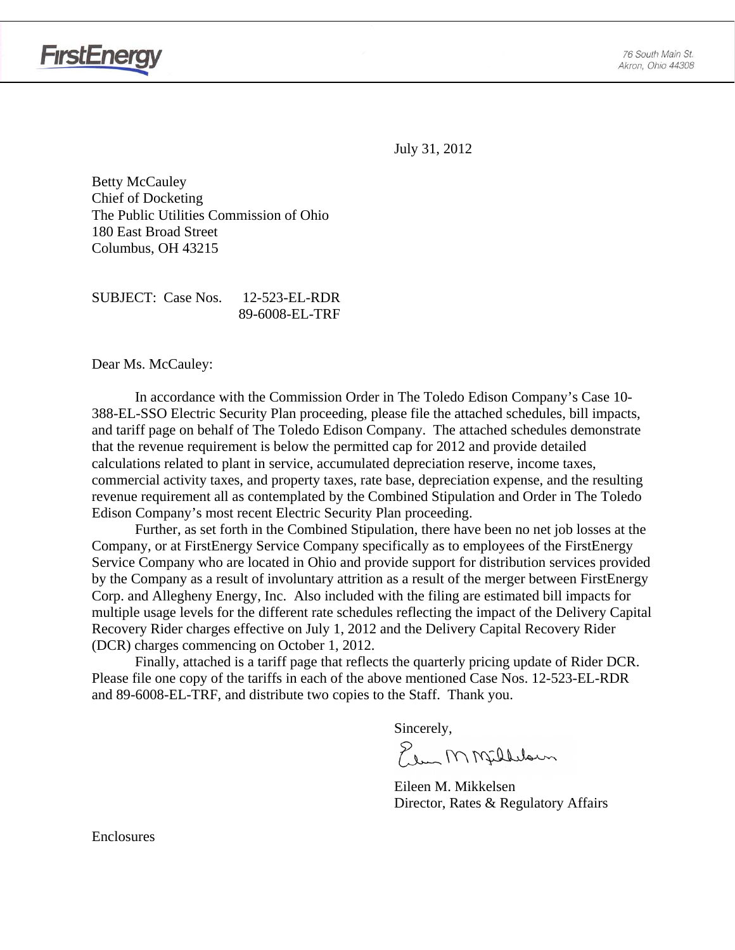

July 31, 2012

Betty McCauley Chief of Docketing The Public Utilities Commission of Ohio 180 East Broad Street Columbus, OH 43215

SUBJECT: Case Nos. 12-523-EL-RDR 89-6008-EL-TRF

Dear Ms. McCauley:

In accordance with the Commission Order in The Toledo Edison Company's Case 10- 388-EL-SSO Electric Security Plan proceeding, please file the attached schedules, bill impacts, and tariff page on behalf of The Toledo Edison Company. The attached schedules demonstrate that the revenue requirement is below the permitted cap for 2012 and provide detailed calculations related to plant in service, accumulated depreciation reserve, income taxes, commercial activity taxes, and property taxes, rate base, depreciation expense, and the resulting revenue requirement all as contemplated by the Combined Stipulation and Order in The Toledo Edison Company's most recent Electric Security Plan proceeding.

Further, as set forth in the Combined Stipulation, there have been no net job losses at the Company, or at FirstEnergy Service Company specifically as to employees of the FirstEnergy Service Company who are located in Ohio and provide support for distribution services provided by the Company as a result of involuntary attrition as a result of the merger between FirstEnergy Corp. and Allegheny Energy, Inc. Also included with the filing are estimated bill impacts for multiple usage levels for the different rate schedules reflecting the impact of the Delivery Capital Recovery Rider charges effective on July 1, 2012 and the Delivery Capital Recovery Rider (DCR) charges commencing on October 1, 2012.

Finally, attached is a tariff page that reflects the quarterly pricing update of Rider DCR. Please file one copy of the tariffs in each of the above mentioned Case Nos. 12-523-EL-RDR and 89-6008-EL-TRF, and distribute two copies to the Staff. Thank you.

Sincerely,

Elem MMfillelown

 Eileen M. Mikkelsen Director, Rates & Regulatory Affairs

Enclosures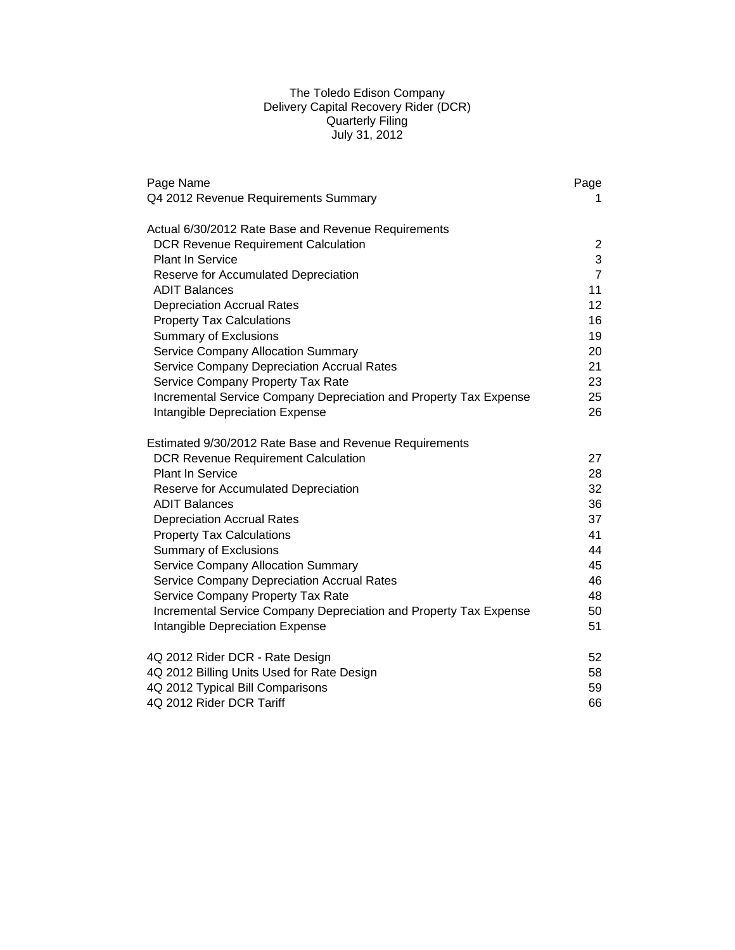### The Toledo Edison Company Delivery Capital Recovery Rider (DCR) Quarterly Filing July 31, 2012

| Page Name                                                         | Page              |
|-------------------------------------------------------------------|-------------------|
| Q4 2012 Revenue Requirements Summary                              | 1.                |
| Actual 6/30/2012 Rate Base and Revenue Requirements               |                   |
| <b>DCR Revenue Requirement Calculation</b>                        | 2                 |
| <b>Plant In Service</b>                                           | 3                 |
| Reserve for Accumulated Depreciation                              | $\overline{7}$    |
| <b>ADIT Balances</b>                                              | 11                |
| <b>Depreciation Accrual Rates</b>                                 | $12 \overline{ }$ |
| <b>Property Tax Calculations</b>                                  | 16                |
| <b>Summary of Exclusions</b>                                      | 19                |
| <b>Service Company Allocation Summary</b>                         | 20                |
| Service Company Depreciation Accrual Rates                        | 21                |
| Service Company Property Tax Rate                                 | 23                |
| Incremental Service Company Depreciation and Property Tax Expense | 25                |
| Intangible Depreciation Expense                                   | 26                |
| Estimated 9/30/2012 Rate Base and Revenue Requirements            |                   |
| <b>DCR Revenue Requirement Calculation</b>                        | 27                |
| <b>Plant In Service</b>                                           | 28                |
| Reserve for Accumulated Depreciation                              | 32                |
| <b>ADIT Balances</b>                                              | 36                |
| <b>Depreciation Accrual Rates</b>                                 | 37                |
| <b>Property Tax Calculations</b>                                  | 41                |
| <b>Summary of Exclusions</b>                                      | 44                |
| <b>Service Company Allocation Summary</b>                         | 45                |
| Service Company Depreciation Accrual Rates                        | 46                |
| Service Company Property Tax Rate                                 | 48                |
| Incremental Service Company Depreciation and Property Tax Expense | 50                |
| Intangible Depreciation Expense                                   | 51                |
| 4Q 2012 Rider DCR - Rate Design                                   | 52                |
| 4Q 2012 Billing Units Used for Rate Design                        | 58                |
| 4Q 2012 Typical Bill Comparisons                                  | 59                |
| 4Q 2012 Rider DCR Tariff                                          | 66                |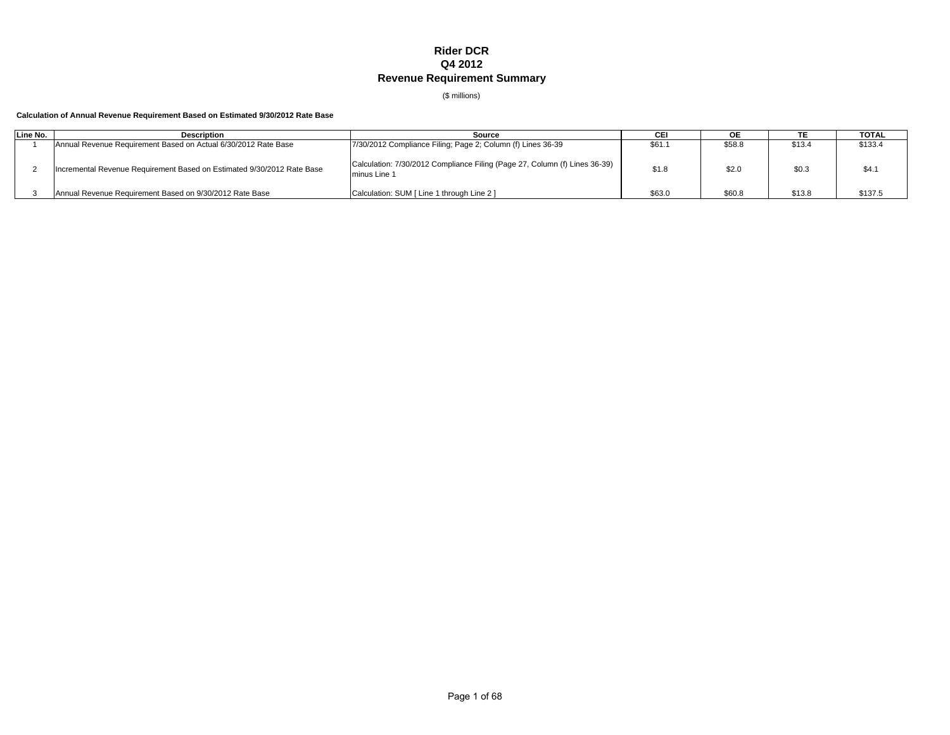## **Rider DCR Q4 2012 Revenue Requirement Summary**

(\$ millions)

#### **Calculation of Annual Revenue Requirement Based on Estimated 9/30/2012 Rate Base**

| Line No. | <b>Description</b>                                                     | Source                                                                                     |        | ОE     |        | <b>TOTAL</b> |
|----------|------------------------------------------------------------------------|--------------------------------------------------------------------------------------------|--------|--------|--------|--------------|
|          | Annual Revenue Requirement Based on Actual 6/30/2012 Rate Base         | 7/30/2012 Compliance Filing; Page 2; Column (f) Lines 36-39                                | \$61.1 | \$58.8 | \$13.4 | \$133.4      |
|          | Incremental Revenue Requirement Based on Estimated 9/30/2012 Rate Base | Calculation: 7/30/2012 Compliance Filing (Page 27, Column (f) Lines 36-39)<br>minus Line 1 | \$1.8  | \$2.0  | \$0.3  | \$4.1        |
|          | Annual Revenue Requirement Based on 9/30/2012 Rate Base                | Calculation: SUM [ Line 1 through Line 2 ]                                                 | \$63.0 | \$60.8 | \$13.8 | \$137.5      |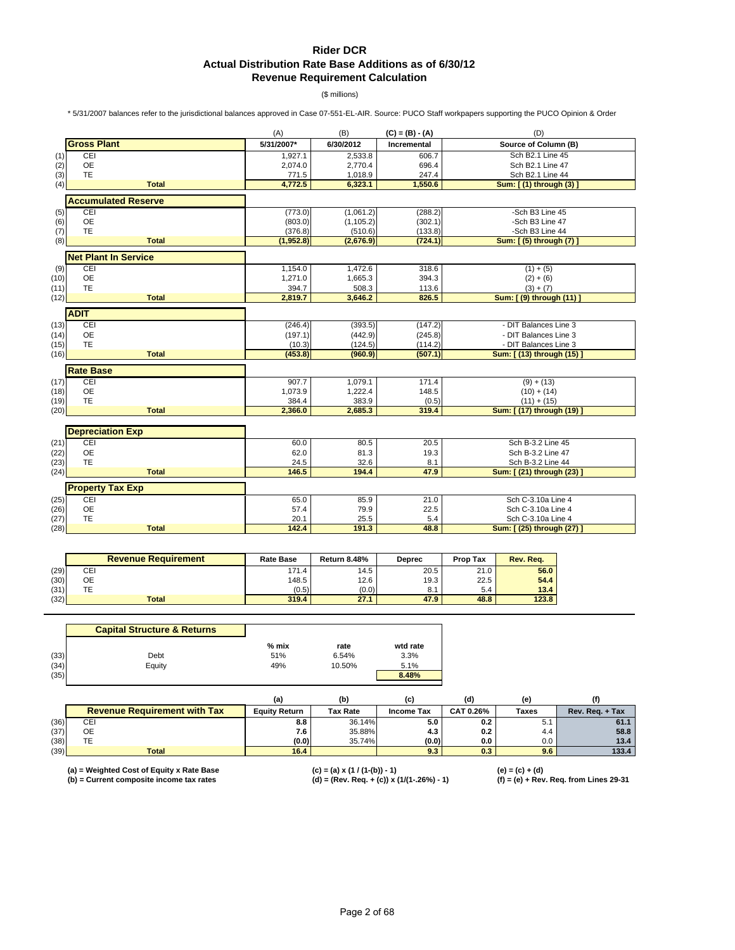## **Rider DCR Actual Distribution Rate Base Additions as of 6/30/12 Revenue Requirement Calculation**

(\$ millions)

\* 5/31/2007 balances refer to the jurisdictional balances approved in Case 07-551-EL-AIR. Source: PUCO Staff workpapers supporting the PUCO Opinion & Order

|      |                             | (A)        | (B)        | $(C) = (B) - (A)$  | (D)                       |
|------|-----------------------------|------------|------------|--------------------|---------------------------|
|      | <b>Gross Plant</b>          | 5/31/2007* | 6/30/2012  | <b>Incremental</b> | Source of Column (B)      |
| (1)  | CEI                         | 1,927.1    | 2,533.8    | 606.7              | Sch B2.1 Line 45          |
| (2)  | <b>OE</b>                   | 2,074.0    | 2,770.4    | 696.4              | Sch B2.1 Line 47          |
| (3)  | <b>TE</b>                   | 771.5      | 1,018.9    | 247.4              | Sch B2.1 Line 44          |
| (4)  | <b>Total</b>                | 4,772.5    | 6,323.1    | 1,550.6            | Sum: [(1) through (3)     |
|      | <b>Accumulated Reserve</b>  |            |            |                    |                           |
| (5)  | CEI                         | (773.0)    | (1,061.2)  | (288.2)            | -Sch B3 Line 45           |
| (6)  | <b>OE</b>                   | (803.0)    | (1, 105.2) | (302.1)            | -Sch B3 Line 47           |
| (7)  | TE                          | (376.8)    | (510.6)    | (133.8)            | -Sch B3 Line 44           |
| (8)  | <b>Total</b>                | (1,952.8)  | (2,676.9)  | (724.1)            | Sum: [(5) through (7)     |
|      | <b>Net Plant In Service</b> |            |            |                    |                           |
| (9)  | CEI                         | 1,154.0    | 1,472.6    | 318.6              | $(1) + (5)$               |
| (10) | <b>OE</b>                   | 1,271.0    | 1,665.3    | 394.3              | $(2) + (6)$               |
| (11) | TE                          | 394.7      | 508.3      | 113.6              | $(3) + (7)$               |
| (12) | <b>Total</b>                | 2,819.7    | 3,646.2    | 826.5              | Sum: [ (9) through (11) ] |
|      | <b>ADIT</b>                 |            |            |                    |                           |
| (13) | CEI                         | (246.4)    | (393.5)    | (147.2)            | - DIT Balances Line 3     |
| (14) | <b>OE</b>                   | (197.1)    | (442.9)    | (245.8)            | - DIT Balances Line 3     |
| (15) | TE                          | (10.3)     | (124.5)    | (114.2)            | - DIT Balances Line 3     |
| (16) | <b>Total</b>                | (453.8)    | (960.9)    | (507.1)            | Sum: [ (13) through (15)  |
|      | <b>Rate Base</b>            |            |            |                    |                           |
| (17) | CEI                         | 907.7      | 1,079.1    | $\overline{171.4}$ | $(9) + (13)$              |
| (18) | <b>OE</b>                   | 1,073.9    | 1,222.4    | 148.5              | $(10) + (14)$             |
| (19) | <b>TE</b>                   | 384.4      | 383.9      | (0.5)              | $(11) + (15)$             |
| (20) | <b>Total</b>                | 2,366.0    | 2,685.3    | 319.4              | Sum: [ (17) through (19)  |
|      |                             |            |            |                    |                           |
|      | <b>Depreciation Exp</b>     |            |            |                    |                           |
| (21) | CEI                         | 60.0       | 80.5       | 20.5               | Sch B-3.2 Line 45         |
| (22) | <b>OE</b>                   | 62.0       | 81.3       | 19.3               | Sch B-3.2 Line 47         |
| (23) | <b>TE</b>                   | 24.5       | 32.6       | 8.1                | Sch B-3.2 Line 44         |
| (24) | <b>Total</b>                | 146.5      | 194.4      | 47.9               | Sum: [ (21) through (23)  |
|      | <b>Property Tax Exp</b>     |            |            |                    |                           |
| (25) | CEI                         | 65.0       | 85.9       | 21.0               | Sch C-3.10a Line 4        |
| (26) | <b>OE</b>                   | 57.4       | 79.9       | 22.5               | Sch C-3.10a Line 4        |
| (27) | <b>TE</b>                   | 20.1       | 25.5       | 5.4                | Sch C-3.10a Line 4        |
| (28) | <b>Total</b>                | 142.4      | 191.3      | 48.8               | Sum: [ (25) through (27)  |

|      | <b>Revenue Requirement</b> | <b>Rate Base</b> | <b>Return 8.48%</b> | Deprec | Prop Tax | Rev. Rea. |
|------|----------------------------|------------------|---------------------|--------|----------|-----------|
| (29) | CEI                        | 171.4            | 14.5                | 20.5   | 21.0     | 56.0      |
| (30) | ОE                         | 148.5            | 12.6                | 19.3   | 22.5     | 54.4      |
| (31) | ТE                         | (0.5)            | (0.0)               | 8.1    | 5.4      | 13.4      |
| (32) | <b>Total</b>               | 319.4            | 27.1                | 47.9   | 48.8     | 123.8     |

|      | <b>Capital Structure &amp; Returns</b> |         |        |          |
|------|----------------------------------------|---------|--------|----------|
|      |                                        | $%$ mix | rate   | wtd rate |
| (33) | Debt                                   | 51%     | 6.54%  | 3.3%     |
| (34) | Equity                                 | 49%     | 10.50% | 5.1%     |
| (35) |                                        |         |        | 8.48%    |

|      |                                     |                      | (b)             | (C)        | (d)              | (e           |                 |
|------|-------------------------------------|----------------------|-----------------|------------|------------------|--------------|-----------------|
|      | <b>Revenue Requirement with Tax</b> | <b>Equity Return</b> | <b>Tax Rate</b> | Income Tax | <b>CAT 0.26%</b> | <b>Taxes</b> | Rev. Reg. + Tax |
| (36) | CEI                                 | 8.8                  | 36.14%          | 5.0        | 0.2              | ບ. ເ         | 61.1            |
| (37) | OE                                  | 7.6                  | 35.88%          | 4.3        | 0.2              | 4.4          | 58.8            |
| (38) | TE.                                 | (0.0)                | 35.74%          | (0.0)      | 0.0              | 0.0          | 13.4            |
| (39) | Total                               | 16.4                 |                 | 9.3        | 0.3              | 9.6          | 133.4           |

**(a) = Weighted Cost of Equity x Rate Base (c) = (a) x (1 / (1-(b)) - 1) (e) = (c) + (d)**

**(b) = Current composite income tax rates (d) = (Rev. Req. + (c)) x (1/(1-.26%) - 1) (f) = (e) + Rev. Req. from Lines 29-31**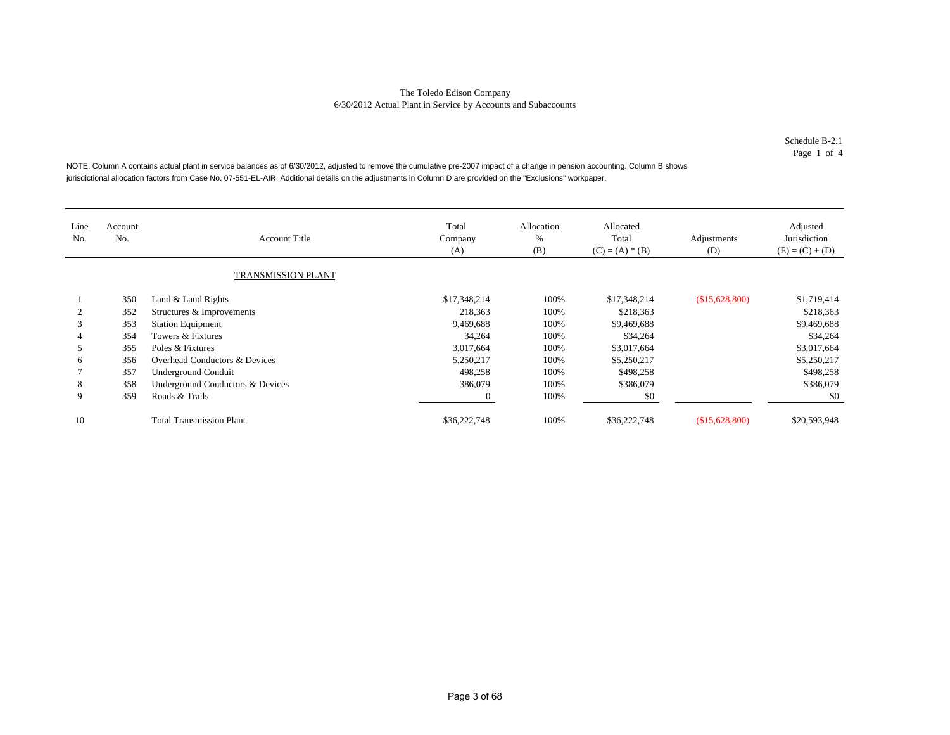Schedule B-2.1Page 1 of 4

NOTE: Column A contains actual plant in service balances as of 6/30/2012, adjusted to remove the cumulative pre-2007 impact of a change in pension accounting. Column B shows jurisdictional allocation factors from Case No. 07-551-EL-AIR. Additional details on the adjustments in Column D are provided on the "Exclusions" workpaper.

| Line<br>No. | Account<br>No. | <b>Account Title</b>             | Total<br>Company<br>(A) | Allocation<br>%<br>(B) | Allocated<br>Total<br>$(C) = (A) * (B)$ | Adjustments<br>(D) | Adjusted<br>Jurisdiction<br>$(E) = (C) + (D)$ |
|-------------|----------------|----------------------------------|-------------------------|------------------------|-----------------------------------------|--------------------|-----------------------------------------------|
|             |                | TRANSMISSION PLANT               |                         |                        |                                         |                    |                                               |
|             | 350            | Land & Land Rights               | \$17,348,214            | 100%                   | \$17,348,214                            | \$15,628,800       | \$1,719,414                                   |
|             | 352            | Structures & Improvements        | 218,363                 | 100%                   | \$218,363                               |                    | \$218,363                                     |
|             | 353            | <b>Station Equipment</b>         | 9,469,688               | 100%                   | \$9,469,688                             |                    | \$9,469,688                                   |
|             | 354            | Towers & Fixtures                | 34,264                  | 100%                   | \$34,264                                |                    | \$34,264                                      |
|             | 355            | Poles & Fixtures                 | 3,017,664               | 100%                   | \$3,017,664                             |                    | \$3,017,664                                   |
| 6           | 356            | Overhead Conductors & Devices    | 5,250,217               | 100%                   | \$5,250,217                             |                    | \$5,250,217                                   |
|             | 357            | <b>Underground Conduit</b>       | 498,258                 | 100%                   | \$498,258                               |                    | \$498,258                                     |
| 8           | 358            | Underground Conductors & Devices | 386,079                 | 100%                   | \$386,079                               |                    | \$386,079                                     |
| 9           | 359            | Roads & Trails                   | 0                       | 100%                   | \$0                                     |                    | \$0                                           |
| 10          |                | <b>Total Transmission Plant</b>  | \$36,222,748            | 100%                   | \$36,222,748                            | \$15,628,800       | \$20,593,948                                  |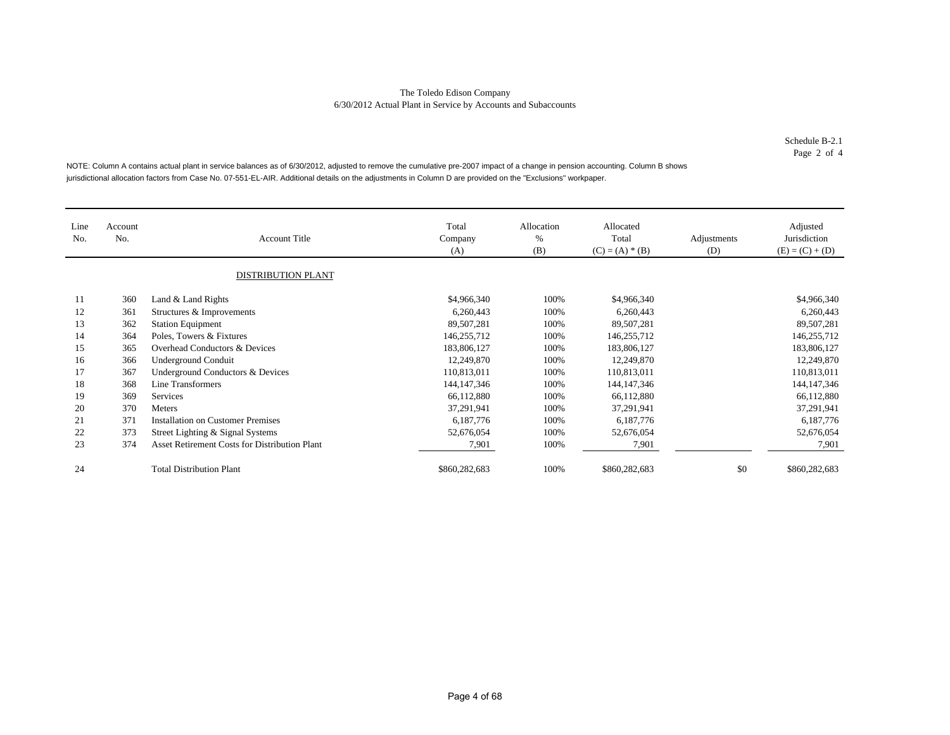Schedule B-2.1Page 2 of 4

NOTE: Column A contains actual plant in service balances as of 6/30/2012, adjusted to remove the cumulative pre-2007 impact of a change in pension accounting. Column B shows jurisdictional allocation factors from Case No. 07-551-EL-AIR. Additional details on the adjustments in Column D are provided on the "Exclusions" workpaper.

| Line<br>No. | Account<br>No. | <b>Account Title</b><br><b>DISTRIBUTION PLANT</b>    | Total<br>Company<br>(A) | Allocation<br>$\%$<br>(B) | Allocated<br>Total<br>$(C) = (A) * (B)$ | Adjustments<br>(D) | Adjusted<br>Jurisdiction<br>$(E) = (C) + (D)$ |
|-------------|----------------|------------------------------------------------------|-------------------------|---------------------------|-----------------------------------------|--------------------|-----------------------------------------------|
| 11          | 360            | Land & Land Rights                                   | \$4,966,340             | 100%                      | \$4,966,340                             |                    | \$4,966,340                                   |
| 12          | 361            | Structures & Improvements                            | 6,260,443               | 100%                      | 6,260,443                               |                    | 6,260,443                                     |
| 13          | 362            | <b>Station Equipment</b>                             | 89,507,281              | 100%                      | 89,507,281                              |                    | 89,507,281                                    |
| 14          | 364            | Poles, Towers & Fixtures                             | 146,255,712             | 100%                      | 146,255,712                             |                    | 146,255,712                                   |
| 15          | 365            | Overhead Conductors & Devices                        | 183,806,127             | 100%                      | 183,806,127                             |                    | 183,806,127                                   |
| 16          | 366            | <b>Underground Conduit</b>                           | 12,249,870              | 100%                      | 12,249,870                              |                    | 12,249,870                                    |
| 17          | 367            | Underground Conductors & Devices                     | 110,813,011             | 100%                      | 110,813,011                             |                    | 110,813,011                                   |
| 18          | 368            | Line Transformers                                    | 144, 147, 346           | 100%                      | 144, 147, 346                           |                    | 144, 147, 346                                 |
| 19          | 369            | Services                                             | 66,112,880              | 100%                      | 66,112,880                              |                    | 66,112,880                                    |
| 20          | 370            | <b>Meters</b>                                        | 37,291,941              | 100%                      | 37,291,941                              |                    | 37,291,941                                    |
| 21          | 371            | <b>Installation on Customer Premises</b>             | 6,187,776               | 100%                      | 6,187,776                               |                    | 6,187,776                                     |
| 22          | 373            | Street Lighting & Signal Systems                     | 52,676,054              | 100%                      | 52,676,054                              |                    | 52,676,054                                    |
| 23          | 374            | <b>Asset Retirement Costs for Distribution Plant</b> | 7,901                   | 100%                      | 7,901                                   |                    | 7,901                                         |
| 24          |                | <b>Total Distribution Plant</b>                      | \$860,282,683           | 100%                      | \$860,282,683                           | \$0                | \$860,282,683                                 |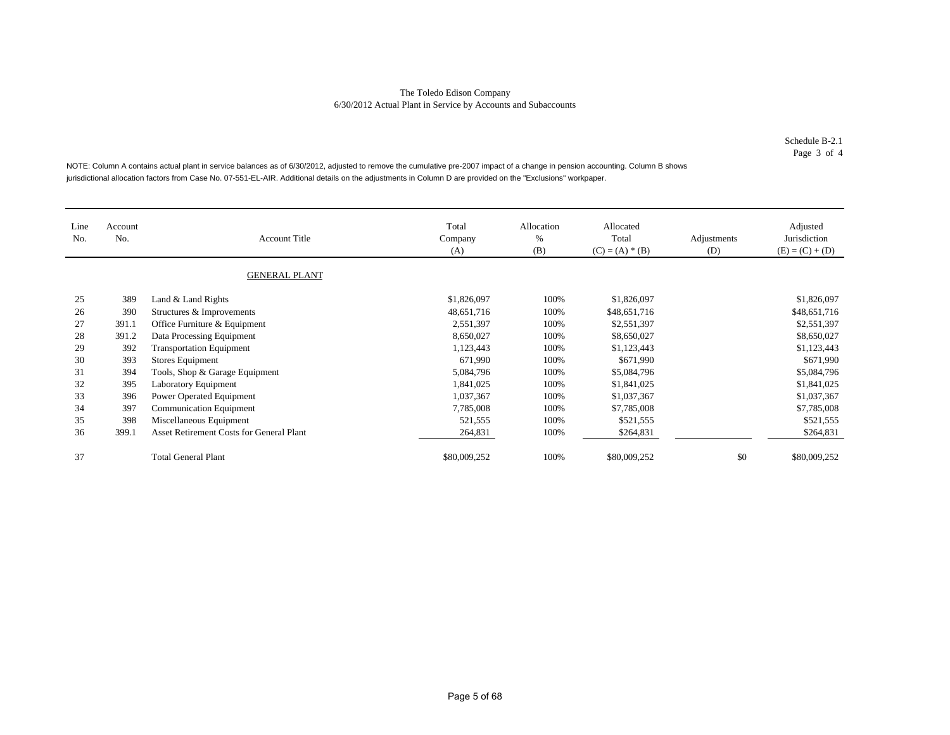Schedule B-2.1Page 3 of 4

NOTE: Column A contains actual plant in service balances as of 6/30/2012, adjusted to remove the cumulative pre-2007 impact of a change in pension accounting. Column B shows jurisdictional allocation factors from Case No. 07-551-EL-AIR. Additional details on the adjustments in Column D are provided on the "Exclusions" workpaper.

| Line<br>No. | Account<br>No. | <b>Account Title</b><br><b>GENERAL PLANT</b>    | Total<br>Company<br>(A) | Allocation<br>%<br>(B) | Allocated<br>Total<br>$(C) = (A) * (B)$ | Adjustments<br>(D) | Adjusted<br>Jurisdiction<br>$(E) = (C) + (D)$ |
|-------------|----------------|-------------------------------------------------|-------------------------|------------------------|-----------------------------------------|--------------------|-----------------------------------------------|
| 25          | 389            | Land & Land Rights                              | \$1,826,097             | 100%                   | \$1,826,097                             |                    | \$1,826,097                                   |
| 26          | 390            | Structures & Improvements                       | 48,651,716              | 100%                   | \$48,651,716                            |                    | \$48,651,716                                  |
| 27          | 391.1          | Office Furniture & Equipment                    | 2,551,397               | 100%                   | \$2,551,397                             |                    | \$2,551,397                                   |
| 28          | 391.2          | Data Processing Equipment                       | 8,650,027               | 100%                   | \$8,650,027                             |                    | \$8,650,027                                   |
| 29          | 392            | <b>Transportation Equipment</b>                 | 1,123,443               | 100%                   | \$1,123,443                             |                    | \$1,123,443                                   |
| 30          | 393            | <b>Stores Equipment</b>                         | 671,990                 | 100%                   | \$671,990                               |                    | \$671,990                                     |
| 31          | 394            | Tools, Shop & Garage Equipment                  | 5,084,796               | 100%                   | \$5,084,796                             |                    | \$5,084,796                                   |
| 32          | 395            | Laboratory Equipment                            | 1,841,025               | 100%                   | \$1,841,025                             |                    | \$1,841,025                                   |
| 33          | 396            | Power Operated Equipment                        | 1,037,367               | 100%                   | \$1,037,367                             |                    | \$1,037,367                                   |
| 34          | 397            | <b>Communication Equipment</b>                  | 7,785,008               | 100%                   | \$7,785,008                             |                    | \$7,785,008                                   |
| 35          | 398            | Miscellaneous Equipment                         | 521,555                 | 100%                   | \$521,555                               |                    | \$521,555                                     |
| 36          | 399.1          | <b>Asset Retirement Costs for General Plant</b> | 264,831                 | 100%                   | \$264,831                               |                    | \$264,831                                     |
| 37          |                | <b>Total General Plant</b>                      | \$80,009,252            | 100%                   | \$80,009,252                            | \$0                | \$80,009,252                                  |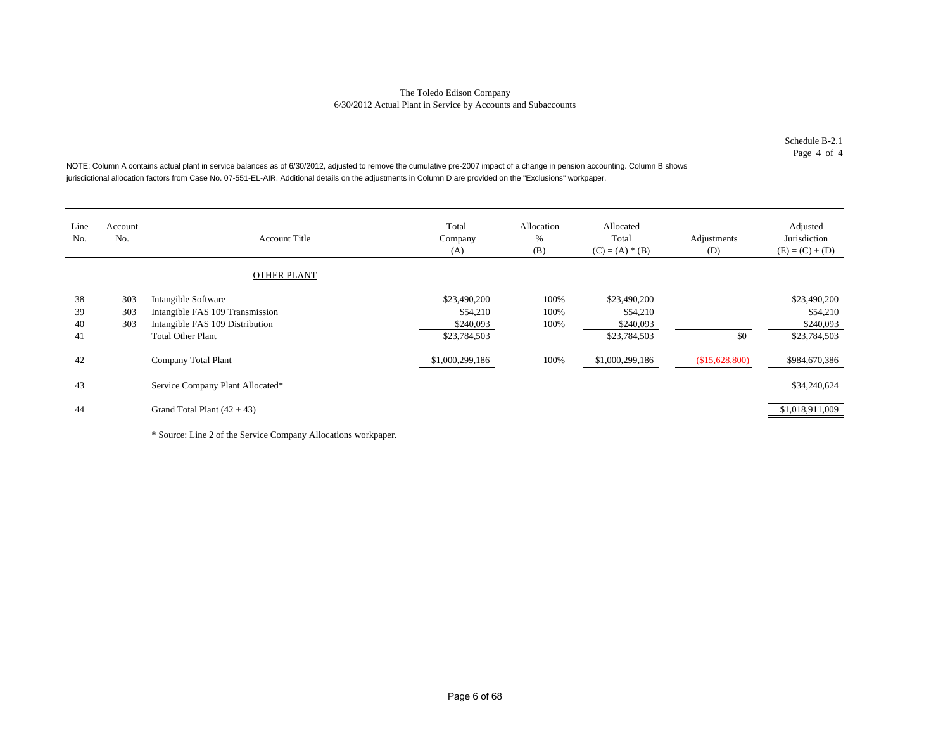Schedule B-2.1Page 4 of 4

NOTE: Column A contains actual plant in service balances as of 6/30/2012, adjusted to remove the cumulative pre-2007 impact of a change in pension accounting. Column B shows jurisdictional allocation factors from Case No. 07-551-EL-AIR. Additional details on the adjustments in Column D are provided on the "Exclusions" workpaper.

| Line<br>No.          | Account<br>No.    | <b>Account Title</b>                                                                                                  | Total<br>Company<br>(A)                               | Allocation<br>%<br>(B) | Allocated<br>Total<br>$(C) = (A) * (B)$               | Adjustments<br>(D) | Adjusted<br>Jurisdiction<br>$(E) = (C) + (D)$         |
|----------------------|-------------------|-----------------------------------------------------------------------------------------------------------------------|-------------------------------------------------------|------------------------|-------------------------------------------------------|--------------------|-------------------------------------------------------|
|                      |                   | <b>OTHER PLANT</b>                                                                                                    |                                                       |                        |                                                       |                    |                                                       |
| 38<br>39<br>40<br>41 | 303<br>303<br>303 | Intangible Software<br>Intangible FAS 109 Transmission<br>Intangible FAS 109 Distribution<br><b>Total Other Plant</b> | \$23,490,200<br>\$54,210<br>\$240,093<br>\$23,784,503 | 100%<br>100%<br>100%   | \$23,490,200<br>\$54,210<br>\$240,093<br>\$23,784,503 | \$0                | \$23,490,200<br>\$54,210<br>\$240,093<br>\$23,784,503 |
| 42                   |                   | Company Total Plant                                                                                                   | \$1,000,299,186                                       | 100%                   | \$1,000,299,186                                       | (\$15,628,800)     | \$984,670,386                                         |
| 43                   |                   | Service Company Plant Allocated*                                                                                      |                                                       |                        |                                                       |                    | \$34,240,624                                          |
| 44                   |                   | Grand Total Plant $(42 + 43)$                                                                                         |                                                       |                        |                                                       |                    | \$1,018,911,009                                       |

\* Source: Line 2 of the Service Company Allocations workpaper.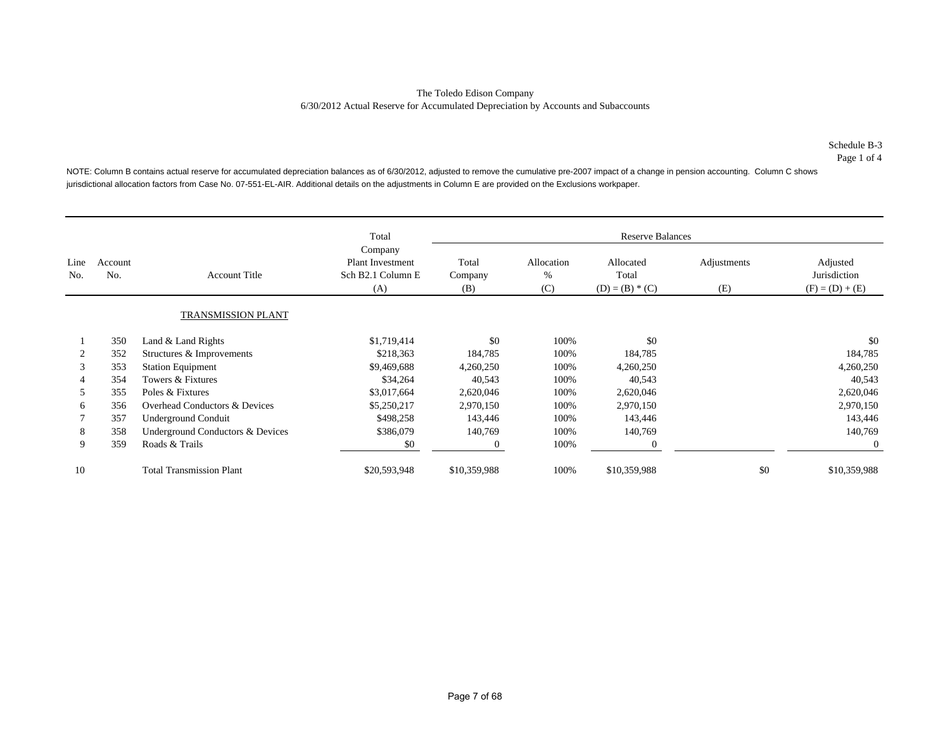Page 1 of 4

NOTE: Column B contains actual reserve for accumulated depreciation balances as of 6/30/2012, adjusted to remove the cumulative pre-2007 impact of a change in pension accounting. Column C shows jurisdictional allocation factors from Case No. 07-551-EL-AIR. Additional details on the adjustments in Column E are provided on the Exclusions workpaper.

|             |                           |                                  | Total                                                          |                         |                        | <b>Reserve Balances</b>                 |                    |                                               |
|-------------|---------------------------|----------------------------------|----------------------------------------------------------------|-------------------------|------------------------|-----------------------------------------|--------------------|-----------------------------------------------|
| Line<br>No. | Account<br>N <sub>o</sub> | <b>Account Title</b>             | Company<br><b>Plant Investment</b><br>Sch B2.1 Column E<br>(A) | Total<br>Company<br>(B) | Allocation<br>%<br>(C) | Allocated<br>Total<br>$(D) = (B) * (C)$ | Adjustments<br>(E) | Adjusted<br>Jurisdiction<br>$(F) = (D) + (E)$ |
|             |                           | <b>TRANSMISSION PLANT</b>        |                                                                |                         |                        |                                         |                    |                                               |
|             | 350                       | Land & Land Rights               | \$1,719,414                                                    | \$0                     | 100%                   | \$0                                     |                    | \$0                                           |
|             | 352                       | Structures & Improvements        | \$218,363                                                      | 184,785                 | 100%                   | 184,785                                 |                    | 184,785                                       |
|             | 353                       | <b>Station Equipment</b>         | \$9,469,688                                                    | 4,260,250               | 100%                   | 4,260,250                               |                    | 4,260,250                                     |
|             | 354                       | Towers & Fixtures                | \$34,264                                                       | 40,543                  | 100%                   | 40,543                                  |                    | 40,543                                        |
| 5           | 355                       | Poles & Fixtures                 | \$3,017,664                                                    | 2,620,046               | 100%                   | 2,620,046                               |                    | 2,620,046                                     |
| 6           | 356                       | Overhead Conductors & Devices    | \$5,250,217                                                    | 2,970,150               | 100%                   | 2,970,150                               |                    | 2,970,150                                     |
|             | 357                       | Underground Conduit              | \$498,258                                                      | 143,446                 | 100%                   | 143,446                                 |                    | 143,446                                       |
| 8           | 358                       | Underground Conductors & Devices | \$386,079                                                      | 140,769                 | 100%                   | 140,769                                 |                    | 140,769                                       |
| 9           | 359                       | Roads & Trails                   | \$0                                                            | $\overline{0}$          | 100%                   | $\theta$                                |                    | $\overline{0}$                                |
| 10          |                           | <b>Total Transmission Plant</b>  | \$20,593,948                                                   | \$10,359,988            | 100%                   | \$10,359,988                            | \$0                | \$10,359,988                                  |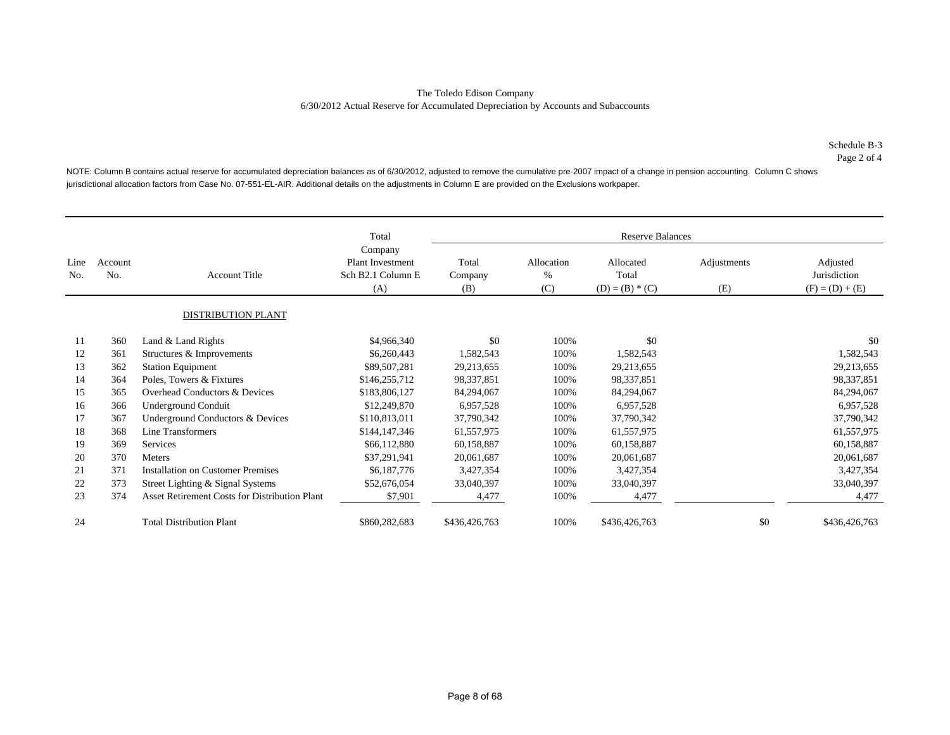NOTE: Column B contains actual reserve for accumulated depreciation balances as of 6/30/2012, adjusted to remove the cumulative pre-2007 impact of a change in pension accounting. Column C shows jurisdictional allocation factors from Case No. 07-551-EL-AIR. Additional details on the adjustments in Column E are provided on the Exclusions workpaper.

|             |                |                                               | Total                                                          |                         |                           | <b>Reserve Balances</b>                 |                    |                                               |
|-------------|----------------|-----------------------------------------------|----------------------------------------------------------------|-------------------------|---------------------------|-----------------------------------------|--------------------|-----------------------------------------------|
| Line<br>No. | Account<br>No. | <b>Account Title</b>                          | Company<br><b>Plant Investment</b><br>Sch B2.1 Column E<br>(A) | Total<br>Company<br>(B) | Allocation<br>$\%$<br>(C) | Allocated<br>Total<br>$(D) = (B) * (C)$ | Adjustments<br>(E) | Adjusted<br>Jurisdiction<br>$(F) = (D) + (E)$ |
|             |                | <b>DISTRIBUTION PLANT</b>                     |                                                                |                         |                           |                                         |                    |                                               |
| 11          | 360            | Land & Land Rights                            | \$4,966,340                                                    | \$0                     | 100%                      | \$0                                     |                    | \$0                                           |
| 12          | 361            | Structures & Improvements                     | \$6,260,443                                                    | 1,582,543               | 100%                      | 1,582,543                               |                    | 1,582,543                                     |
| 13          | 362            | <b>Station Equipment</b>                      | \$89,507,281                                                   | 29,213,655              | 100%                      | 29,213,655                              |                    | 29,213,655                                    |
| 14          | 364            | Poles, Towers & Fixtures                      | \$146,255,712                                                  | 98,337,851              | 100%                      | 98,337,851                              |                    | 98,337,851                                    |
| 15          | 365            | Overhead Conductors & Devices                 | \$183,806,127                                                  | 84,294,067              | 100%                      | 84,294,067                              |                    | 84,294,067                                    |
| 16          | 366            | Underground Conduit                           | \$12,249,870                                                   | 6,957,528               | 100%                      | 6,957,528                               |                    | 6,957,528                                     |
| 17          | 367            | Underground Conductors & Devices              | \$110,813,011                                                  | 37,790,342              | 100%                      | 37,790,342                              |                    | 37,790,342                                    |
| 18          | 368            | Line Transformers                             | \$144,147,346                                                  | 61,557,975              | 100%                      | 61,557,975                              |                    | 61,557,975                                    |
| 19          | 369            | Services                                      | \$66,112,880                                                   | 60,158,887              | 100%                      | 60,158,887                              |                    | 60,158,887                                    |
| 20          | 370            | Meters                                        | \$37,291,941                                                   | 20,061,687              | 100%                      | 20,061,687                              |                    | 20,061,687                                    |
| 21          | 371            | <b>Installation on Customer Premises</b>      | \$6,187,776                                                    | 3,427,354               | 100%                      | 3,427,354                               |                    | 3,427,354                                     |
| 22          | 373            | Street Lighting & Signal Systems              | \$52,676,054                                                   | 33,040,397              | 100%                      | 33,040,397                              |                    | 33,040,397                                    |
| 23          | 374            | Asset Retirement Costs for Distribution Plant | \$7,901                                                        | 4,477                   | 100%                      | 4,477                                   |                    | 4,477                                         |
| 24          |                | <b>Total Distribution Plant</b>               | \$860,282,683                                                  | \$436,426,763           | 100%                      | \$436,426,763                           | \$0                | \$436,426,763                                 |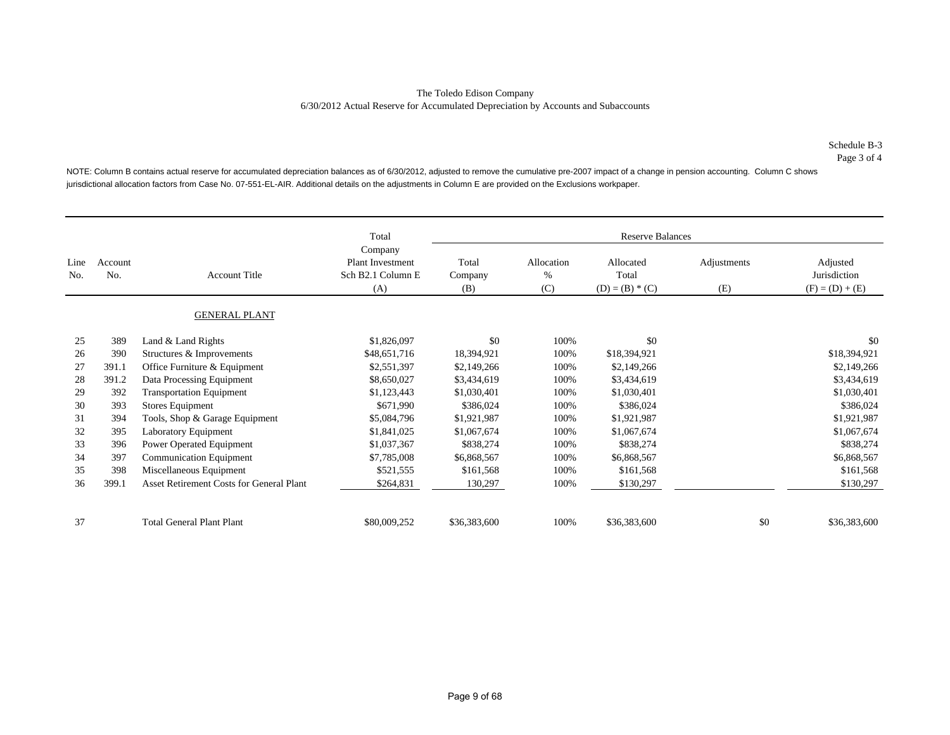NOTE: Column B contains actual reserve for accumulated depreciation balances as of 6/30/2012, adjusted to remove the cumulative pre-2007 impact of a change in pension accounting. Column C shows jurisdictional allocation factors from Case No. 07-551-EL-AIR. Additional details on the adjustments in Column E are provided on the Exclusions workpaper.

|             |                |                                                                                        | Total                   |                        |                                         | <b>Reserve Balances</b> |                                               |              |
|-------------|----------------|----------------------------------------------------------------------------------------|-------------------------|------------------------|-----------------------------------------|-------------------------|-----------------------------------------------|--------------|
| Line<br>No. | Account<br>No. | Company<br><b>Plant Investment</b><br>Sch B2.1 Column E<br><b>Account Title</b><br>(A) | Total<br>Company<br>(B) | Allocation<br>%<br>(C) | Allocated<br>Total<br>$(D) = (B) * (C)$ | Adjustments<br>(E)      | Adjusted<br>Jurisdiction<br>$(F) = (D) + (E)$ |              |
|             |                | <b>GENERAL PLANT</b>                                                                   |                         |                        |                                         |                         |                                               |              |
| 25          | 389            | Land & Land Rights                                                                     | \$1,826,097             | \$0                    | 100%                                    | \$0                     |                                               | \$0          |
| 26          | 390            | Structures & Improvements                                                              | \$48,651,716            | 18,394,921             | 100%                                    | \$18,394,921            |                                               | \$18,394,921 |
| 27          | 391.1          | Office Furniture & Equipment                                                           | \$2,551,397             | \$2,149,266            | 100%                                    | \$2,149,266             |                                               | \$2,149,266  |
| 28          | 391.2          | Data Processing Equipment                                                              | \$8,650,027             | \$3,434,619            | 100%                                    | \$3,434,619             |                                               | \$3,434,619  |
| 29          | 392            | <b>Transportation Equipment</b>                                                        | \$1,123,443             | \$1,030,401            | 100%                                    | \$1,030,401             |                                               | \$1,030,401  |
| 30          | 393            | Stores Equipment                                                                       | \$671,990               | \$386,024              | 100%                                    | \$386,024               |                                               | \$386,024    |
| 31          | 394            | Tools, Shop & Garage Equipment                                                         | \$5,084,796             | \$1,921,987            | 100%                                    | \$1,921,987             |                                               | \$1,921,987  |
| 32          | 395            | Laboratory Equipment                                                                   | \$1,841,025             | \$1,067,674            | 100%                                    | \$1,067,674             |                                               | \$1,067,674  |
| 33          | 396            | Power Operated Equipment                                                               | \$1,037,367             | \$838,274              | 100%                                    | \$838,274               |                                               | \$838,274    |
| 34          | 397            | <b>Communication Equipment</b>                                                         | \$7,785,008             | \$6,868,567            | 100%                                    | \$6,868,567             |                                               | \$6,868,567  |
| 35          | 398            | Miscellaneous Equipment                                                                | \$521,555               | \$161,568              | 100%                                    | \$161,568               |                                               | \$161,568    |
| 36          | 399.1          | Asset Retirement Costs for General Plant                                               | \$264,831               | 130,297                | 100%                                    | \$130,297               |                                               | \$130,297    |
| 37          |                | <b>Total General Plant Plant</b>                                                       | \$80,009,252            | \$36,383,600           | 100%                                    | \$36,383,600            | \$0                                           | \$36,383,600 |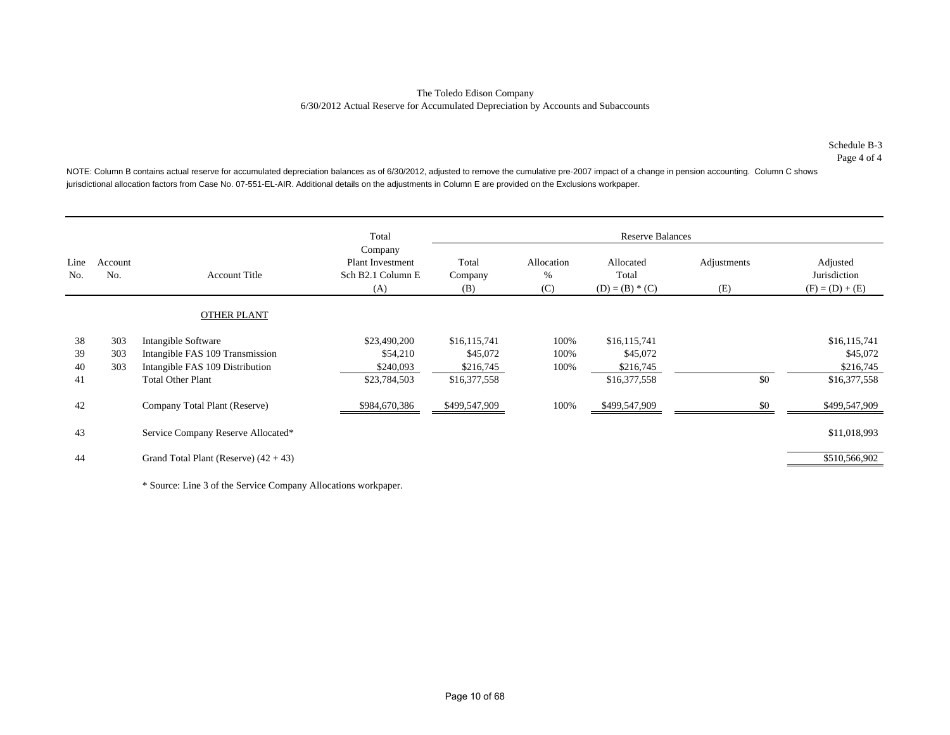Page 4 of 4

NOTE: Column B contains actual reserve for accumulated depreciation balances as of 6/30/2012, adjusted to remove the cumulative pre-2007 impact of a change in pension accounting. Column C shows jurisdictional allocation factors from Case No. 07-551-EL-AIR. Additional details on the adjustments in Column E are provided on the Exclusions workpaper.

|             |                |                                         | Total                                                          |                         |                        | <b>Reserve Balances</b>                 |                    |                                               |
|-------------|----------------|-----------------------------------------|----------------------------------------------------------------|-------------------------|------------------------|-----------------------------------------|--------------------|-----------------------------------------------|
| Line<br>No. | Account<br>No. | <b>Account Title</b>                    | Company<br><b>Plant Investment</b><br>Sch B2.1 Column E<br>(A) | Total<br>Company<br>(B) | Allocation<br>%<br>(C) | Allocated<br>Total<br>$(D) = (B) * (C)$ | Adjustments<br>(E) | Adjusted<br>Jurisdiction<br>$(F) = (D) + (E)$ |
|             |                | <b>OTHER PLANT</b>                      |                                                                |                         |                        |                                         |                    |                                               |
| 38          | 303            | Intangible Software                     | \$23,490,200                                                   | \$16,115,741            | 100%                   | \$16,115,741                            |                    | \$16,115,741                                  |
| 39          | 303            | Intangible FAS 109 Transmission         | \$54,210                                                       | \$45,072                | 100%                   | \$45,072                                |                    | \$45,072                                      |
| 40          | 303            | Intangible FAS 109 Distribution         | \$240,093                                                      | \$216,745               | 100%                   | \$216,745                               |                    | \$216,745                                     |
| 41          |                | <b>Total Other Plant</b>                | \$23,784,503                                                   | \$16,377,558            |                        | \$16,377,558                            | \$0                | \$16,377,558                                  |
| 42          |                | Company Total Plant (Reserve)           | \$984,670,386                                                  | \$499,547,909           | 100%                   | \$499,547,909                           | \$0                | \$499,547,909                                 |
| 43          |                | Service Company Reserve Allocated*      |                                                                |                         |                        |                                         |                    | \$11,018,993                                  |
| 44          |                | Grand Total Plant (Reserve) $(42 + 43)$ |                                                                |                         |                        |                                         |                    | \$510,566,902                                 |

\* Source: Line 3 of the Service Company Allocations workpaper.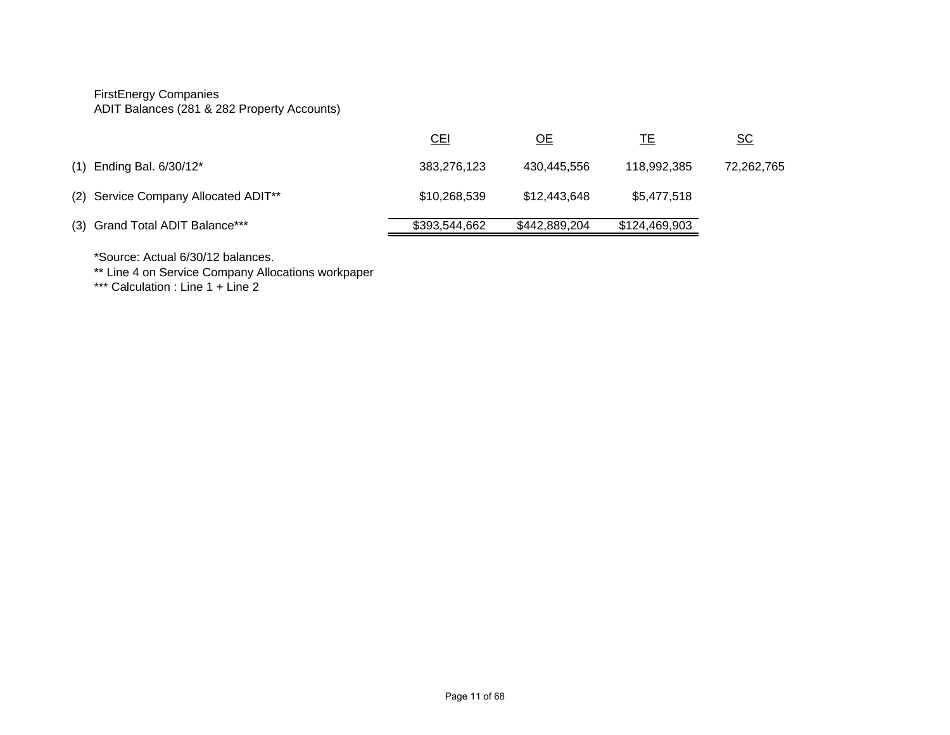# FirstEnergy Companies

ADIT Balances (281 & 282 Property Accounts)

|                                      | <u>CEI</u>    | <u>OE</u>     | <u>ТЕ</u>     | <u>sc</u>  |
|--------------------------------------|---------------|---------------|---------------|------------|
| $(1)$ Ending Bal. $6/30/12^*$        | 383,276,123   | 430,445,556   | 118.992.385   | 72,262,765 |
| (2) Service Company Allocated ADIT** | \$10,268,539  | \$12,443,648  | \$5,477,518   |            |
| (3) Grand Total ADIT Balance***      | \$393,544,662 | \$442,889,204 | \$124,469,903 |            |

\*Source: Actual 6/30/12 balances.

\*\* Line 4 on Service Company Allocations workpaper

\*\*\* Calculation : Line 1 + Line 2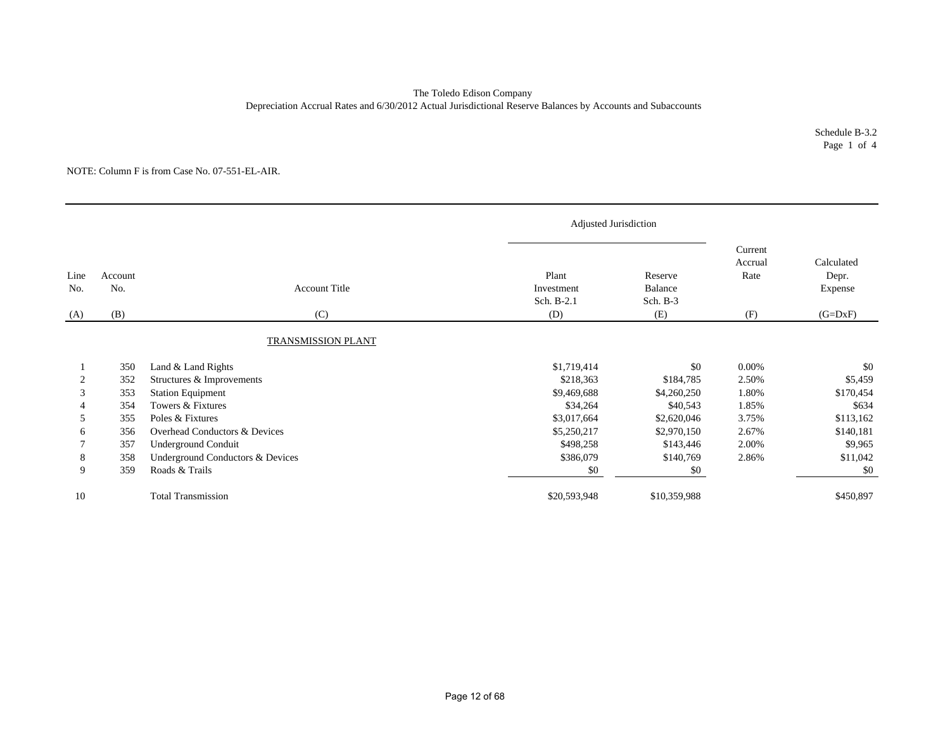### The Toledo Edison Company Depreciation Accrual Rates and 6/30/2012 Actual Jurisdictional Reserve Balances by Accounts and Subaccounts

Schedule B-3.2 Page 1 of 4

|             |                |                                  | Adjusted Jurisdiction             |                                |                            |                                |
|-------------|----------------|----------------------------------|-----------------------------------|--------------------------------|----------------------------|--------------------------------|
| Line<br>No. | Account<br>No. | <b>Account Title</b>             | Plant<br>Investment<br>Sch. B-2.1 | Reserve<br>Balance<br>Sch. B-3 | Current<br>Accrual<br>Rate | Calculated<br>Depr.<br>Expense |
| (A)         | (B)            | (C)                              | (D)                               | (E)                            | (F)                        | $(G=DxF)$                      |
|             |                | TRANSMISSION PLANT               |                                   |                                |                            |                                |
|             | 350            | Land & Land Rights               | \$1,719,414                       | \$0                            | 0.00%                      | \$0                            |
|             | 352            | Structures & Improvements        | \$218,363                         | \$184,785                      | 2.50%                      | \$5,459                        |
| 3           | 353            | <b>Station Equipment</b>         | \$9,469,688                       | \$4,260,250                    | 1.80%                      | \$170,454                      |
|             | 354            | Towers & Fixtures                | \$34,264                          | \$40,543                       | 1.85%                      | \$634                          |
| 5           | 355            | Poles & Fixtures                 | \$3,017,664                       | \$2,620,046                    | 3.75%                      | \$113,162                      |
| 6           | 356            | Overhead Conductors & Devices    | \$5,250,217                       | \$2,970,150                    | 2.67%                      | \$140,181                      |
|             | 357            | Underground Conduit              | \$498,258                         | \$143,446                      | 2.00%                      | \$9,965                        |
| 8           | 358            | Underground Conductors & Devices | \$386,079                         | \$140,769                      | 2.86%                      | \$11,042                       |
| 9           | 359            | Roads & Trails                   | \$0                               | \$0                            |                            | \$0                            |
| 10          |                | <b>Total Transmission</b>        | \$20,593,948                      | \$10,359,988                   |                            | \$450,897                      |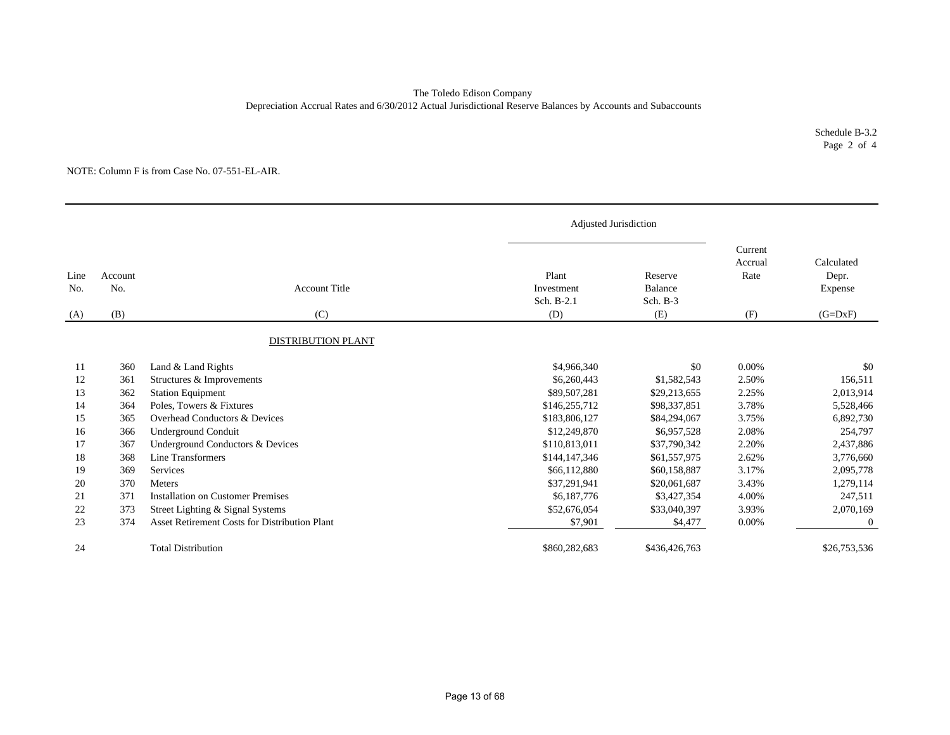### The Toledo Edison Company Depreciation Accrual Rates and 6/30/2012 Actual Jurisdictional Reserve Balances by Accounts and Subaccounts

Schedule B-3.2 Page 2 of 4

|             |                |                                               |                                   | Adjusted Jurisdiction            |                            |                                |
|-------------|----------------|-----------------------------------------------|-----------------------------------|----------------------------------|----------------------------|--------------------------------|
| Line<br>No. | Account<br>No. | <b>Account Title</b>                          | Plant<br>Investment<br>Sch. B-2.1 | Reserve<br>Balance<br>Sch. $B-3$ | Current<br>Accrual<br>Rate | Calculated<br>Depr.<br>Expense |
| (A)         | (B)            | (C)                                           | (D)                               | (E)                              | (F)                        | $(G=DxF)$                      |
|             |                | DISTRIBUTION PLANT                            |                                   |                                  |                            |                                |
| 11          | 360            | Land & Land Rights                            | \$4,966,340                       | \$0                              | 0.00%                      | \$0                            |
| 12          | 361            | Structures & Improvements                     | \$6,260,443                       | \$1,582,543                      | 2.50%                      | 156,511                        |
| 13          | 362            | <b>Station Equipment</b>                      | \$89,507,281                      | \$29,213,655                     | 2.25%                      | 2,013,914                      |
| 14          | 364            | Poles, Towers & Fixtures                      | \$146,255,712                     | \$98,337,851                     | 3.78%                      | 5,528,466                      |
| 15          | 365            | Overhead Conductors & Devices                 | \$183,806,127                     | \$84,294,067                     | 3.75%                      | 6,892,730                      |
| 16          | 366            | Underground Conduit                           | \$12,249,870                      | \$6,957,528                      | 2.08%                      | 254,797                        |
| 17          | 367            | Underground Conductors & Devices              | \$110,813,011                     | \$37,790,342                     | 2.20%                      | 2,437,886                      |
| 18          | 368            | Line Transformers                             | \$144,147,346                     | \$61,557,975                     | 2.62%                      | 3,776,660                      |
| 19          | 369            | Services                                      | \$66,112,880                      | \$60,158,887                     | 3.17%                      | 2,095,778                      |
| 20          | 370            | <b>Meters</b>                                 | \$37,291,941                      | \$20,061,687                     | 3.43%                      | 1,279,114                      |
| 21          | 371            | <b>Installation on Customer Premises</b>      | \$6,187,776                       | \$3,427,354                      | 4.00%                      | 247,511                        |
| 22          | 373            | Street Lighting & Signal Systems              | \$52,676,054                      | \$33,040,397                     | 3.93%                      | 2,070,169                      |
| 23          | 374            | Asset Retirement Costs for Distribution Plant | \$7,901                           | \$4,477                          | 0.00%                      | $\boldsymbol{0}$               |
| 24          |                | <b>Total Distribution</b>                     | \$860,282,683                     | \$436,426,763                    |                            | \$26,753,536                   |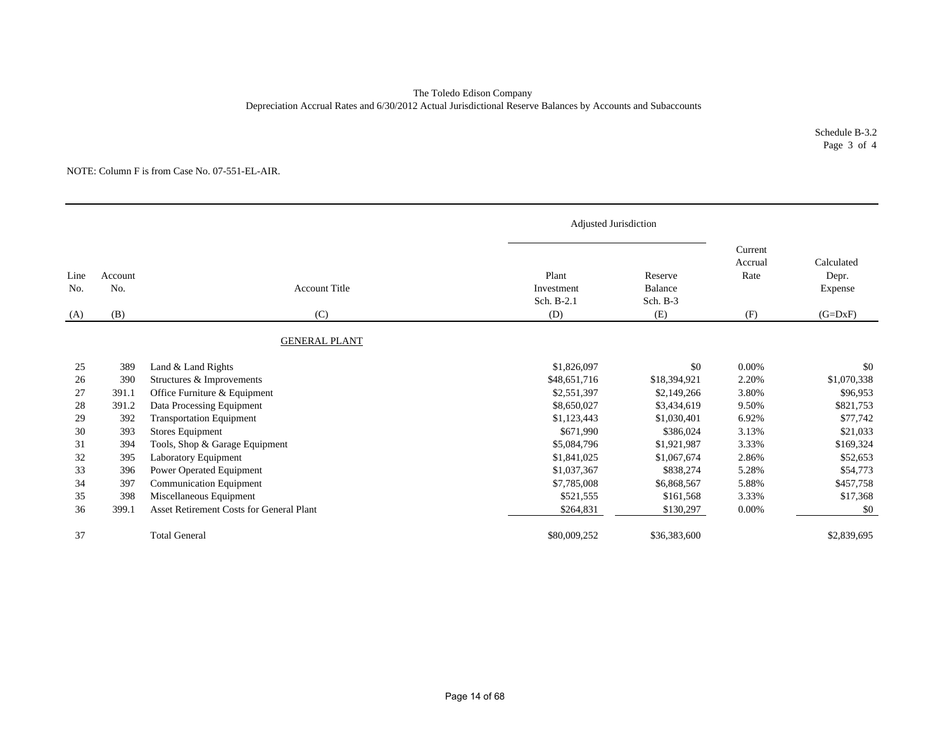### The Toledo Edison Company Depreciation Accrual Rates and 6/30/2012 Actual Jurisdictional Reserve Balances by Accounts and Subaccounts

Schedule B-3.2 Page 3 of 4

|             |                |                                          |                                   | Adjusted Jurisdiction          |                            |                                |
|-------------|----------------|------------------------------------------|-----------------------------------|--------------------------------|----------------------------|--------------------------------|
| Line<br>No. | Account<br>No. | <b>Account Title</b>                     | Plant<br>Investment<br>Sch. B-2.1 | Reserve<br>Balance<br>Sch. B-3 | Current<br>Accrual<br>Rate | Calculated<br>Depr.<br>Expense |
| (A)         | (B)            | (C)                                      | (D)                               | (E)                            | (F)                        | $(G=DxF)$                      |
|             |                | <b>GENERAL PLANT</b>                     |                                   |                                |                            |                                |
| 25          | 389            | Land & Land Rights                       | \$1,826,097                       | \$0                            | 0.00%                      | \$0                            |
| 26          | 390            | Structures & Improvements                | \$48,651,716                      | \$18,394,921                   | 2.20%                      | \$1,070,338                    |
| 27          | 391.1          | Office Furniture & Equipment             | \$2,551,397                       | \$2,149,266                    | 3.80%                      | \$96,953                       |
| 28          | 391.2          | Data Processing Equipment                | \$8,650,027                       | \$3,434,619                    | 9.50%                      | \$821,753                      |
| 29          | 392            | <b>Transportation Equipment</b>          | \$1,123,443                       | \$1,030,401                    | 6.92%                      | \$77,742                       |
| 30          | 393            | Stores Equipment                         | \$671,990                         | \$386,024                      | 3.13%                      | \$21,033                       |
| 31          | 394            | Tools, Shop & Garage Equipment           | \$5,084,796                       | \$1,921,987                    | 3.33%                      | \$169,324                      |
| 32          | 395            | Laboratory Equipment                     | \$1,841,025                       | \$1,067,674                    | 2.86%                      | \$52,653                       |
| 33          | 396            | Power Operated Equipment                 | \$1,037,367                       | \$838,274                      | 5.28%                      | \$54,773                       |
| 34          | 397            | <b>Communication Equipment</b>           | \$7,785,008                       | \$6,868,567                    | 5.88%                      | \$457,758                      |
| 35          | 398            | Miscellaneous Equipment                  | \$521,555                         | \$161,568                      | 3.33%                      | \$17,368                       |
| 36          | 399.1          | Asset Retirement Costs for General Plant | \$264,831                         | \$130,297                      | 0.00%                      | \$0                            |
| 37          |                | <b>Total General</b>                     | \$80,009,252                      | \$36,383,600                   |                            | \$2,839,695                    |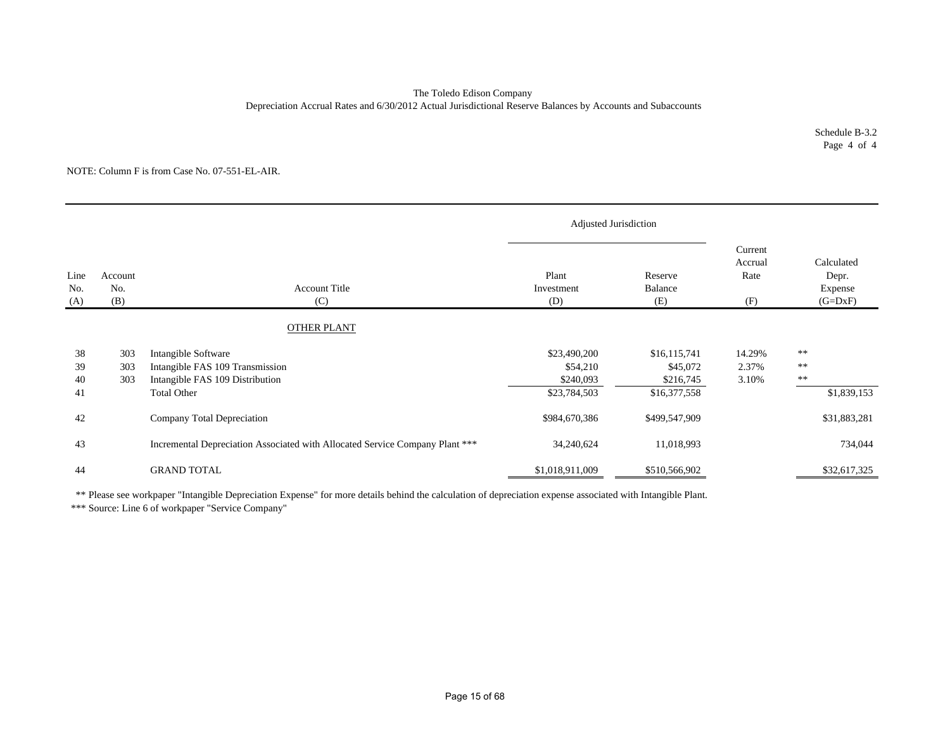#### Depreciation Accrual Rates and 6/30/2012 Actual Jurisdictional Reserve Balances by Accounts and Subaccounts The Toledo Edison Company

Schedule B-3.2 Page 4 of 4

#### NOTE: Column F is from Case No. 07-551-EL-AIR.

|                    |                       |                                                                              | Adjusted Jurisdiction      |                           |                                   |                                             |
|--------------------|-----------------------|------------------------------------------------------------------------------|----------------------------|---------------------------|-----------------------------------|---------------------------------------------|
| Line<br>No.<br>(A) | Account<br>No.<br>(B) | <b>Account Title</b><br>(C)                                                  | Plant<br>Investment<br>(D) | Reserve<br>Balance<br>(E) | Current<br>Accrual<br>Rate<br>(F) | Calculated<br>Depr.<br>Expense<br>$(G=DxF)$ |
|                    |                       | <b>OTHER PLANT</b>                                                           |                            |                           |                                   |                                             |
|                    |                       |                                                                              |                            |                           |                                   |                                             |
| 38                 | 303                   | Intangible Software                                                          | \$23,490,200               | \$16,115,741              | 14.29%                            | $\ast\ast$                                  |
| 39                 | 303                   | Intangible FAS 109 Transmission                                              | \$54,210                   | \$45,072                  | 2.37%                             | $\ast\ast$                                  |
| 40                 | 303                   | Intangible FAS 109 Distribution                                              | \$240,093                  | \$216,745                 | 3.10%                             | $\ast\ast$                                  |
| 41                 |                       | <b>Total Other</b>                                                           | \$23,784,503               | \$16,377,558              |                                   | \$1,839,153                                 |
| 42                 |                       | Company Total Depreciation                                                   | \$984,670,386              | \$499,547,909             |                                   | \$31,883,281                                |
| 43                 |                       | Incremental Depreciation Associated with Allocated Service Company Plant *** | 34,240,624                 | 11,018,993                |                                   | 734,044                                     |
| 44                 |                       | <b>GRAND TOTAL</b>                                                           | \$1,018,911,009            | \$510,566,902             |                                   | \$32,617,325                                |

\*\* Please see workpaper "Intangible Depreciation Expense" for more details behind the calculation of depreciation expense associated with Intangible Plant.

\*\*\* Source: Line 6 of workpaper "Service Company"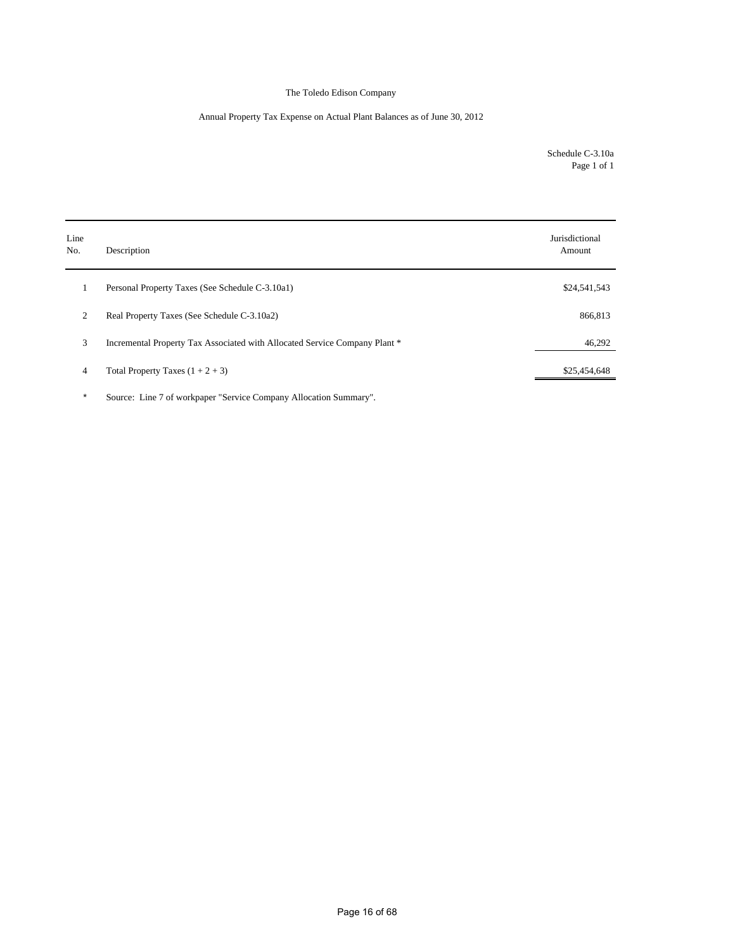### Annual Property Tax Expense on Actual Plant Balances as of June 30, 2012

Schedule C-3.10a Page 1 of 1

| Line<br>No. | Description                                                                | Jurisdictional<br>Amount |
|-------------|----------------------------------------------------------------------------|--------------------------|
| 1           | Personal Property Taxes (See Schedule C-3.10a1)                            | \$24,541,543             |
| 2           | Real Property Taxes (See Schedule C-3.10a2)                                | 866,813                  |
| 3           | Incremental Property Tax Associated with Allocated Service Company Plant * | 46,292                   |
| 4           | Total Property Taxes $(1 + 2 + 3)$                                         | \$25,454,648             |

\* Source: Line 7 of workpaper "Service Company Allocation Summary".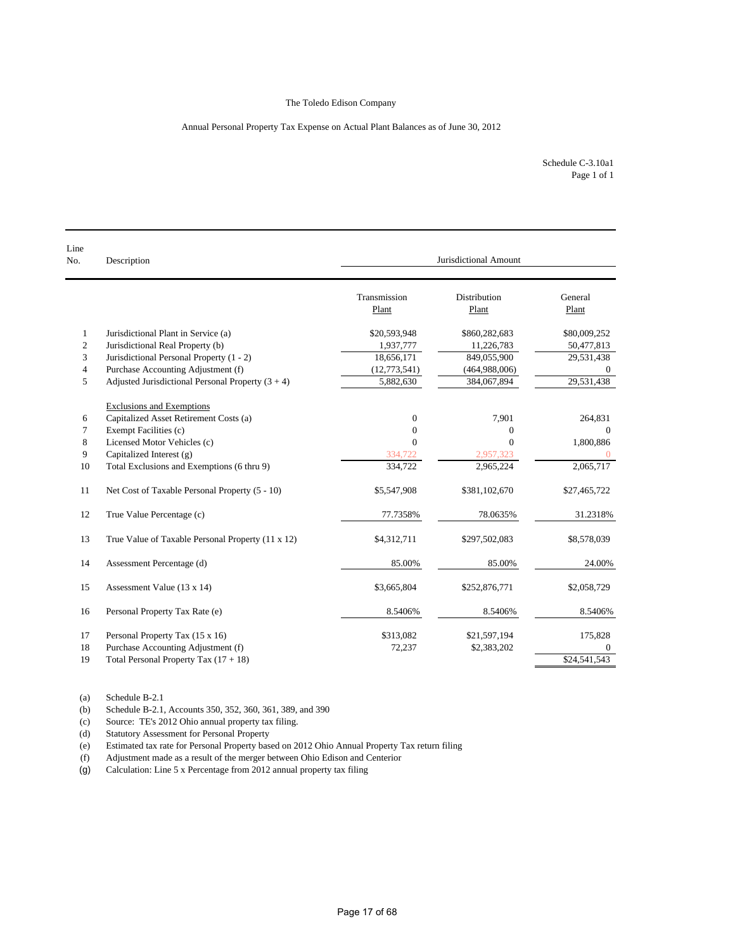#### Annual Personal Property Tax Expense on Actual Plant Balances as of June 30, 2012

Schedule C-3.10a1 Page 1 of 1

| Line<br>No.  | Description                                         | Jurisdictional Amount |                       |                  |  |  |
|--------------|-----------------------------------------------------|-----------------------|-----------------------|------------------|--|--|
|              |                                                     | Transmission<br>Plant | Distribution<br>Plant | General<br>Plant |  |  |
| $\mathbf{1}$ | Jurisdictional Plant in Service (a)                 | \$20,593,948          | \$860,282,683         | \$80,009,252     |  |  |
| 2            | Jurisdictional Real Property (b)                    | 1,937,777             | 11,226,783            | 50,477,813       |  |  |
| 3            | Jurisdictional Personal Property (1 - 2)            | 18,656,171            | 849,055,900           | 29,531,438       |  |  |
| 4            | Purchase Accounting Adjustment (f)                  | (12, 773, 541)        | (464,988,006)         |                  |  |  |
| 5            | Adjusted Jurisdictional Personal Property $(3 + 4)$ | 5,882,630             | 384,067,894           | 29,531,438       |  |  |
|              | <b>Exclusions and Exemptions</b>                    |                       |                       |                  |  |  |
| 6            | Capitalized Asset Retirement Costs (a)              | $\mathbf{0}$          | 7,901                 | 264,831          |  |  |
| 7            | Exempt Facilities (c)                               | $\theta$              | $\overline{0}$        | $\Omega$         |  |  |
| 8            | Licensed Motor Vehicles (c)                         | $\theta$              | $\Omega$              | 1,800,886        |  |  |
| 9            | Capitalized Interest (g)                            | 334,722               | 2,957,323             | $\overline{0}$   |  |  |
| 10           | Total Exclusions and Exemptions (6 thru 9)          | 334,722               | 2,965,224             | 2,065,717        |  |  |
| 11           | Net Cost of Taxable Personal Property (5 - 10)      | \$5,547,908           | \$381,102,670         | \$27,465,722     |  |  |
| 12           | True Value Percentage (c)                           | 77.7358%              | 78.0635%              | 31.2318%         |  |  |
| 13           | True Value of Taxable Personal Property (11 x 12)   | \$4,312,711           | \$297,502,083         | \$8,578,039      |  |  |
| 14           | Assessment Percentage (d)                           | 85.00%                | 85.00%                | 24.00%           |  |  |
| 15           | Assessment Value (13 x 14)                          | \$3,665,804           | \$252,876,771         | \$2,058,729      |  |  |
| 16           | Personal Property Tax Rate (e)                      | 8.5406%               | 8.5406%               | 8.5406%          |  |  |
| 17           | Personal Property Tax (15 x 16)                     | \$313,082             | \$21,597,194          | 175,828          |  |  |
| 18           | Purchase Accounting Adjustment (f)                  | 72,237                | \$2,383,202           | $\Omega$         |  |  |
| 19           | Total Personal Property Tax $(17 + 18)$             |                       |                       | \$24,541,543     |  |  |

(a) Schedule B-2.1

(b) Schedule B-2.1, Accounts 350, 352, 360, 361, 389, and 390

(c) Source: TE's 2012 Ohio annual property tax filing.

(d) Statutory Assessment for Personal Property<br>
(e) Estimated tax rate for Personal Property bas

Estimated tax rate for Personal Property based on 2012 Ohio Annual Property Tax return filing

(f) Adjustment made as a result of the merger between Ohio Edison and Centerior

(g) Calculation: Line 5 x Percentage from 2012 annual property tax filing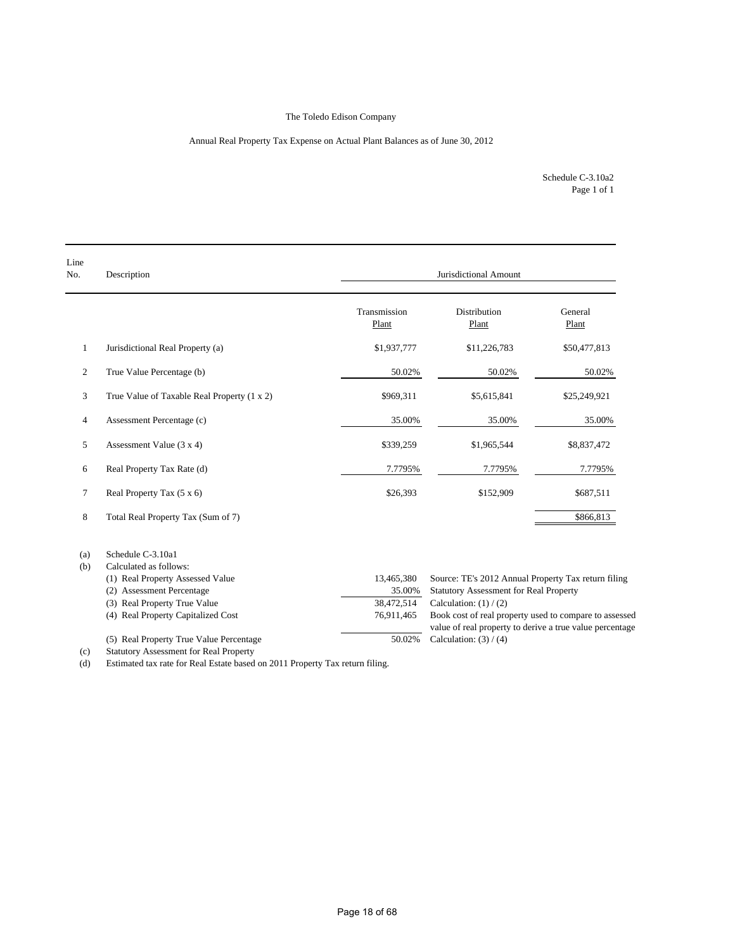### Annual Real Property Tax Expense on Actual Plant Balances as of June 30, 2012

Page 1 of 1 Schedule C-3.10a2

| Line<br>No.    | Description                                 |                       | Jurisdictional Amount                                    |                  |  |  |  |
|----------------|---------------------------------------------|-----------------------|----------------------------------------------------------|------------------|--|--|--|
|                |                                             | Transmission<br>Plant | <b>Distribution</b><br>Plant                             | General<br>Plant |  |  |  |
| $\mathbf{1}$   | Jurisdictional Real Property (a)            | \$1,937,777           | \$11,226,783                                             | \$50,477,813     |  |  |  |
| 2              | True Value Percentage (b)                   | 50.02%                | 50.02%                                                   | 50.02%           |  |  |  |
| 3              | True Value of Taxable Real Property (1 x 2) | \$969,311             | \$5,615,841                                              | \$25,249,921     |  |  |  |
| $\overline{4}$ | Assessment Percentage (c)                   | 35.00%                | 35.00%                                                   | 35.00%           |  |  |  |
| 5              | Assessment Value $(3 x 4)$                  | \$339,259             | \$1,965,544                                              | \$8,837,472      |  |  |  |
| 6              | Real Property Tax Rate (d)                  | 7.7795%               | 7.7795%                                                  | 7.7795%          |  |  |  |
| $\tau$         | Real Property Tax (5 x 6)                   | \$26,393              | \$152,909                                                | \$687,511        |  |  |  |
| 8              | Total Real Property Tax (Sum of 7)          |                       |                                                          | \$866,813        |  |  |  |
| (a)<br>(b)     | Schedule C-3.10a1<br>Calculated as follows: |                       |                                                          |                  |  |  |  |
|                | (1) Real Property Assessed Value            | 13,465,380            | Source: TE's 2012 Annual Property Tax return filing      |                  |  |  |  |
|                | (2) Assessment Percentage                   | 35.00%                | <b>Statutory Assessment for Real Property</b>            |                  |  |  |  |
|                | (3) Real Property True Value                | 38,472,514            | Calculation: $(1) / (2)$                                 |                  |  |  |  |
|                | (4) Real Property Capitalized Cost          | 76,911,465            | Book cost of real property used to compare to assessed   |                  |  |  |  |
|                |                                             |                       | value of real property to derive a true value percentage |                  |  |  |  |
|                | (5) Real Property True Value Percentage     | 50.02%                | Calculation: $(3) / (4)$                                 |                  |  |  |  |

(c) Statutory Assessment for Real Property

(d) Estimated tax rate for Real Estate based on 2011 Property Tax return filing.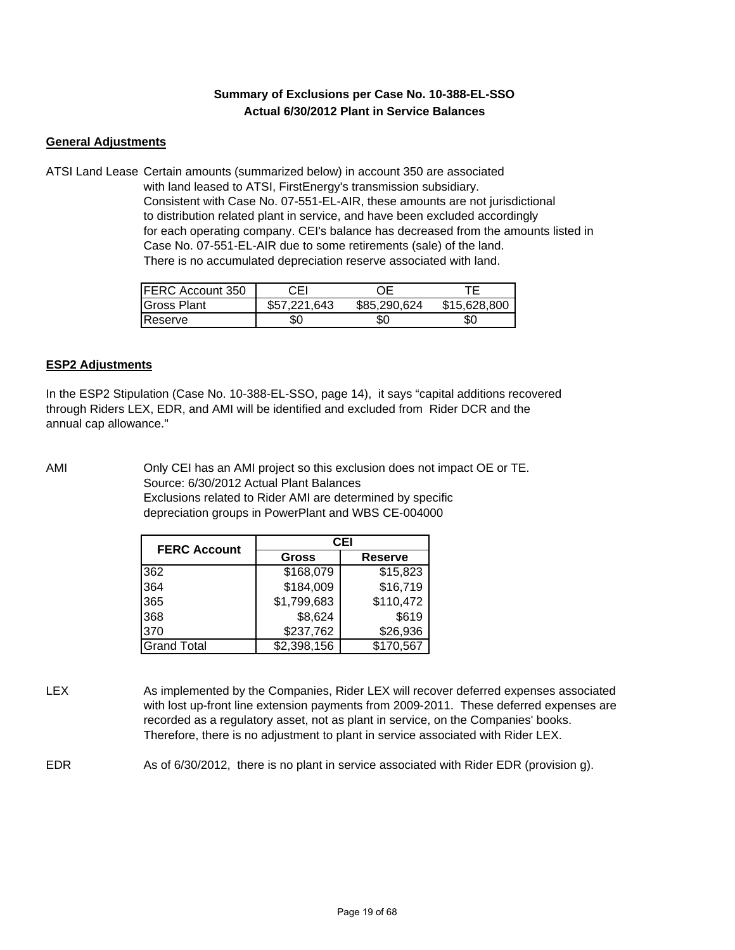## **Summary of Exclusions per Case No. 10-388-EL-SSO Actual 6/30/2012 Plant in Service Balances**

## **General Adjustments**

ATSI Land Lease Certain amounts (summarized below) in account 350 are associated with land leased to ATSI, FirstEnergy's transmission subsidiary. Consistent with Case No. 07-551-EL-AIR, these amounts are not jurisdictional to distribution related plant in service, and have been excluded accordingly for each operating company. CEI's balance has decreased from the amounts listed in Case No. 07-551-EL-AIR due to some retirements (sale) of the land. There is no accumulated depreciation reserve associated with land.

| <b>FERC Account 350</b> | CEL          |              |              |
|-------------------------|--------------|--------------|--------------|
| <b>Gross Plant</b>      | \$57,221,643 | \$85,290,624 | \$15,628,800 |
| <b>IReserve</b>         | \$0          | \$0          | SС           |

## **ESP2 Adjustments**

In the ESP2 Stipulation (Case No. 10-388-EL-SSO, page 14), it says "capital additions recovered through Riders LEX, EDR, and AMI will be identified and excluded from Rider DCR and the annual cap allowance."

AMI Only CEI has an AMI project so this exclusion does not impact OE or TE. Source: 6/30/2012 Actual Plant Balances Exclusions related to Rider AMI are determined by specific depreciation groups in PowerPlant and WBS CE-004000

| <b>FERC Account</b> | CEI          |                |  |
|---------------------|--------------|----------------|--|
|                     | <b>Gross</b> | <b>Reserve</b> |  |
| 362                 | \$168,079    | \$15,823       |  |
| 364                 | \$184,009    | \$16,719       |  |
| 365                 | \$1,799,683  | \$110,472      |  |
| 368                 | \$8,624      | \$619          |  |
| 370                 | \$237,762    | \$26,936       |  |
| Grand Total         | \$2,398,156  | \$170,567      |  |

LEX As implemented by the Companies, Rider LEX will recover deferred expenses associated with lost up-front line extension payments from 2009-2011. These deferred expenses are recorded as a regulatory asset, not as plant in service, on the Companies' books. Therefore, there is no adjustment to plant in service associated with Rider LEX.

EDR As of 6/30/2012, there is no plant in service associated with Rider EDR (provision g).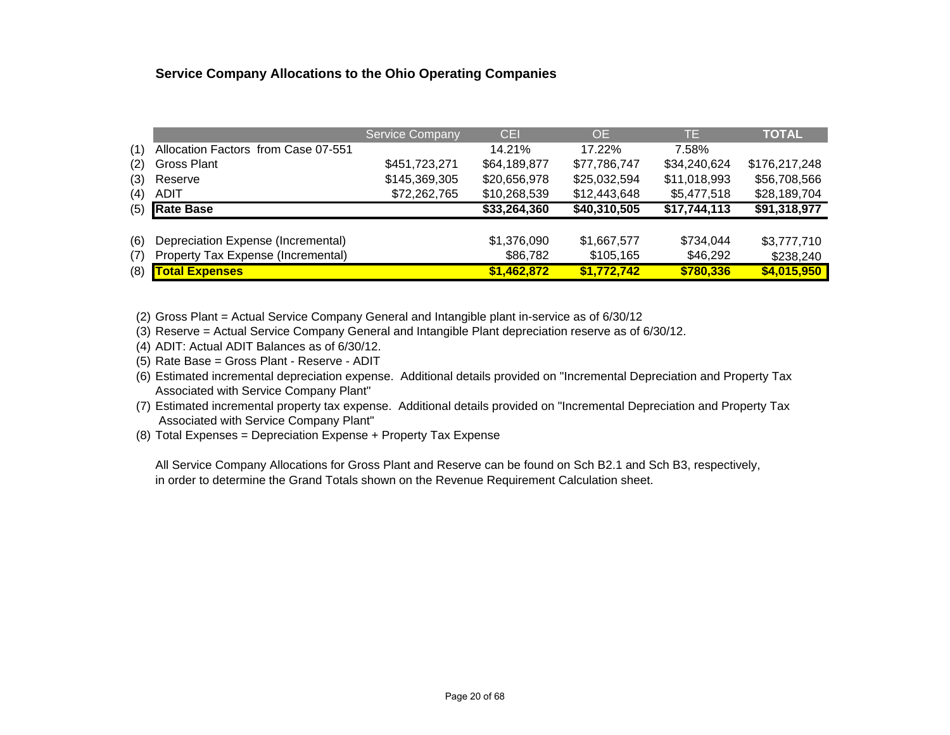## **Service Company Allocations to the Ohio Operating Companies**

|     |                                     | <b>Service Company</b> | <b>CEI</b>   | <b>OE</b>    | TE.          | <b>TOTAL</b>  |
|-----|-------------------------------------|------------------------|--------------|--------------|--------------|---------------|
| (1) | Allocation Factors from Case 07-551 |                        | 14.21%       | 17.22%       | 7.58%        |               |
| (2) | <b>Gross Plant</b>                  | \$451,723,271          | \$64,189,877 | \$77,786,747 | \$34,240,624 | \$176,217,248 |
| (3) | Reserve                             | \$145,369,305          | \$20,656,978 | \$25,032,594 | \$11,018,993 | \$56,708,566  |
| (4) | ADIT                                | \$72,262,765           | \$10,268,539 | \$12,443,648 | \$5,477,518  | \$28,189,704  |
| (5) | <b>Rate Base</b>                    |                        | \$33,264,360 | \$40,310,505 | \$17,744,113 | \$91,318,977  |
|     |                                     |                        |              |              |              |               |
| (6) | Depreciation Expense (Incremental)  |                        | \$1,376,090  | \$1,667,577  | \$734,044    | \$3,777,710   |
| (7) | Property Tax Expense (Incremental)  |                        | \$86,782     | \$105,165    | \$46,292     | \$238,240     |
| (8) | <b>Total Expenses</b>               |                        | \$1,462,872  | \$1,772,742  | \$780,336    | \$4,015,950   |

(2) Gross Plant = Actual Service Company General and Intangible plant in-service as of 6/30/12

(3) Reserve = Actual Service Company General and Intangible Plant depreciation reserve as of 6/30/12.

(4) ADIT: Actual ADIT Balances as of 6/30/12.

(5) Rate Base = Gross Plant - Reserve - ADIT

(6) Estimated incremental depreciation expense. Additional details provided on "Incremental Depreciation and Property Tax Associated with Service Company Plant"

(7) Estimated incremental property tax expense. Additional details provided on "Incremental Depreciation and Property Tax Associated with Service Company Plant"

(8) Total Expenses = Depreciation Expense + Property Tax Expense

All Service Company Allocations for Gross Plant and Reserve can be found on Sch B2.1 and Sch B3, respectively, in order to determine the Grand Totals shown on the Revenue Requirement Calculation sheet.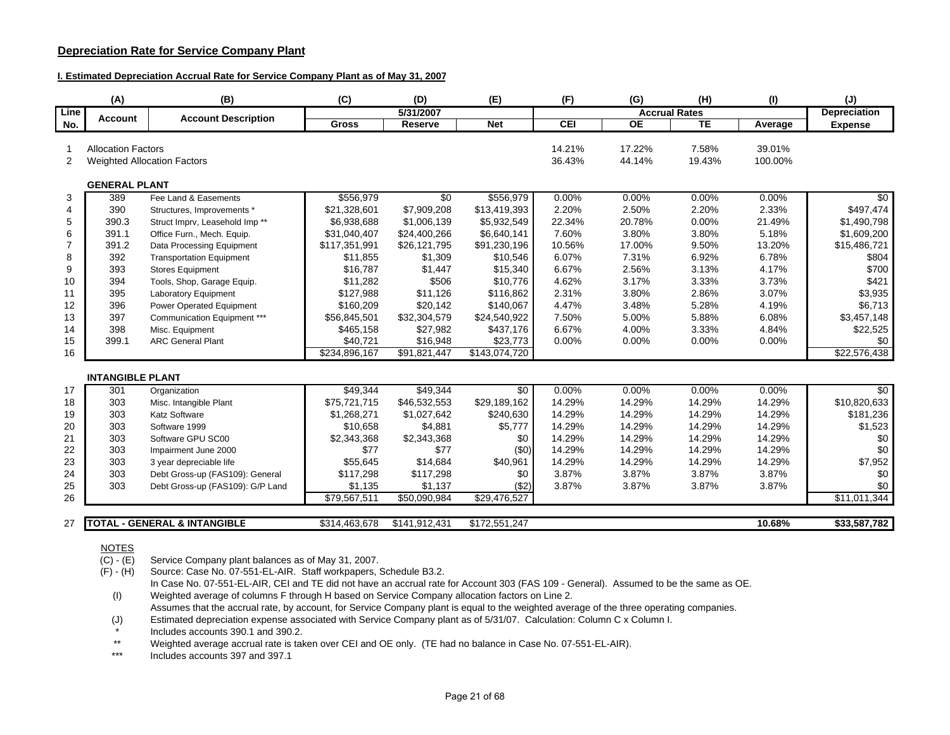## **Depreciation Rate for Service Company Plant**

#### **I. Estimated Depreciation Accrual Rate for Service Company Plant as of May 31, 2007**

|                | (A)                       | (B)                                       | (C)           | (D)           | (E)           | (F)        | (G)       | (H)                  | (1)     | (J)                 |
|----------------|---------------------------|-------------------------------------------|---------------|---------------|---------------|------------|-----------|----------------------|---------|---------------------|
| Line           | <b>Account</b>            | <b>Account Description</b>                |               | 5/31/2007     |               |            |           | <b>Accrual Rates</b> |         | <b>Depreciation</b> |
| No.            |                           |                                           | <b>Gross</b>  | Reserve       | <b>Net</b>    | <b>CEI</b> | <b>OE</b> | TE                   | Average | <b>Expense</b>      |
|                |                           |                                           |               |               |               |            |           |                      |         |                     |
|                | <b>Allocation Factors</b> |                                           |               |               |               | 14.21%     | 17.22%    | 7.58%                | 39.01%  |                     |
| 2              |                           | <b>Weighted Allocation Factors</b>        |               |               |               | 36.43%     | 44.14%    | 19.43%               | 100.00% |                     |
|                |                           |                                           |               |               |               |            |           |                      |         |                     |
|                | <b>GENERAL PLANT</b>      |                                           |               |               |               |            |           |                      |         |                     |
| 3              | 389                       | Fee Land & Easements                      | \$556,979     | \$0           | \$556,979     | 0.00%      | 0.00%     | 0.00%                | 0.00%   | \$0                 |
| 4              | 390                       | Structures, Improvements *                | \$21,328,601  | \$7,909,208   | \$13,419,393  | 2.20%      | 2.50%     | 2.20%                | 2.33%   | \$497,474           |
| 5              | 390.3                     | Struct Imprv, Leasehold Imp <sup>**</sup> | \$6,938,688   | \$1,006,139   | \$5,932,549   | 22.34%     | 20.78%    | 0.00%                | 21.49%  | \$1,490,798         |
| 6              | 391.1                     | Office Furn., Mech. Equip.                | \$31,040,407  | \$24,400,266  | \$6,640,141   | 7.60%      | 3.80%     | 3.80%                | 5.18%   | \$1,609,200         |
| $\overline{7}$ | 391.2                     | Data Processing Equipment                 | \$117,351,991 | \$26,121,795  | \$91,230,196  | 10.56%     | 17.00%    | 9.50%                | 13.20%  | \$15,486,721        |
| 8              | 392                       | <b>Transportation Equipment</b>           | \$11,855      | \$1,309       | \$10,546      | 6.07%      | 7.31%     | 6.92%                | 6.78%   | \$804               |
| 9              | 393                       | <b>Stores Equipment</b>                   | \$16,787      | \$1,447       | \$15,340      | 6.67%      | 2.56%     | 3.13%                | 4.17%   | \$700               |
| 10             | 394                       | Tools, Shop, Garage Equip.                | \$11,282      | \$506         | \$10,776      | 4.62%      | 3.17%     | 3.33%                | 3.73%   | \$421               |
| 11             | 395                       | <b>Laboratory Equipment</b>               | \$127,988     | \$11,126      | \$116,862     | 2.31%      | 3.80%     | 2.86%                | 3.07%   | \$3,935             |
| 12             | 396                       | Power Operated Equipment                  | \$160,209     | \$20,142      | \$140,067     | 4.47%      | 3.48%     | 5.28%                | 4.19%   | \$6,713             |
| 13             | 397                       | Communication Equipment ***               | \$56,845,501  | \$32,304,579  | \$24,540,922  | 7.50%      | 5.00%     | 5.88%                | 6.08%   | \$3,457,148         |
| 14             | 398                       | Misc. Equipment                           | \$465,158     | \$27,982      | \$437,176     | 6.67%      | 4.00%     | 3.33%                | 4.84%   | \$22,525            |
| 15             | 399.1                     | <b>ARC General Plant</b>                  | \$40,721      | \$16,948      | \$23,773      | 0.00%      | 0.00%     | 0.00%                | 0.00%   | \$0                 |
| 16             |                           |                                           | \$234,896,167 | \$91,821,447  | \$143,074,720 |            |           |                      |         | \$22,576,438        |
|                |                           |                                           |               |               |               |            |           |                      |         |                     |
|                | <b>INTANGIBLE PLANT</b>   |                                           |               |               |               |            |           |                      |         |                     |
| 17             | 301                       | Organization                              | \$49,344      | \$49,344      | \$0           | 0.00%      | 0.00%     | 0.00%                | 0.00%   | $\sqrt{6}$          |
| 18             | 303                       | Misc. Intangible Plant                    | \$75,721,715  | \$46,532,553  | \$29,189,162  | 14.29%     | 14.29%    | 14.29%               | 14.29%  | \$10,820,633        |
| 19             | 303                       | <b>Katz Software</b>                      | \$1,268,271   | \$1,027,642   | \$240,630     | 14.29%     | 14.29%    | 14.29%               | 14.29%  | \$181,236           |
| 20             | 303                       | Software 1999                             | \$10,658      | \$4,881       | \$5,777       | 14.29%     | 14.29%    | 14.29%               | 14.29%  | \$1,523             |
| 21             | 303                       | Software GPU SC00                         | \$2,343,368   | \$2,343,368   | \$0           | 14.29%     | 14.29%    | 14.29%               | 14.29%  | \$0                 |
| 22             | 303                       | Impairment June 2000                      | \$77          | \$77          | (50)          | 14.29%     | 14.29%    | 14.29%               | 14.29%  | \$0                 |
| 23             | 303                       | 3 year depreciable life                   | \$55,645      | \$14,684      | \$40,961      | 14.29%     | 14.29%    | 14.29%               | 14.29%  | \$7,952             |
| 24             | 303                       | Debt Gross-up (FAS109): General           | \$117,298     | \$117,298     | \$0           | 3.87%      | 3.87%     | 3.87%                | 3.87%   | \$0                 |
| 25             | 303                       | Debt Gross-up (FAS109): G/P Land          | \$1,135       | \$1,137       | (\$2)         | 3.87%      | 3.87%     | 3.87%                | 3.87%   | \$0                 |
| 26             |                           |                                           | \$79,567,511  | \$50,090,984  | \$29,476,527  |            |           |                      |         | \$11,011,344        |
|                |                           |                                           |               |               |               |            |           |                      |         |                     |
| 27             |                           | <b>TOTAL - GENERAL &amp; INTANGIBLE</b>   | \$314,463,678 | \$141,912,431 | \$172,551,247 |            |           |                      | 10.68%  | \$33,587,782        |
|                |                           |                                           |               |               |               |            |           |                      |         |                     |

### <u>NOTES</u>

 $\overline{(C)}$  - (E) Service Company plant balances as of May 31, 2007.<br>(F) - (H) Source: Case No. 07-551-EL-AIR. Staff workpapers, 9

Source: Case No. 07-551-EL-AIR. Staff workpapers, Schedule B3.2. In Case No. 07-551-EL-AIR, CEI and TE did not have an accrual rate for Account 303 (FAS 109 - General). Assumed to be the same as OE.

(I) Weighted average of columns F through H based on Service Company allocation factors on Line 2. Assumes that the accrual rate, by account, for Service Company plant is equal to the weighted average of the three operating companies.

(J) Estimated depreciation expense associated with Service Company plant as of 5/31/07. Calculation: Column C x Column I.

\*Includes accounts 390.1 and 390.2.

\*\*Weighted average accrual rate is taken over CEI and OE only. (TE had no balance in Case No. 07-551-EL-AIR).

\*\*\*Includes accounts 397 and 397.1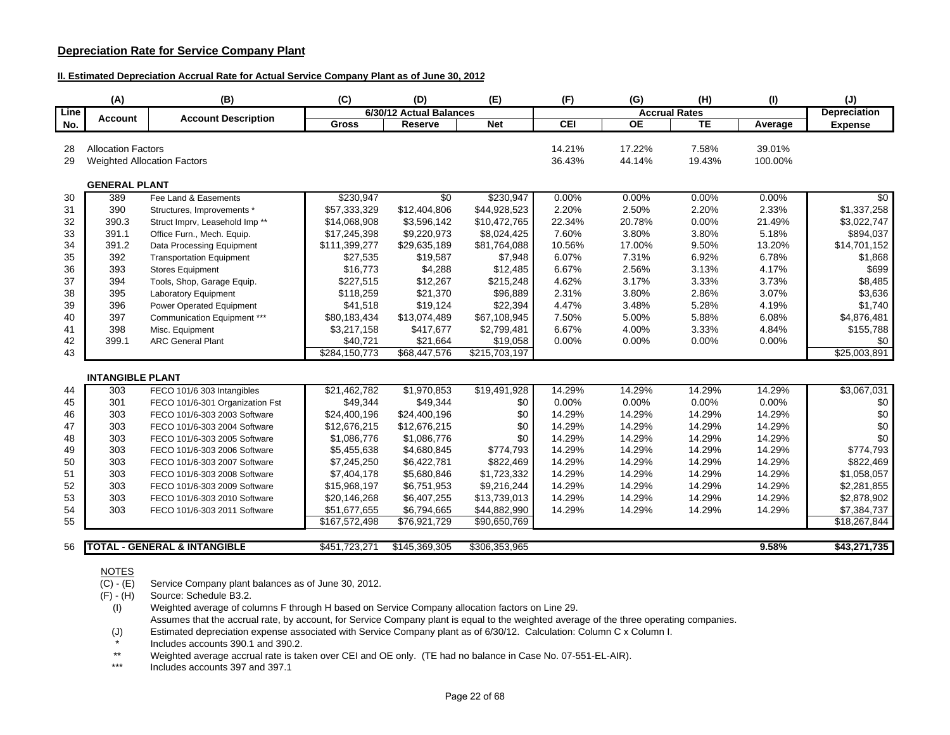## **Depreciation Rate for Service Company Plant**

### **II. Estimated Depreciation Accrual Rate for Actual Service Company Plant as of June 30, 2012**

|      | (A)                       | (B)                                       | (C)           | (D)                     | (E)           | (F)               | (G)                  | (H)       | (1)     | (J)                 |
|------|---------------------------|-------------------------------------------|---------------|-------------------------|---------------|-------------------|----------------------|-----------|---------|---------------------|
| Line | Account                   | <b>Account Description</b>                |               | 6/30/12 Actual Balances |               |                   | <b>Accrual Rates</b> |           |         | <b>Depreciation</b> |
| No.  |                           |                                           | <b>Gross</b>  | Reserve                 | <b>Net</b>    | $\overline{c}$ El | <b>OE</b>            | <b>TE</b> | Average | <b>Expense</b>      |
|      |                           |                                           |               |                         |               |                   |                      |           |         |                     |
| 28   | <b>Allocation Factors</b> |                                           |               |                         |               | 14.21%            | 17.22%               | 7.58%     | 39.01%  |                     |
| 29   |                           | <b>Weighted Allocation Factors</b>        |               |                         |               | 36.43%            | 44.14%               | 19.43%    | 100.00% |                     |
|      | <b>GENERAL PLANT</b>      |                                           |               |                         |               |                   |                      |           |         |                     |
| 30   | 389                       | Fee Land & Easements                      | \$230,947     | $\overline{50}$         | \$230,947     | 0.00%             | 0.00%                | 0.00%     | 0.00%   | \$0                 |
| 31   | 390                       | Structures, Improvements *                | \$57,333,329  | \$12,404,806            | \$44,928,523  | 2.20%             | 2.50%                | 2.20%     | 2.33%   | \$1,337,258         |
| 32   | 390.3                     | Struct Imprv, Leasehold Imp <sup>**</sup> | \$14,068,908  | \$3,596,142             | \$10,472,765  | 22.34%            | 20.78%               | 0.00%     | 21.49%  | \$3,022,747         |
| 33   | 391.1                     | Office Furn., Mech. Equip.                | \$17,245,398  | \$9,220,973             | \$8,024,425   | 7.60%             | 3.80%                | 3.80%     | 5.18%   | \$894,037           |
| 34   | 391.2                     | Data Processing Equipment                 | \$111,399,277 | \$29,635,189            | \$81,764,088  | 10.56%            | 17.00%               | 9.50%     | 13.20%  | \$14,701,152        |
| 35   | 392                       | <b>Transportation Equipment</b>           | \$27,535      | \$19,587                | \$7,948       | 6.07%             | 7.31%                | 6.92%     | 6.78%   | \$1,868             |
| 36   | 393                       | <b>Stores Equipment</b>                   | \$16,773      | \$4,288                 | \$12,485      | 6.67%             | 2.56%                | 3.13%     | 4.17%   | \$699               |
| 37   | 394                       | Tools, Shop, Garage Equip.                | \$227,515     | \$12,267                | \$215,248     | 4.62%             | 3.17%                | 3.33%     | 3.73%   | \$8,485             |
| 38   | 395                       | Laboratory Equipment                      | \$118,259     | \$21,370                | \$96,889      | 2.31%             | 3.80%                | 2.86%     | 3.07%   | \$3,636             |
| 39   | 396                       | Power Operated Equipment                  | \$41,518      | \$19,124                | \$22,394      | 4.47%             | 3.48%                | 5.28%     | 4.19%   | \$1,740             |
| 40   | 397                       | Communication Equipment ***               | \$80,183,434  | \$13,074,489            | \$67,108,945  | 7.50%             | 5.00%                | 5.88%     | 6.08%   | \$4,876,481         |
| 41   | 398                       | Misc. Equipment                           | \$3,217,158   | \$417,677               | \$2,799,481   | 6.67%             | 4.00%                | 3.33%     | 4.84%   | \$155,788           |
| 42   | 399.1                     | <b>ARC General Plant</b>                  | \$40.721      | \$21,664                | \$19,058      | 0.00%             | 0.00%                | 0.00%     | 0.00%   | \$0                 |
| 43   |                           |                                           | \$284,150,773 | \$68,447,576            | \$215,703,197 |                   |                      |           |         | \$25,003,891        |
|      | <b>INTANGIBLE PLANT</b>   |                                           |               |                         |               |                   |                      |           |         |                     |
| 44   | 303                       | FECO 101/6 303 Intangibles                | \$21,462,782  | \$1,970,853             | \$19,491,928  | 14.29%            | 14.29%               | 14.29%    | 14.29%  | \$3,067,031         |
| 45   | 301                       | FECO 101/6-301 Organization Fst           | \$49,344      | \$49,344                | \$0           | 0.00%             | 0.00%                | 0.00%     | 0.00%   | \$0                 |
| 46   | 303                       | FECO 101/6-303 2003 Software              | \$24,400,196  | \$24,400,196            | \$0           | 14.29%            | 14.29%               | 14.29%    | 14.29%  | \$0                 |
| 47   | 303                       | FECO 101/6-303 2004 Software              | \$12,676,215  | \$12,676,215            | \$0           | 14.29%            | 14.29%               | 14.29%    | 14.29%  | \$0                 |
| 48   | 303                       | FECO 101/6-303 2005 Software              | \$1,086,776   | \$1,086,776             | \$0           | 14.29%            | 14.29%               | 14.29%    | 14.29%  | \$0                 |
| 49   | 303                       | FECO 101/6-303 2006 Software              | \$5,455,638   | \$4,680,845             | \$774,793     | 14.29%            | 14.29%               | 14.29%    | 14.29%  | \$774,793           |
| 50   | 303                       | FECO 101/6-303 2007 Software              | \$7,245,250   | \$6,422,781             | \$822,469     | 14.29%            | 14.29%               | 14.29%    | 14.29%  | \$822,469           |
| 51   | 303                       | FECO 101/6-303 2008 Software              | \$7,404,178   | \$5,680,846             | \$1,723,332   | 14.29%            | 14.29%               | 14.29%    | 14.29%  | \$1,058,057         |
| 52   | 303                       | FECO 101/6-303 2009 Software              | \$15,968,197  | \$6,751,953             | \$9,216,244   | 14.29%            | 14.29%               | 14.29%    | 14.29%  | \$2,281,855         |
| 53   | 303                       | FECO 101/6-303 2010 Software              | \$20,146,268  | \$6,407,255             | \$13,739,013  | 14.29%            | 14.29%               | 14.29%    | 14.29%  | \$2,878,902         |
| 54   | 303                       | FECO 101/6-303 2011 Software              | \$51,677,655  | \$6,794,665             | \$44,882,990  | 14.29%            | 14.29%               | 14.29%    | 14.29%  | \$7,384,737         |
| 55   |                           |                                           | \$167,572,498 | \$76,921,729            | \$90,650,769  |                   |                      |           |         | \$18,267,844        |
|      |                           |                                           |               |                         |               |                   |                      |           |         |                     |
| 56   |                           | <b>TOTAL - GENERAL &amp; INTANGIBLE</b>   | \$451,723,271 | \$145,369,305           | \$306,353,965 |                   |                      |           | 9.58%   | \$43,271,735        |

### **NOTES**

 $\overline{(C) - (E)}$ Service Company plant balances as of June 30, 2012.

(F) - (H) Source: Schedule B3.2.

(I) Weighted average of columns F through H based on Service Company allocation factors on Line 29. Assumes that the accrual rate, by account, for Service Company plant is equal to the weighted average of the three operating companies.

Estimated depreciation expense associated with Service Company plant as of 6/30/12. Calculation: Column C x Column I. \*

Includes accounts 390.1 and 390.2.

 Weighted average accrual rate is taken over CEI and OE only. (TE had no balance in Case No. 07-551-EL-AIR). \*\*

\*\*\*Includes accounts 397 and 397.1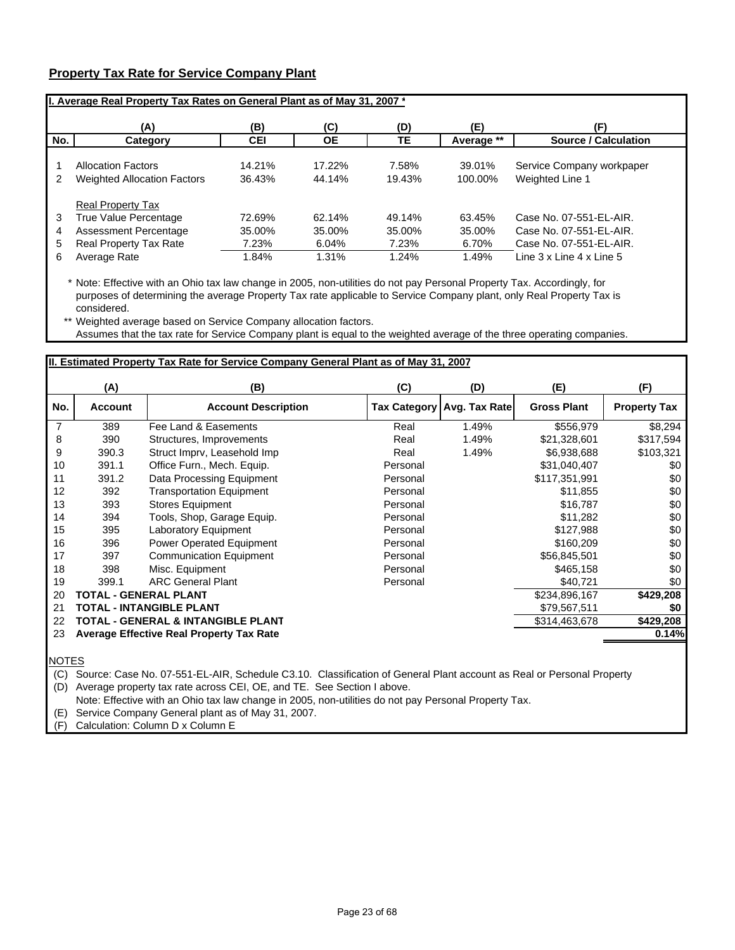## **Property Tax Rate for Service Company Plant**

|     | II. Average Real Property Tax Rates on General Plant as of May 31, 2007 * |            |           |        |            |                             |  |  |  |  |
|-----|---------------------------------------------------------------------------|------------|-----------|--------|------------|-----------------------------|--|--|--|--|
|     | (A)                                                                       | (B)        | (C)       | (D)    | (E)        |                             |  |  |  |  |
| No. | Category                                                                  | <b>CEI</b> | <b>OE</b> | TЕ     | Average ** | <b>Source / Calculation</b> |  |  |  |  |
|     | <b>Allocation Factors</b>                                                 | 14.21%     | 17.22%    | 7.58%  | 39.01%     | Service Company workpaper   |  |  |  |  |
| 2   | <b>Weighted Allocation Factors</b>                                        | 36.43%     | 44.14%    | 19.43% | 100.00%    | Weighted Line 1             |  |  |  |  |
|     | <b>Real Property Tax</b>                                                  |            |           |        |            |                             |  |  |  |  |
| 3   | True Value Percentage                                                     | 72.69%     | 62.14%    | 49.14% | 63.45%     | Case No. 07-551-EL-AIR.     |  |  |  |  |
| 4   | Assessment Percentage                                                     | 35.00%     | 35.00%    | 35.00% | 35.00%     | Case No. 07-551-EL-AIR.     |  |  |  |  |
| 5   | Real Property Tax Rate                                                    | 7.23%      | 6.04%     | 7.23%  | 6.70%      | Case No. 07-551-EL-AIR.     |  |  |  |  |
| 6   | Average Rate                                                              | 1.84%      | 1.31%     | 1.24%  | 1.49%      | Line 3 x Line 4 x Line 5    |  |  |  |  |

\* Note: Effective with an Ohio tax law change in 2005, non-utilities do not pay Personal Property Tax. Accordingly, for purposes of determining the average Property Tax rate applicable to Service Company plant, only Real Property Tax is considered.

\*\* Weighted average based on Service Company allocation factors.

Assumes that the tax rate for Service Company plant is equal to the weighted average of the three operating companies.

## **II. Estimated Property Tax Rate for Service Company General Plant as of May 31, 2007**

|     | (A)            | (B)                                             | (C)      | (D)                          | (E)                | (F)                 |
|-----|----------------|-------------------------------------------------|----------|------------------------------|--------------------|---------------------|
| No. | <b>Account</b> | <b>Account Description</b>                      |          | Tax Category   Avg. Tax Rate | <b>Gross Plant</b> | <b>Property Tax</b> |
| 7   | 389            | Fee Land & Easements                            | Real     | 1.49%                        | \$556,979          | \$8,294             |
| 8   | 390            | Structures, Improvements                        | Real     | 1.49%                        | \$21,328,601       | \$317,594           |
| 9   | 390.3          | Struct Imprv, Leasehold Imp                     | Real     | 1.49%                        | \$6,938,688        | \$103,321           |
| 10  | 391.1          | Office Furn., Mech. Equip.                      | Personal |                              | \$31,040,407       | \$0                 |
| 11  | 391.2          | Data Processing Equipment                       | Personal |                              | \$117,351,991      | \$0                 |
| 12  | 392            | <b>Transportation Equipment</b>                 | Personal |                              | \$11,855           | \$0                 |
| 13  | 393            | <b>Stores Equipment</b>                         | Personal |                              | \$16,787           | \$0                 |
| 14  | 394            | Tools, Shop, Garage Equip.                      | Personal |                              | \$11,282           | \$0                 |
| 15  | 395            | Laboratory Equipment                            | Personal |                              | \$127,988          | \$0                 |
| 16  | 396            | Power Operated Equipment                        | Personal |                              | \$160,209          | \$0                 |
| 17  | 397            | <b>Communication Equipment</b>                  | Personal |                              | \$56,845,501       | \$0                 |
| 18  | 398            | Misc. Equipment                                 | Personal |                              | \$465,158          | \$0                 |
| 19  | 399.1          | <b>ARC General Plant</b>                        | Personal |                              | \$40,721           | \$0                 |
| 20  |                | <b>TOTAL - GENERAL PLANT</b>                    |          |                              | \$234,896,167      | \$429,208           |
| 21  |                | <b>TOTAL - INTANGIBLE PLANT</b>                 |          |                              | \$79,567,511       | \$0                 |
| 22  |                | TOTAL - GENERAL & INTANGIBLE PLANT              |          |                              | \$314,463,678      | \$429,208           |
| 23  |                | <b>Average Effective Real Property Tax Rate</b> |          |                              |                    | 0.14%               |
|     |                |                                                 |          |                              |                    |                     |

NOTES

(C) Source: Case No. 07-551-EL-AIR, Schedule C3.10. Classification of General Plant account as Real or Personal Property

(D) Average property tax rate across CEI, OE, and TE. See Section I above.

Note: Effective with an Ohio tax law change in 2005, non-utilities do not pay Personal Property Tax.

(E) Service Company General plant as of May 31, 2007.

(F) Calculation: Column D x Column E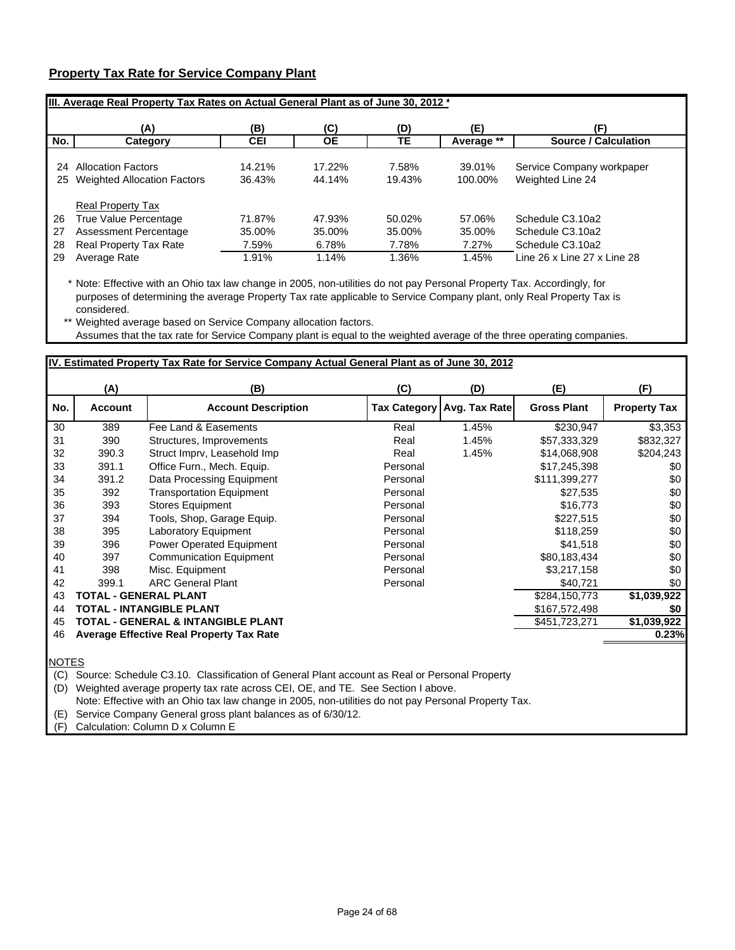## **Property Tax Rate for Service Company Plant**

|     | IIII. Average Real Property Tax Rates on Actual General Plant as of June 30, 2012 * |        |           |        |            |                             |
|-----|-------------------------------------------------------------------------------------|--------|-----------|--------|------------|-----------------------------|
|     | (A)                                                                                 | (B)    | (C)       | (D)    | (E)        |                             |
| No. | Category                                                                            | CEI    | <b>OE</b> | TЕ     | Average ** | <b>Source / Calculation</b> |
| 24  | <b>Allocation Factors</b>                                                           | 14.21% | 17.22%    | 7.58%  | 39.01%     | Service Company workpaper   |
| 25  | <b>Weighted Allocation Factors</b>                                                  | 36.43% | 44.14%    | 19.43% | 100.00%    | Weighted Line 24            |
|     | <b>Real Property Tax</b>                                                            |        |           |        |            |                             |
| 26  | True Value Percentage                                                               | 71.87% | 47.93%    | 50.02% | 57.06%     | Schedule C3.10a2            |
| 27  | Assessment Percentage                                                               | 35.00% | 35.00%    | 35.00% | 35.00%     | Schedule C3.10a2            |
| 28  | Real Property Tax Rate                                                              | 7.59%  | 6.78%     | 7.78%  | 7.27%      | Schedule C3.10a2            |
| 29  | Average Rate                                                                        | 1.91%  | 1.14%     | 1.36%  | 1.45%      | Line 26 x Line 27 x Line 28 |

\* Note: Effective with an Ohio tax law change in 2005, non-utilities do not pay Personal Property Tax. Accordingly, for purposes of determining the average Property Tax rate applicable to Service Company plant, only Real Property Tax is considered.

\*\* Weighted average based on Service Company allocation factors. Assumes that the tax rate for Service Company plant is equal to the weighted average of the three operating companies.

## **IV. Estimated Property Tax Rate for Service Company Actual General Plant as of June 30, 2012**

|     | (A)            | (B)                                             | (C)                 | (D)           | (E)                | (F)                 |
|-----|----------------|-------------------------------------------------|---------------------|---------------|--------------------|---------------------|
| No. | <b>Account</b> | <b>Account Description</b>                      | <b>Tax Category</b> | Avg. Tax Rate | <b>Gross Plant</b> | <b>Property Tax</b> |
| 30  | 389            | Fee Land & Easements                            | Real                | 1.45%         | \$230,947          | \$3,353             |
| 31  | 390            | Structures, Improvements                        | Real                | 1.45%         | \$57,333,329       | \$832,327           |
| 32  | 390.3          | Struct Imprv, Leasehold Imp                     | Real                | 1.45%         | \$14,068,908       | \$204,243           |
| 33  | 391.1          | Office Furn., Mech. Equip.                      | Personal            |               | \$17,245,398       | \$0                 |
| 34  | 391.2          | Data Processing Equipment                       | Personal            |               | \$111,399,277      | \$0                 |
| 35  | 392            | <b>Transportation Equipment</b>                 | Personal            |               | \$27,535           | \$0                 |
| 36  | 393            | <b>Stores Equipment</b>                         | Personal            |               | \$16,773           | \$0                 |
| 37  | 394            | Tools, Shop, Garage Equip.                      | Personal            |               | \$227,515          | \$0                 |
| 38  | 395            | Laboratory Equipment                            | Personal            |               | \$118,259          | \$0                 |
| 39  | 396            | <b>Power Operated Equipment</b>                 | Personal            |               | \$41,518           | \$0                 |
| 40  | 397            | <b>Communication Equipment</b>                  | Personal            |               | \$80,183,434       | \$0                 |
| 41  | 398            | Misc. Equipment                                 | Personal            |               | \$3,217,158        | \$0                 |
| 42  | 399.1          | <b>ARC General Plant</b>                        | Personal            |               | \$40,721           | \$0                 |
| 43  |                | <b>TOTAL - GENERAL PLANT</b>                    |                     |               | \$284,150,773      | \$1,039,922         |
| 44  |                | TOTAL - INTANGIBLE PLANT                        |                     |               | \$167,572,498      | \$0                 |
| 45  |                | TOTAL - GENERAL & INTANGIBLE PLANT              |                     |               | \$451,723,271      | \$1,039,922         |
| 46  |                | <b>Average Effective Real Property Tax Rate</b> |                     |               |                    | 0.23%               |
|     |                |                                                 |                     |               |                    |                     |

**NOTES** 

(C) Source: Schedule C3.10. Classification of General Plant account as Real or Personal Property

(D) Weighted average property tax rate across CEI, OE, and TE. See Section I above.

Note: Effective with an Ohio tax law change in 2005, non-utilities do not pay Personal Property Tax.

(E) Service Company General gross plant balances as of 6/30/12.

(F) Calculation: Column D x Column E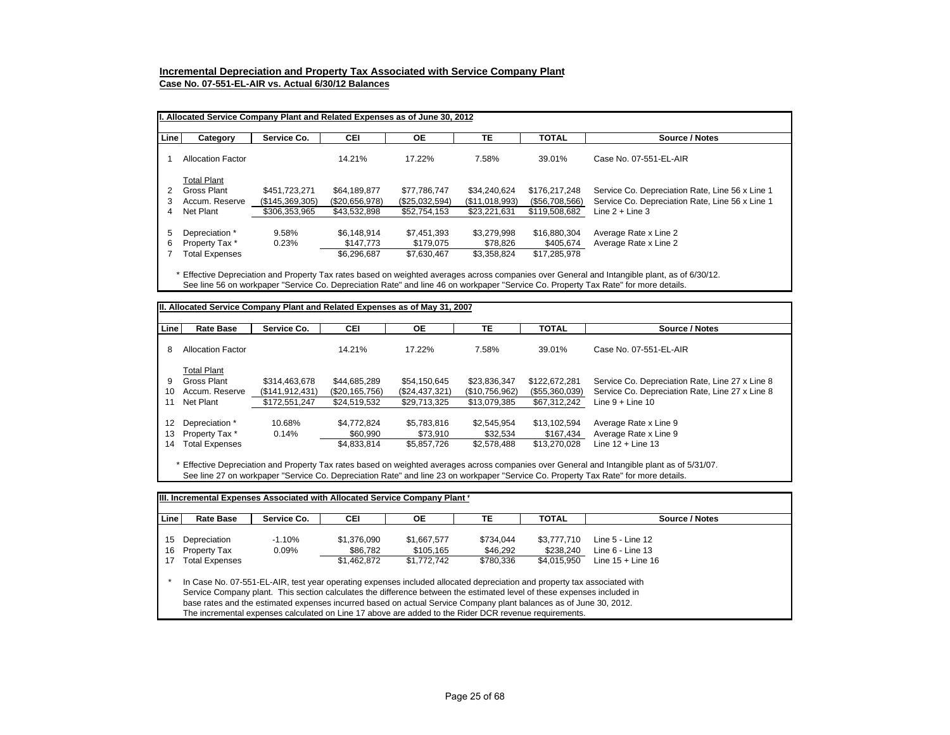### **Incremental Depreciation and Property Tax Associated with Service Company Plant**

**Case No. 07-551-EL-AIR vs. Actual 6/30/12 Balances**

|        | II. Allocated Service Company Plant and Related Expenses as of June 30, 2012 |                                                   |                                                |                                                |                                                |                                                  |                                                                                                                         |  |  |  |  |
|--------|------------------------------------------------------------------------------|---------------------------------------------------|------------------------------------------------|------------------------------------------------|------------------------------------------------|--------------------------------------------------|-------------------------------------------------------------------------------------------------------------------------|--|--|--|--|
| Line   | Category                                                                     | Service Co.                                       | CEI                                            | <b>OE</b>                                      | TE                                             | <b>TOTAL</b>                                     | Source / Notes                                                                                                          |  |  |  |  |
|        | <b>Allocation Factor</b>                                                     |                                                   | 14.21%                                         | 17.22%                                         | 7.58%                                          | 39.01%                                           | Case No. 07-551-EL-AIR                                                                                                  |  |  |  |  |
| 4      | <b>Total Plant</b><br>Gross Plant<br>Accum. Reserve<br>Net Plant             | \$451.723.271<br>(\$145,369,305)<br>\$306,353,965 | \$64.189.877<br>(\$20,656,978)<br>\$43,532,898 | \$77.786.747<br>(\$25,032,594)<br>\$52,754,153 | \$34.240.624<br>(\$11,018,993)<br>\$23.221.631 | \$176,217,248<br>(\$56,708,566)<br>\$119,508,682 | Service Co. Depreciation Rate, Line 56 x Line 1<br>Service Co. Depreciation Rate, Line 56 x Line 1<br>Line $2 +$ Line 3 |  |  |  |  |
| 5<br>6 | Depreciation *<br>Property Tax *<br>Total Expenses                           | 9.58%<br>0.23%                                    | \$6.148.914<br>\$147.773<br>\$6.296.687        | \$7,451,393<br>\$179.075<br>\$7,630,467        | \$3.279.998<br>\$78.826<br>\$3.358.824         | \$16,880,304<br>\$405.674<br>\$17,285,978        | Average Rate x Line 2<br>Average Rate x Line 2                                                                          |  |  |  |  |

\* Effective Depreciation and Property Tax rates based on weighted averages across companies over General and Intangible plant, as of 6/30/12. See line 56 on workpaper "Service Co. Depreciation Rate" and line 46 on workpaper "Service Co. Property Tax Rate" for more details.

| <b>Line</b> | <b>Rate Base</b>         | Service Co.       | <b>CEI</b>     | <b>OE</b>      | TE             | <b>TOTAL</b>   | Source / Notes                                  |
|-------------|--------------------------|-------------------|----------------|----------------|----------------|----------------|-------------------------------------------------|
| 8           | <b>Allocation Factor</b> |                   | 14.21%         | 17.22%         | 7.58%          | 39.01%         | Case No. 07-551-EL-AIR                          |
|             | <b>Total Plant</b>       |                   |                |                |                |                |                                                 |
| 9           | Gross Plant              | \$314.463.678     | \$44.685.289   | \$54.150.645   | \$23.836.347   | \$122,672,281  | Service Co. Depreciation Rate, Line 27 x Line 8 |
| 10          | Accum. Reserve           | (\$141, 912, 431) | (\$20,165,756) | (\$24,437,321) | (\$10,756,962) | (\$55,360,039) | Service Co. Depreciation Rate, Line 27 x Line 8 |
| 11          | Net Plant                | \$172,551,247     | \$24,519,532   | \$29,713,325   | \$13,079,385   | \$67,312,242   | Line $9 +$ Line 10                              |
| 12          | Depreciation *           | 10.68%            | \$4.772.824    | \$5,783,816    | \$2.545.954    | \$13.102.594   | Average Rate x Line 9                           |
| 13          | Property Tax *           | 0.14%             | \$60,990       | \$73.910       | \$32.534       | \$167.434      | Average Rate x Line 9                           |
| 14          | <b>Total Expenses</b>    |                   | \$4,833,814    | \$5,857,726    | \$2.578.488    | \$13,270,028   | Line $12 +$ Line 13                             |

See line 27 on workpaper "Service Co. Depreciation Rate" and line 23 on workpaper "Service Co. Property Tax Rate" for more details.

| Linel | <b>Rate Base</b>                                                                                                                                                                                                                                                                                                                                                                                                                                                                   | Service Co. | CEI         | ОE          | ТE        | <b>TOTAL</b> | Source / Notes      |  |  |  |
|-------|------------------------------------------------------------------------------------------------------------------------------------------------------------------------------------------------------------------------------------------------------------------------------------------------------------------------------------------------------------------------------------------------------------------------------------------------------------------------------------|-------------|-------------|-------------|-----------|--------------|---------------------|--|--|--|
|       |                                                                                                                                                                                                                                                                                                                                                                                                                                                                                    |             |             |             |           |              |                     |  |  |  |
| 15    | Depreciation                                                                                                                                                                                                                                                                                                                                                                                                                                                                       | $-1.10%$    | \$1.376.090 | \$1.667.577 | \$734.044 | \$3.777.710  | Line 5 - Line 12    |  |  |  |
| 16    | <b>Property Tax</b>                                                                                                                                                                                                                                                                                                                                                                                                                                                                | 0.09%       | \$86.782    | \$105.165   | \$46.292  | \$238.240    | Line $6 -$ Line 13  |  |  |  |
| 17    | <b>Total Expenses</b>                                                                                                                                                                                                                                                                                                                                                                                                                                                              |             | \$1,462,872 | \$1.772.742 | \$780.336 | \$4.015.950  | Line $15 +$ Line 16 |  |  |  |
|       | In Case No. 07-551-EL-AIR, test year operating expenses included allocated depreciation and property tax associated with<br>Service Company plant. This section calculates the difference between the estimated level of these expenses included in<br>base rates and the estimated expenses incurred based on actual Service Company plant balances as of June 30, 2012.<br>The incremental expenses calculated on Line 17 above are added to the Rider DCR revenue requirements. |             |             |             |           |              |                     |  |  |  |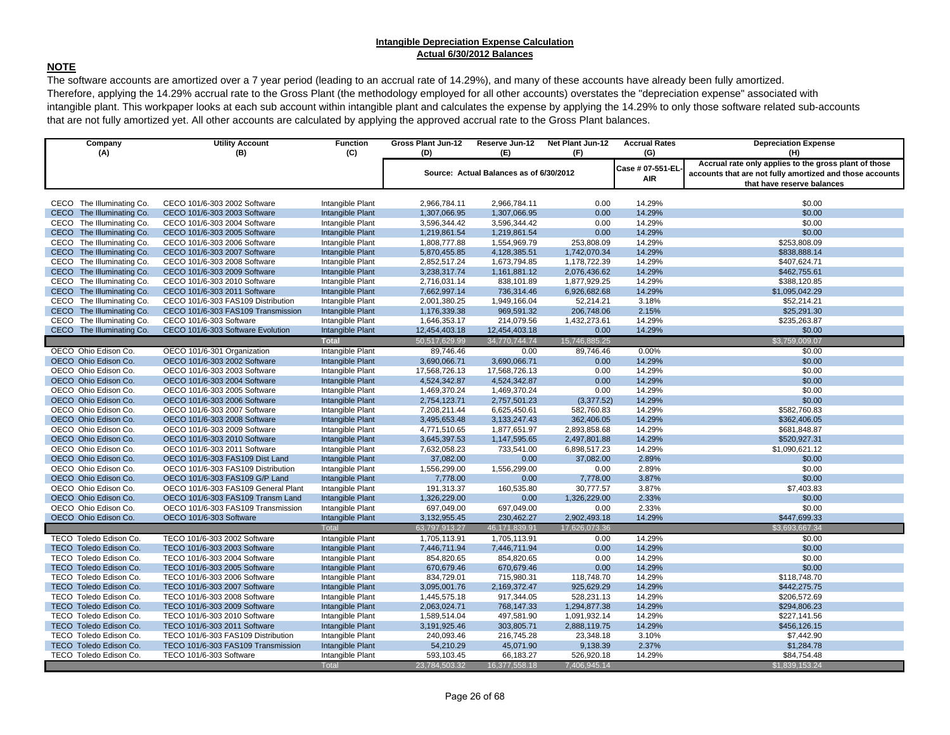#### **Intangible Depreciation Expense Calculation Actual 6/30/2012 Balances**

### **NOTE**

The software accounts are amortized over a 7 year period (leading to an accrual rate of 14.29%), and many of these accounts have already been fully amortized. Therefore, applying the 14.29% accrual rate to the Gross Plant (the methodology employed for all other accounts) overstates the "depreciation expense" associated with intangible plant. This workpaper looks at each sub account within intangible plant and calculates the expense by applying the 14.29% to only those software related sub-accounts that are not fully amortized yet. All other accounts are calculated by applying the approved accrual rate to the Gross Plant balances.

| Company<br>(A)                                         | <b>Utility Account</b><br>(B)                                | <b>Function</b><br>(C)               | Gross Plant Jun-12<br>(D)    | Reserve Jun-12<br>(E)                   | Net Plant Jun-12<br>(F)    | <b>Accrual Rates</b><br>(G) | <b>Depreciation Expense</b><br>(H)                       |
|--------------------------------------------------------|--------------------------------------------------------------|--------------------------------------|------------------------------|-----------------------------------------|----------------------------|-----------------------------|----------------------------------------------------------|
|                                                        |                                                              |                                      |                              |                                         |                            | Case # 07-551-EL            | Accrual rate only applies to the gross plant of those    |
|                                                        |                                                              |                                      |                              | Source: Actual Balances as of 6/30/2012 |                            | AIR                         | accounts that are not fully amortized and those accounts |
|                                                        |                                                              |                                      |                              |                                         |                            |                             | that have reserve balances                               |
|                                                        |                                                              |                                      |                              |                                         |                            |                             |                                                          |
| CECO The Illuminating Co.                              | CECO 101/6-303 2002 Software                                 | Intangible Plant                     | 2,966,784.11                 | 2,966,784.11                            | 0.00                       | 14.29%                      | \$0.00                                                   |
| CECO The Illuminating Co.                              | CECO 101/6-303 2003 Software                                 | Intangible Plant                     | 1,307,066.95                 | 1,307,066.95                            | 0.00                       | 14.29%                      | \$0.00                                                   |
| CECO The Illuminating Co.                              | CECO 101/6-303 2004 Software                                 | Intangible Plant                     | 3,596,344.42                 | 3,596,344.42                            | 0.00                       | 14.29%                      | \$0.00                                                   |
| CECO The Illuminating Co.                              | CECO 101/6-303 2005 Software                                 | Intangible Plant                     | 1,219,861.54                 | 1,219,861.54                            | 0.00                       | 14.29%                      | \$0.00                                                   |
| CECO The Illuminating Co.<br>CECO The Illuminating Co. | CECO 101/6-303 2006 Software<br>CECO 101/6-303 2007 Software | Intangible Plant<br>Intangible Plant | 1,808,777.88                 | 1,554,969.79                            | 253,808.09<br>1,742,070.34 | 14.29%<br>14.29%            | \$253,808.09                                             |
| CECO The Illuminating Co.                              | CECO 101/6-303 2008 Software                                 | Intangible Plant                     | 5,870,455.85<br>2,852,517.24 | 4,128,385.51<br>1,673,794.85            | 1,178,722.39               | 14.29%                      | \$838,888.14<br>\$407,624.71                             |
| CECO The Illuminating Co.                              | CECO 101/6-303 2009 Software                                 | Intangible Plant                     | 3,238,317.74                 | 1,161,881.12                            | 2,076,436.62               | 14.29%                      | \$462,755.61                                             |
| CECO The Illuminating Co.                              | CECO 101/6-303 2010 Software                                 | Intangible Plant                     | 2,716,031.14                 | 838,101.89                              | 1,877,929.25               | 14.29%                      | \$388,120.85                                             |
| CECO The Illuminating Co.                              | CECO 101/6-303 2011 Software                                 | Intangible Plant                     | 7,662,997.14                 | 736,314.46                              | 6,926,682.68               | 14.29%                      | \$1,095,042.29                                           |
| CECO The Illuminating Co.                              | CECO 101/6-303 FAS109 Distribution                           | Intangible Plant                     | 2,001,380.25                 | 1,949,166.04                            | 52,214.21                  | 3.18%                       | \$52,214.21                                              |
| CECO The Illuminating Co.                              | CECO 101/6-303 FAS109 Transmission                           | Intangible Plant                     | 1,176,339.38                 | 969,591.32                              | 206,748.06                 | 2.15%                       | \$25,291.30                                              |
| CECO The Illuminating Co.                              | CECO 101/6-303 Software                                      | Intangible Plant                     | 1,646,353.17                 | 214,079.56                              | 1,432,273.61               | 14.29%                      | \$235,263.87                                             |
| CECO The Illuminating Co.                              | CECO 101/6-303 Software Evolution                            | Intangible Plant                     | 12,454,403.18                | 12,454,403.18                           | 0.00                       | 14.29%                      | \$0.00                                                   |
|                                                        |                                                              | <b>Total</b>                         | 50,517,629.99                | 34,770,744.74                           | 15,746,885.25              |                             | \$3,759,009.07                                           |
| OECO Ohio Edison Co.                                   | OECO 101/6-301 Organization                                  | Intangible Plant                     | 89,746.46                    | 0.00                                    | 89,746.46                  | 0.00%                       | \$0.00                                                   |
| OECO Ohio Edison Co.                                   | OECO 101/6-303 2002 Software                                 | Intangible Plant                     | 3,690,066.71                 | 3,690,066.71                            | 0.00                       | 14.29%                      | \$0.00                                                   |
| OECO Ohio Edison Co.                                   | OECO 101/6-303 2003 Software                                 | Intangible Plant                     | 17,568,726.13                | 17,568,726.13                           | 0.00                       | 14.29%                      | \$0.00                                                   |
| OECO Ohio Edison Co.                                   | OECO 101/6-303 2004 Software                                 | Intangible Plant                     | 4,524,342.87                 | 4,524,342.87                            | 0.00                       | 14.29%                      | \$0.00                                                   |
| OECO Ohio Edison Co.                                   | OECO 101/6-303 2005 Software                                 | Intangible Plant                     | 1,469,370.24                 | 1,469,370.24                            | 0.00                       | 14.29%                      | \$0.00                                                   |
| OECO Ohio Edison Co.                                   | OECO 101/6-303 2006 Software                                 | Intangible Plant                     | 2,754,123.71                 | 2,757,501.23                            | (3,377.52)                 | 14.29%                      | \$0.00                                                   |
| OECO Ohio Edison Co.                                   | OECO 101/6-303 2007 Software                                 | Intangible Plant                     | 7,208,211.44                 | 6,625,450.61                            | 582,760.83                 | 14.29%                      | \$582,760.83                                             |
| OECO Ohio Edison Co.                                   | OECO 101/6-303 2008 Software                                 | Intangible Plant                     | 3,495,653.48                 | 3,133,247.43                            | 362,406.05                 | 14.29%                      | \$362,406.05                                             |
| OECO Ohio Edison Co.                                   | OECO 101/6-303 2009 Software                                 | Intangible Plant                     | 4,771,510.65                 | 1,877,651.97                            | 2,893,858.68               | 14.29%                      | \$681,848.87                                             |
| OECO Ohio Edison Co.                                   | OECO 101/6-303 2010 Software                                 | Intangible Plant                     | 3,645,397.53                 | 1,147,595.65                            | 2,497,801.88               | 14.29%                      | \$520,927.31                                             |
| OECO Ohio Edison Co.                                   | OECO 101/6-303 2011 Software                                 | Intangible Plant                     | 7,632,058.23                 | 733,541.00                              | 6,898,517.23               | 14.29%                      | \$1,090,621.12                                           |
| OECO Ohio Edison Co.                                   | OECO 101/6-303 FAS109 Dist Land                              | Intangible Plant                     | 37,082.00                    | 0.00                                    | 37,082.00                  | 2.89%                       | \$0.00                                                   |
| OECO Ohio Edison Co.                                   | OECO 101/6-303 FAS109 Distribution                           | Intangible Plant                     | 1,556,299.00                 | 1,556,299.00                            | 0.00                       | 2.89%                       | \$0.00                                                   |
| OECO Ohio Edison Co.                                   | OECO 101/6-303 FAS109 G/P Land                               | Intangible Plant                     | 7,778.00                     | 0.00                                    | 7,778.00                   | 3.87%                       | \$0.00                                                   |
| OECO Ohio Edison Co.                                   | OECO 101/6-303 FAS109 General Plant                          | Intangible Plant                     | 191,313.37                   | 160,535.80                              | 30,777.57                  | 3.87%                       | \$7,403.83                                               |
| OECO Ohio Edison Co.                                   | OECO 101/6-303 FAS109 Transm Land                            | Intangible Plant                     | 1,326,229.00                 | 0.00                                    | 1,326,229.00               | 2.33%                       | \$0.00                                                   |
| OECO Ohio Edison Co.                                   | OECO 101/6-303 FAS109 Transmission                           | Intangible Plant                     | 697,049.00                   | 697,049.00                              | 0.00                       | 2.33%                       | \$0.00                                                   |
| OECO Ohio Edison Co.                                   | OECO 101/6-303 Software                                      | Intangible Plant                     | 3,132,955.45                 | 230,462.27                              | 2,902,493.18               | 14.29%                      | \$447,699.33                                             |
|                                                        |                                                              | Total                                | 63,797,913.27                | 46,171,839.91                           | 17,626,073.36              |                             | \$3,693,667.34                                           |
| TECO Toledo Edison Co.                                 | TECO 101/6-303 2002 Software                                 | Intangible Plant                     | 1,705,113.91                 | 1,705,113.91                            | 0.00                       | 14.29%                      | \$0.00                                                   |
| TECO Toledo Edison Co.                                 | TECO 101/6-303 2003 Software                                 | Intangible Plant                     | 7,446,711.94                 | 7,446,711.94                            | 0.00                       | 14.29%                      | \$0.00                                                   |
| TECO Toledo Edison Co.                                 | TECO 101/6-303 2004 Software                                 | Intangible Plant                     | 854,820.65                   | 854,820.65                              | 0.00                       | 14.29%                      | \$0.00                                                   |
| TECO Toledo Edison Co.                                 | TECO 101/6-303 2005 Software                                 | Intangible Plant                     | 670,679.46                   | 670,679.46                              | 0.00                       | 14.29%                      | \$0.00                                                   |
| TECO Toledo Edison Co.                                 | TECO 101/6-303 2006 Software                                 | Intangible Plant                     | 834,729.01                   | 715,980.31                              | 118,748.70                 | 14.29%                      | \$118,748.70                                             |
| TECO Toledo Edison Co.                                 | TECO 101/6-303 2007 Software                                 | Intangible Plant                     | 3,095,001.76                 | 2,169,372.47                            | 925,629.29                 | 14.29%                      | \$442,275.75                                             |
| TECO Toledo Edison Co.                                 | TECO 101/6-303 2008 Software                                 | Intangible Plant                     | 1,445,575.18                 | 917,344.05                              | 528,231.13                 | 14.29%                      | \$206,572.69                                             |
| TECO Toledo Edison Co.                                 | TECO 101/6-303 2009 Software                                 | Intangible Plant                     | 2,063,024.71                 | 768,147.33                              | 1,294,877.38               | 14.29%                      | \$294,806.23                                             |
| TECO Toledo Edison Co.                                 | TECO 101/6-303 2010 Software                                 | Intangible Plant                     | 1,589,514.04                 | 497,581.90                              | 1,091,932.14               | 14.29%                      | \$227,141.56                                             |
| TECO Toledo Edison Co.                                 | TECO 101/6-303 2011 Software                                 | Intangible Plant                     | 3,191,925.46                 | 303,805.71                              | 2,888,119.75               | 14.29%                      | \$456,126.15                                             |
| TECO Toledo Edison Co.                                 | TECO 101/6-303 FAS109 Distribution                           | Intangible Plant                     | 240,093.46                   | 216,745.28                              | 23,348.18                  | 3.10%                       | \$7,442.90                                               |
| TECO Toledo Edison Co.                                 | TECO 101/6-303 FAS109 Transmission                           | Intangible Plant                     | 54,210.29                    | 45,071.90                               | 9,138.39                   | 2.37%                       | \$1,284.78                                               |
| TECO Toledo Edison Co.                                 | TECO 101/6-303 Software                                      | Intangible Plant                     | 593,103.45                   | 66,183.27                               | 526,920.18                 | 14.29%                      | \$84,754.48                                              |
|                                                        |                                                              | <b>Total</b>                         | 23,784,503.32                | 16,377,558.18                           | 7,406,945.14               |                             | \$1,839,153.24                                           |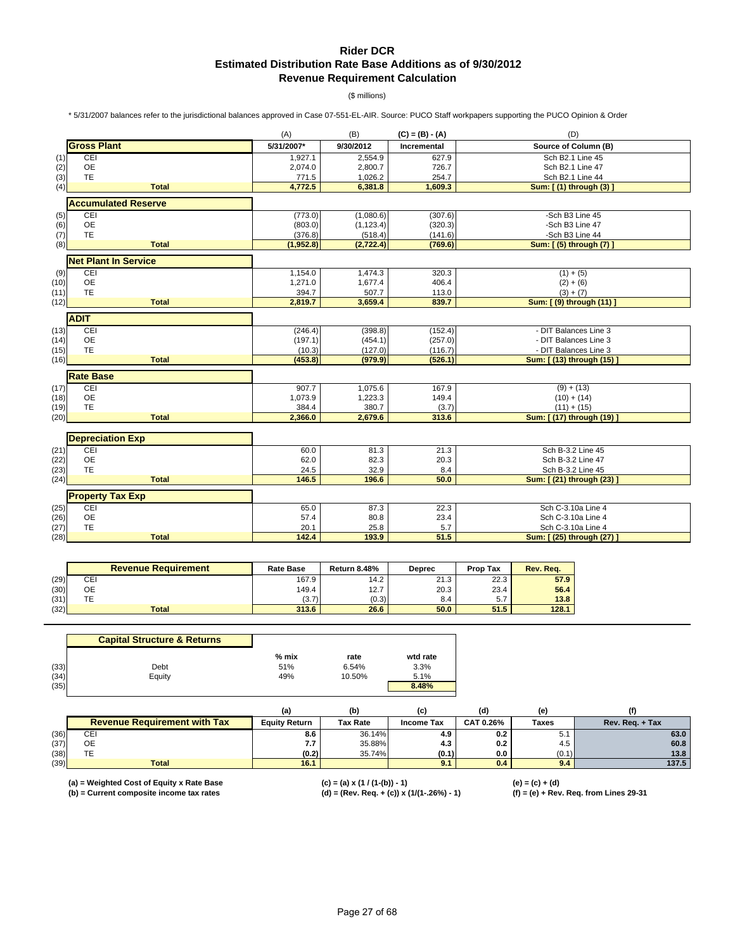## **Rider DCR Estimated Distribution Rate Base Additions as of 9/30/2012 Revenue Requirement Calculation**

(\$ millions)

\* 5/31/2007 balances refer to the jurisdictional balances approved in Case 07-551-EL-AIR. Source: PUCO Staff workpapers supporting the PUCO Opinion & Order

|      |                             | (A)        | (B)        | $(C) = (B) - (A)$ | (D)                       |
|------|-----------------------------|------------|------------|-------------------|---------------------------|
|      | <b>Gross Plant</b>          | 5/31/2007* | 9/30/2012  | Incremental       | Source of Column (B)      |
| (1)  | CEI                         | 1,927.1    | 2,554.9    | 627.9             | Sch B2.1 Line 45          |
| (2)  | <b>OE</b>                   | 2,074.0    | 2,800.7    | 726.7             | Sch B2.1 Line 47          |
| (3)  | <b>TE</b>                   | 771.5      | 1,026.2    | 254.7             | Sch B2.1 Line 44          |
| (4)  | <b>Total</b>                | 4,772.5    | 6,381.8    | 1,609.3           | Sum: [(1) through (3)]    |
|      | <b>Accumulated Reserve</b>  |            |            |                   |                           |
| (5)  | CEI                         | (773.0)    | (1,080.6)  | (307.6)           | -Sch B3 Line 45           |
| (6)  | <b>OE</b>                   | (803.0)    | (1, 123.4) | (320.3)           | -Sch B3 Line 47           |
| (7)  | <b>TE</b>                   | (376.8)    | (518.4)    | (141.6)           | -Sch B3 Line 44           |
| (8)  | <b>Total</b>                | (1,952.8)  | (2, 722.4) | (769.6)           | Sum: [ (5) through (7)    |
|      | <b>Net Plant In Service</b> |            |            |                   |                           |
| (9)  | CEI                         | 1,154.0    | 1,474.3    | 320.3             | $(1) + (5)$               |
| (10) | <b>OE</b>                   | 1,271.0    | 1,677.4    | 406.4             | $(2) + (6)$               |
| (11) | TE                          | 394.7      | 507.7      | 113.0             | $(3) + (7)$               |
| (12) | <b>Total</b>                | 2,819.7    | 3,659.4    | 839.7             | Sum: [ (9) through (11) ] |
|      | <b>ADIT</b>                 |            |            |                   |                           |
| (13) | CEI                         | (246.4)    | (398.8)    | (152.4)           | - DIT Balances Line 3     |
| (14) | <b>OE</b>                   | (197.1)    | (454.1)    | (257.0)           | - DIT Balances Line 3     |
| (15) | <b>TE</b>                   | (10.3)     | (127.0)    | (116.7)           | - DIT Balances Line 3     |
| (16) | <b>Total</b>                | (453.8)    | (979.9)    | (526.1)           | Sum: [ (13) through (15)  |
|      | <b>Rate Base</b>            |            |            |                   |                           |
| (17) | CEI                         | 907.7      | 1,075.6    | 167.9             | $(9) + (13)$              |
| (18) | <b>OE</b>                   | 1,073.9    | 1,223.3    | 149.4             | $(10) + (14)$             |
| (19) | TE                          | 384.4      | 380.7      | (3.7)             | $(11) + (15)$             |
| (20) | <b>Total</b>                | 2,366.0    | 2,679.6    | 313.6             | Sum: [ (17) through (19)  |
|      |                             |            |            |                   |                           |
|      | <b>Depreciation Exp</b>     |            |            |                   |                           |
| (21) | CEI                         | 60.0       | 81.3       | 21.3              | Sch B-3.2 Line 45         |
| (22) | <b>OE</b>                   | 62.0       | 82.3       | 20.3              | Sch B-3.2 Line 47         |
| (23) | TE                          | 24.5       | 32.9       | 8.4               | Sch B-3.2 Line 45         |
| (24) | <b>Total</b>                | 146.5      | 196.6      | 50.0              | Sum: [ (21) through (23)  |
|      | <b>Property Tax Exp</b>     |            |            |                   |                           |
| (25) | CEI                         | 65.0       | 87.3       | 22.3              | Sch C-3.10a Line 4        |
| (26) | <b>OE</b>                   | 57.4       | 80.8       | 23.4              | Sch C-3.10a Line 4        |
| (27) | TE                          | 20.1       | 25.8       | 5.7               | Sch C-3.10a Line 4        |
| (28) | <b>Total</b>                | 142.4      | 193.9      | 51.5              | Sum: [(25) through (27)   |

|      | <b>Revenue Requirement</b> | <b>Rate Base</b> | <b>Return 8.48%</b> | <b>Deprec</b> | <b>Prop Tax</b> | Rev. Rea. |
|------|----------------------------|------------------|---------------------|---------------|-----------------|-----------|
| (29) | СEІ                        | 167.9            | 14.2                | 21.3          | 22.3            | 57.9      |
| (30) | ОE                         | 149.4            | 12.7                | 20.3          | 23.4            | 56.4      |
| (31) | TE                         | (3.7)            | (0.3)               | 8.4           | 5.7             | 13.8      |
| (32) | <b>Total</b>               | 313.6            | 26.6                | 50.0          | 51.5            | 128.1     |

|      | <b>Capital Structure &amp; Returns</b> |         |        |          |
|------|----------------------------------------|---------|--------|----------|
|      |                                        | $%$ mix | rate   | wtd rate |
| (33) | Debt                                   | 51%     | 6.54%  | 3.3%     |
| (34) | Equity                                 | 49%     | 10.50% | 5.1%     |
| (35) |                                        |         |        | 8.48%    |

|      |                                     | (a)                  | (b)             | (C)               | (d)       | (e)   |                 |
|------|-------------------------------------|----------------------|-----------------|-------------------|-----------|-------|-----------------|
|      | <b>Revenue Requirement with Tax</b> | <b>Equity Return</b> | <b>Tax Rate</b> | <b>Income Tax</b> | CAT 0.26% | Taxes | Rev. Reg. + Tax |
| (36) | СEI                                 | 8.6                  | 36.14%          | 4.9               | 0.2       | 5.1   | 63.0            |
| (37) | <b>OE</b>                           | 7.7                  | 35.88%          | 4.3               | 0.2       | 4.5   | 60.8            |
| (38) |                                     | (0.2)                | 35.74%          | (0.1)             | 0.0       | (0.1) | 13.8            |
| (39) | <b>Total</b>                        | 16.1                 |                 | 9.1               | 0.4       | 9.4   | 137.5           |

**(a) = Weighted Cost of Equity x Rate Base (c) = (a) x (1 / (1-(b)) - 1) (e) = (c) + (d)**

**(b) = Current composite income tax rates (d) = (Rev. Req. + (c)) x (1/(1-.26%) - 1) (f) = (e) + Rev. Req. from Lines 29-31**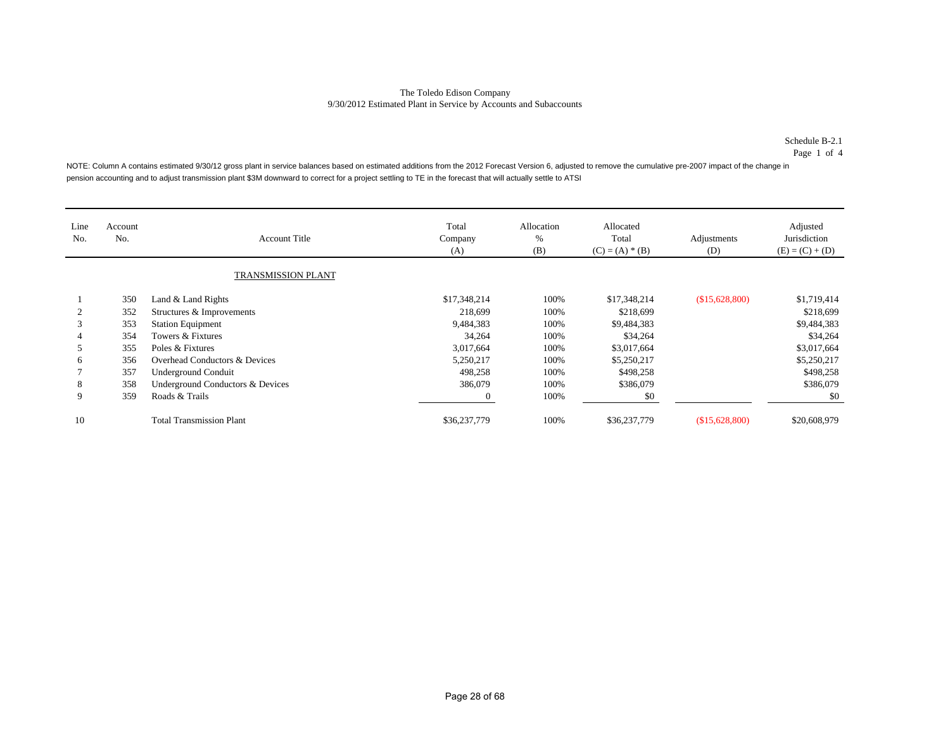#### Schedule B-2.1

Page 1 of 4

NOTE: Column A contains estimated 9/30/12 gross plant in service balances based on estimated additions from the 2012 Forecast Version 6, adjusted to remove the cumulative pre-2007 impact of the change in pension accounting and to adjust transmission plant \$3M downward to correct for a project settling to TE in the forecast that will actually settle to ATSI

| Line<br>No. | Account<br>No. | <b>Account Title</b>             | Total<br>Company<br>(A) | Allocation<br>%<br>(B) | Allocated<br>Total<br>$(C) = (A) * (B)$ | Adjustments<br>(D) | Adjusted<br>Jurisdiction<br>$(E) = (C) + (D)$ |
|-------------|----------------|----------------------------------|-------------------------|------------------------|-----------------------------------------|--------------------|-----------------------------------------------|
|             |                | TRANSMISSION PLANT               |                         |                        |                                         |                    |                                               |
|             | 350            | Land & Land Rights               | \$17,348,214            | 100%                   | \$17,348,214                            | (\$15,628,800)     | \$1,719,414                                   |
|             | 352            | Structures & Improvements        | 218,699                 | 100%                   | \$218,699                               |                    | \$218,699                                     |
| 3           | 353            | <b>Station Equipment</b>         | 9,484,383               | 100%                   | \$9,484,383                             |                    | \$9,484,383                                   |
|             | 354            | Towers & Fixtures                | 34,264                  | 100%                   | \$34,264                                |                    | \$34,264                                      |
| ∍           | 355            | Poles & Fixtures                 | 3,017,664               | 100%                   | \$3,017,664                             |                    | \$3,017,664                                   |
| 6           | 356            | Overhead Conductors & Devices    | 5,250,217               | 100%                   | \$5,250,217                             |                    | \$5,250,217                                   |
|             | 357            | <b>Underground Conduit</b>       | 498,258                 | 100%                   | \$498,258                               |                    | \$498,258                                     |
| 8           | 358            | Underground Conductors & Devices | 386,079                 | 100%                   | \$386,079                               |                    | \$386,079                                     |
| 9           | 359            | Roads & Trails                   | $\overline{0}$          | 100%                   | \$0                                     |                    | \$0                                           |
| 10          |                | <b>Total Transmission Plant</b>  | \$36,237,779            | 100%                   | \$36,237,779                            | (\$15,628,800)     | \$20,608,979                                  |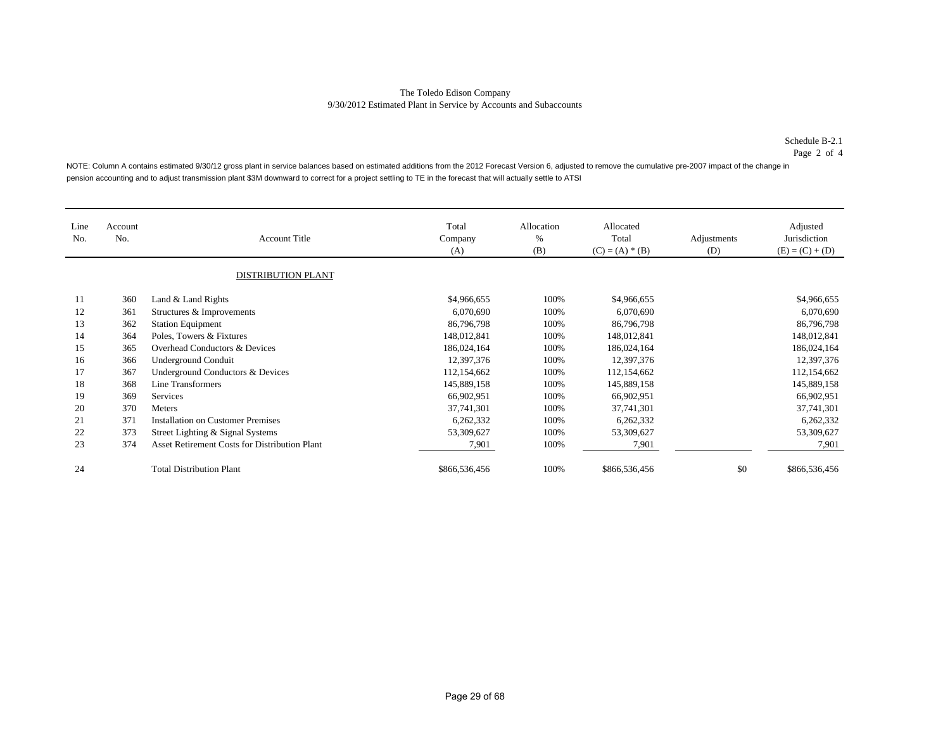#### Schedule B-2.1

Page 2 of 4

NOTE: Column A contains estimated 9/30/12 gross plant in service balances based on estimated additions from the 2012 Forecast Version 6, adjusted to remove the cumulative pre-2007 impact of the change in pension accounting and to adjust transmission plant \$3M downward to correct for a project settling to TE in the forecast that will actually settle to ATSI

| Line<br>No. | Account<br>No. | <b>Account Title</b>                          | Total<br>Company<br>(A) | Allocation<br>%<br>(B) | Allocated<br>Total<br>$(C) = (A) * (B)$ | Adjustments<br>(D) | Adjusted<br>Jurisdiction<br>$(E) = (C) + (D)$ |
|-------------|----------------|-----------------------------------------------|-------------------------|------------------------|-----------------------------------------|--------------------|-----------------------------------------------|
|             |                | <b>DISTRIBUTION PLANT</b>                     |                         |                        |                                         |                    |                                               |
| 11          | 360            | Land & Land Rights                            | \$4,966,655             | 100%                   | \$4,966,655                             |                    | \$4,966,655                                   |
| 12          | 361            | Structures & Improvements                     | 6,070,690               | 100%                   | 6,070,690                               |                    | 6,070,690                                     |
| 13          | 362            | <b>Station Equipment</b>                      | 86,796,798              | 100%                   | 86,796,798                              |                    | 86,796,798                                    |
| 14          | 364            | Poles, Towers & Fixtures                      | 148,012,841             | 100%                   | 148,012,841                             |                    | 148,012,841                                   |
| 15          | 365            | Overhead Conductors & Devices                 | 186,024,164             | 100%                   | 186,024,164                             |                    | 186,024,164                                   |
| 16          | 366            | <b>Underground Conduit</b>                    | 12,397,376              | 100%                   | 12,397,376                              |                    | 12,397,376                                    |
| 17          | 367            | Underground Conductors & Devices              | 112,154,662             | 100%                   | 112,154,662                             |                    | 112,154,662                                   |
| 18          | 368            | Line Transformers                             | 145,889,158             | 100%                   | 145,889,158                             |                    | 145,889,158                                   |
| 19          | 369            | Services                                      | 66,902,951              | 100%                   | 66,902,951                              |                    | 66,902,951                                    |
| 20          | 370            | Meters                                        | 37,741,301              | 100%                   | 37,741,301                              |                    | 37,741,301                                    |
| 21          | 371            | <b>Installation on Customer Premises</b>      | 6,262,332               | 100%                   | 6,262,332                               |                    | 6,262,332                                     |
| 22          | 373            | Street Lighting & Signal Systems              | 53,309,627              | 100%                   | 53,309,627                              |                    | 53,309,627                                    |
| 23          | 374            | Asset Retirement Costs for Distribution Plant | 7,901                   | 100%                   | 7,901                                   |                    | 7,901                                         |
| 24          |                | <b>Total Distribution Plant</b>               | \$866,536,456           | 100%                   | \$866,536,456                           | \$0                | \$866,536,456                                 |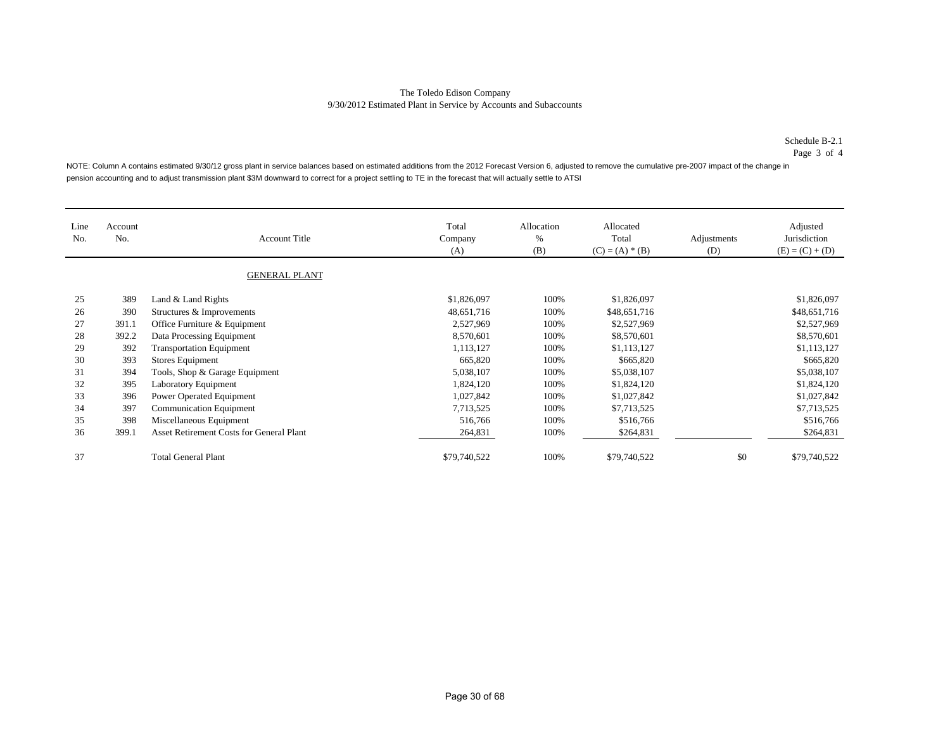#### Schedule B-2.1

Page 3 of 4

NOTE: Column A contains estimated 9/30/12 gross plant in service balances based on estimated additions from the 2012 Forecast Version 6, adjusted to remove the cumulative pre-2007 impact of the change in pension accounting and to adjust transmission plant \$3M downward to correct for a project settling to TE in the forecast that will actually settle to ATSI

| Line<br>No. | Account<br>No. | <b>Account Title</b>                     | Total<br>Company<br>(A) | Allocation<br>$\%$<br>(B) | Allocated<br>Total<br>$(C) = (A) * (B)$ | Adjustments<br>(D) | Adjusted<br>Jurisdiction<br>$(E) = (C) + (D)$ |
|-------------|----------------|------------------------------------------|-------------------------|---------------------------|-----------------------------------------|--------------------|-----------------------------------------------|
|             |                | <b>GENERAL PLANT</b>                     |                         |                           |                                         |                    |                                               |
| 25          | 389            | Land & Land Rights                       | \$1,826,097             | 100%                      | \$1,826,097                             |                    | \$1,826,097                                   |
| 26          | 390            | Structures & Improvements                | 48,651,716              | 100%                      | \$48,651,716                            |                    | \$48,651,716                                  |
| 27          | 391.1          | Office Furniture & Equipment             | 2,527,969               | 100%                      | \$2,527,969                             |                    | \$2,527,969                                   |
| 28          | 392.2          | Data Processing Equipment                | 8,570,601               | 100%                      | \$8,570,601                             |                    | \$8,570,601                                   |
| 29          | 392            | <b>Transportation Equipment</b>          | 1,113,127               | 100%                      | \$1,113,127                             |                    | \$1,113,127                                   |
| 30          | 393            | Stores Equipment                         | 665,820                 | 100%                      | \$665,820                               |                    | \$665,820                                     |
| 31          | 394            | Tools, Shop & Garage Equipment           | 5,038,107               | 100%                      | \$5,038,107                             |                    | \$5,038,107                                   |
| 32          | 395            | <b>Laboratory Equipment</b>              | 1,824,120               | 100%                      | \$1,824,120                             |                    | \$1,824,120                                   |
| 33          | 396            | Power Operated Equipment                 | 1,027,842               | 100%                      | \$1,027,842                             |                    | \$1,027,842                                   |
| 34          | 397            | <b>Communication Equipment</b>           | 7,713,525               | 100%                      | \$7,713,525                             |                    | \$7,713,525                                   |
| 35          | 398            | Miscellaneous Equipment                  | 516,766                 | 100%                      | \$516,766                               |                    | \$516,766                                     |
| 36          | 399.1          | Asset Retirement Costs for General Plant | 264,831                 | 100%                      | \$264,831                               |                    | \$264,831                                     |
| 37          |                | <b>Total General Plant</b>               | \$79,740,522            | 100%                      | \$79,740,522                            | \$0                | \$79,740,522                                  |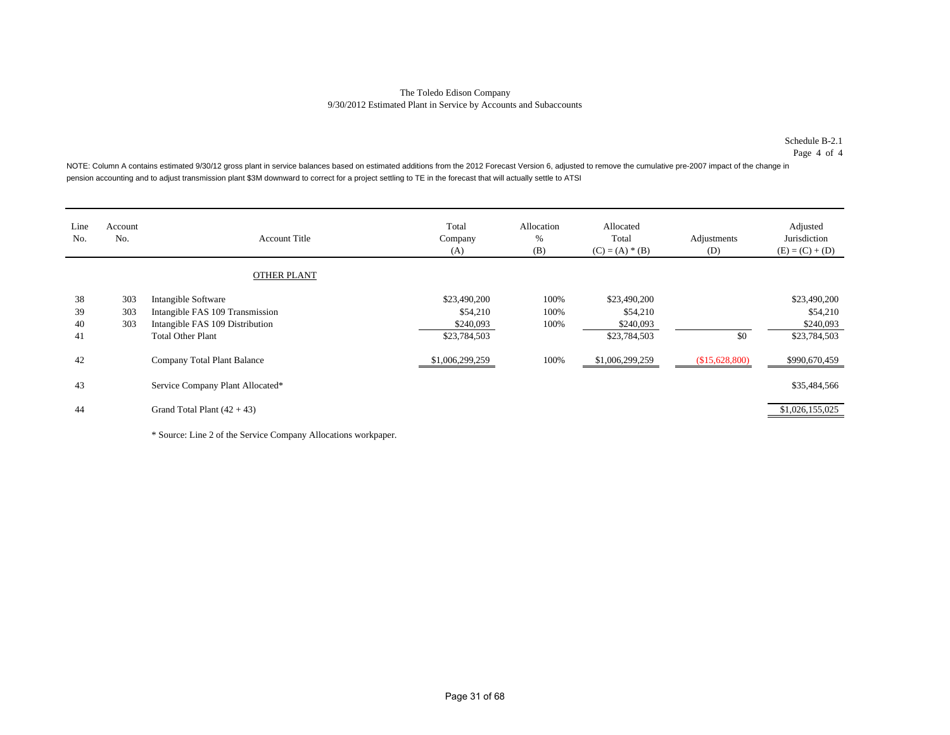#### Schedule B-2.1

Page 4 of 4

NOTE: Column A contains estimated 9/30/12 gross plant in service balances based on estimated additions from the 2012 Forecast Version 6, adjusted to remove the cumulative pre-2007 impact of the change in pension accounting and to adjust transmission plant \$3M downward to correct for a project settling to TE in the forecast that will actually settle to ATSI

| Line<br>No.          | Account<br>No.    | <b>Account Title</b>                                                                                                  | Total<br>Company<br>(A)                               | Allocation<br>%<br>(B) | Allocated<br>Total<br>$(C) = (A) * (B)$               | Adjustments<br>(D) | Adjusted<br>Jurisdiction<br>$(E) = (C) + (D)$         |
|----------------------|-------------------|-----------------------------------------------------------------------------------------------------------------------|-------------------------------------------------------|------------------------|-------------------------------------------------------|--------------------|-------------------------------------------------------|
|                      |                   | <b>OTHER PLANT</b>                                                                                                    |                                                       |                        |                                                       |                    |                                                       |
| 38<br>39<br>40<br>41 | 303<br>303<br>303 | Intangible Software<br>Intangible FAS 109 Transmission<br>Intangible FAS 109 Distribution<br><b>Total Other Plant</b> | \$23,490,200<br>\$54,210<br>\$240,093<br>\$23,784,503 | 100%<br>100%<br>100%   | \$23,490,200<br>\$54,210<br>\$240,093<br>\$23,784,503 | \$0                | \$23,490,200<br>\$54,210<br>\$240,093<br>\$23,784,503 |
| 42                   |                   | Company Total Plant Balance                                                                                           | \$1,006,299,259                                       | 100%                   | \$1,006,299,259                                       | \$15,628,800       | \$990,670,459                                         |
| 43                   |                   | Service Company Plant Allocated*                                                                                      |                                                       |                        |                                                       |                    | \$35,484,566                                          |
| 44                   |                   | Grand Total Plant $(42 + 43)$                                                                                         |                                                       |                        |                                                       |                    | \$1,026,155,025                                       |

\* Source: Line 2 of the Service Company Allocations workpaper.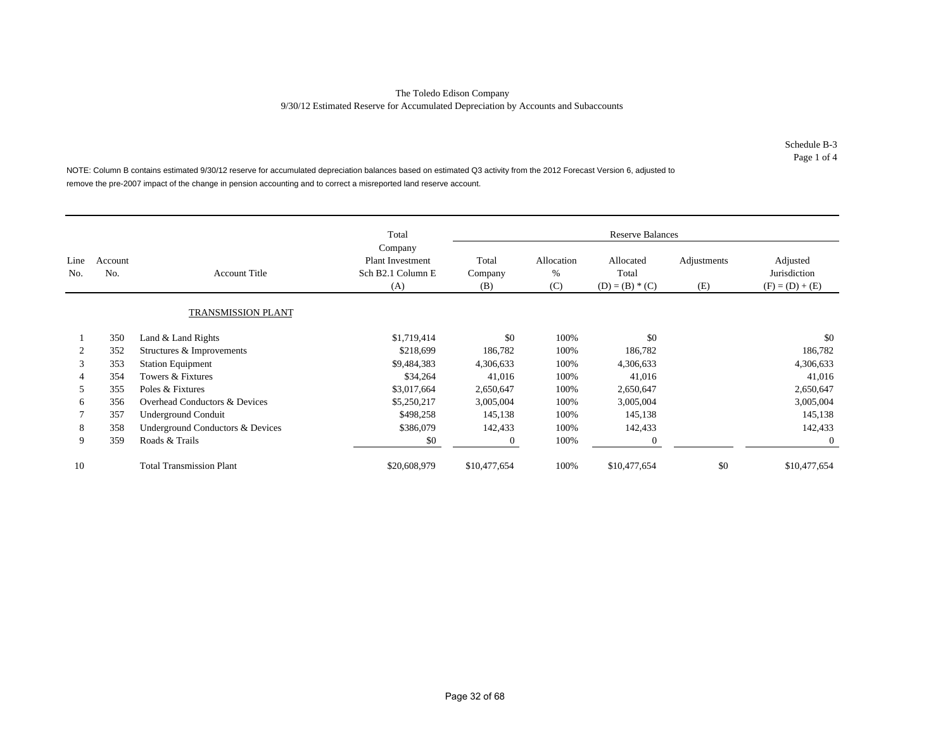Schedule B-3Page 1 of 4

NOTE: Column B contains estimated 9/30/12 reserve for accumulated depreciation balances based on estimated Q3 activity from the 2012 Forecast Version 6, adjusted to remove the pre-2007 impact of the change in pension accounting and to correct a misreported land reserve account.

|             |                |                                  | Total                                                          |                         |                        | <b>Reserve Balances</b>                 |                    |                                               |
|-------------|----------------|----------------------------------|----------------------------------------------------------------|-------------------------|------------------------|-----------------------------------------|--------------------|-----------------------------------------------|
| Line<br>No. | Account<br>No. | <b>Account Title</b>             | Company<br><b>Plant Investment</b><br>Sch B2.1 Column E<br>(A) | Total<br>Company<br>(B) | Allocation<br>%<br>(C) | Allocated<br>Total<br>$(D) = (B) * (C)$ | Adjustments<br>(E) | Adjusted<br>Jurisdiction<br>$(F) = (D) + (E)$ |
|             |                | <b>TRANSMISSION PLANT</b>        |                                                                |                         |                        |                                         |                    |                                               |
|             | 350            | Land & Land Rights               | \$1,719,414                                                    | \$0                     | 100%                   | \$0                                     |                    | \$0                                           |
| 2           | 352            | Structures & Improvements        | \$218,699                                                      | 186,782                 | 100%                   | 186,782                                 |                    | 186,782                                       |
| 3           | 353            | <b>Station Equipment</b>         | \$9,484,383                                                    | 4,306,633               | 100%                   | 4,306,633                               |                    | 4,306,633                                     |
| 4           | 354            | Towers & Fixtures                | \$34,264                                                       | 41,016                  | 100%                   | 41,016                                  |                    | 41,016                                        |
| 5           | 355            | Poles & Fixtures                 | \$3,017,664                                                    | 2,650,647               | 100%                   | 2,650,647                               |                    | 2,650,647                                     |
| 6           | 356            | Overhead Conductors & Devices    | \$5,250,217                                                    | 3,005,004               | 100%                   | 3,005,004                               |                    | 3,005,004                                     |
|             | 357            | <b>Underground Conduit</b>       | \$498,258                                                      | 145,138                 | 100%                   | 145,138                                 |                    | 145,138                                       |
| 8           | 358            | Underground Conductors & Devices | \$386,079                                                      | 142,433                 | 100%                   | 142,433                                 |                    | 142,433                                       |
| 9           | 359            | Roads & Trails                   | \$0                                                            | $\theta$                | 100%                   | $\theta$                                |                    | $\overline{0}$                                |
| 10          |                | <b>Total Transmission Plant</b>  | \$20,608,979                                                   | \$10,477,654            | 100%                   | \$10,477,654                            | \$0                | \$10,477,654                                  |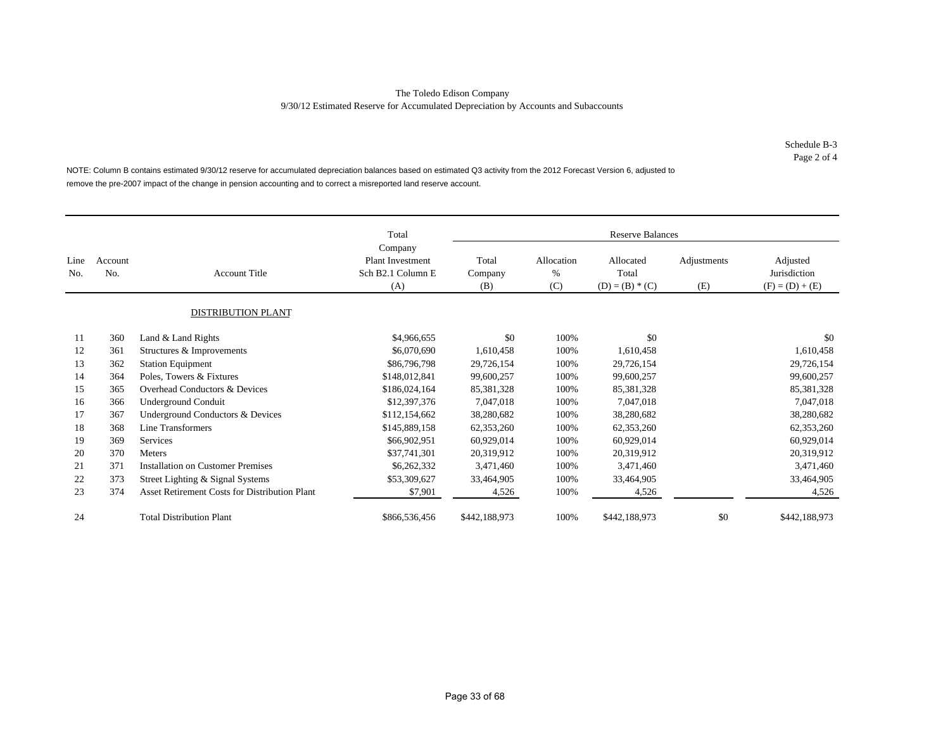Schedule B-3 Page 2 of 4

NOTE: Column B contains estimated 9/30/12 reserve for accumulated depreciation balances based on estimated Q3 activity from the 2012 Forecast Version 6, adjusted to remove the pre-2007 impact of the change in pension accounting and to correct a misreported land reserve account.

|             |                |                                                      | Total<br>Company                                    |                         |                        | <b>Reserve Balances</b>                 |                    |                                               |
|-------------|----------------|------------------------------------------------------|-----------------------------------------------------|-------------------------|------------------------|-----------------------------------------|--------------------|-----------------------------------------------|
| Line<br>No. | Account<br>No. | <b>Account Title</b>                                 | <b>Plant Investment</b><br>Sch B2.1 Column E<br>(A) | Total<br>Company<br>(B) | Allocation<br>%<br>(C) | Allocated<br>Total<br>$(D) = (B) * (C)$ | Adjustments<br>(E) | Adjusted<br>Jurisdiction<br>$(F) = (D) + (E)$ |
|             |                | <b>DISTRIBUTION PLANT</b>                            |                                                     |                         |                        |                                         |                    |                                               |
| 11          | 360            | Land & Land Rights                                   | \$4,966,655                                         | \$0                     | 100%                   | \$0                                     |                    | \$0                                           |
| 12          | 361            | Structures & Improvements                            | \$6,070,690                                         | 1,610,458               | 100%                   | 1,610,458                               |                    | 1,610,458                                     |
| 13          | 362            | <b>Station Equipment</b>                             | \$86,796,798                                        | 29,726,154              | 100%                   | 29,726,154                              |                    | 29,726,154                                    |
| 14          | 364            | Poles, Towers & Fixtures                             | \$148,012,841                                       | 99,600,257              | 100%                   | 99,600,257                              |                    | 99,600,257                                    |
| 15          | 365            | Overhead Conductors & Devices                        | \$186,024,164                                       | 85,381,328              | 100%                   | 85,381,328                              |                    | 85,381,328                                    |
| 16          | 366            | <b>Underground Conduit</b>                           | \$12,397,376                                        | 7,047,018               | 100%                   | 7,047,018                               |                    | 7,047,018                                     |
| 17          | 367            | Underground Conductors & Devices                     | \$112,154,662                                       | 38,280,682              | 100%                   | 38,280,682                              |                    | 38,280,682                                    |
| 18          | 368            | Line Transformers                                    | \$145,889,158                                       | 62,353,260              | 100%                   | 62,353,260                              |                    | 62,353,260                                    |
| 19          | 369            | Services                                             | \$66,902,951                                        | 60,929,014              | 100%                   | 60,929,014                              |                    | 60,929,014                                    |
| 20          | 370            | Meters                                               | \$37,741,301                                        | 20,319,912              | 100%                   | 20,319,912                              |                    | 20,319,912                                    |
| 21          | 371            | <b>Installation on Customer Premises</b>             | \$6,262,332                                         | 3,471,460               | 100%                   | 3,471,460                               |                    | 3,471,460                                     |
| 22          | 373            | Street Lighting & Signal Systems                     | \$53,309,627                                        | 33,464,905              | 100%                   | 33,464,905                              |                    | 33,464,905                                    |
| 23          | 374            | <b>Asset Retirement Costs for Distribution Plant</b> | \$7,901                                             | 4,526                   | 100%                   | 4,526                                   |                    | 4,526                                         |
| 24          |                | <b>Total Distribution Plant</b>                      | \$866,536,456                                       | \$442,188,973           | 100%                   | \$442,188,973                           | \$0                | \$442,188,973                                 |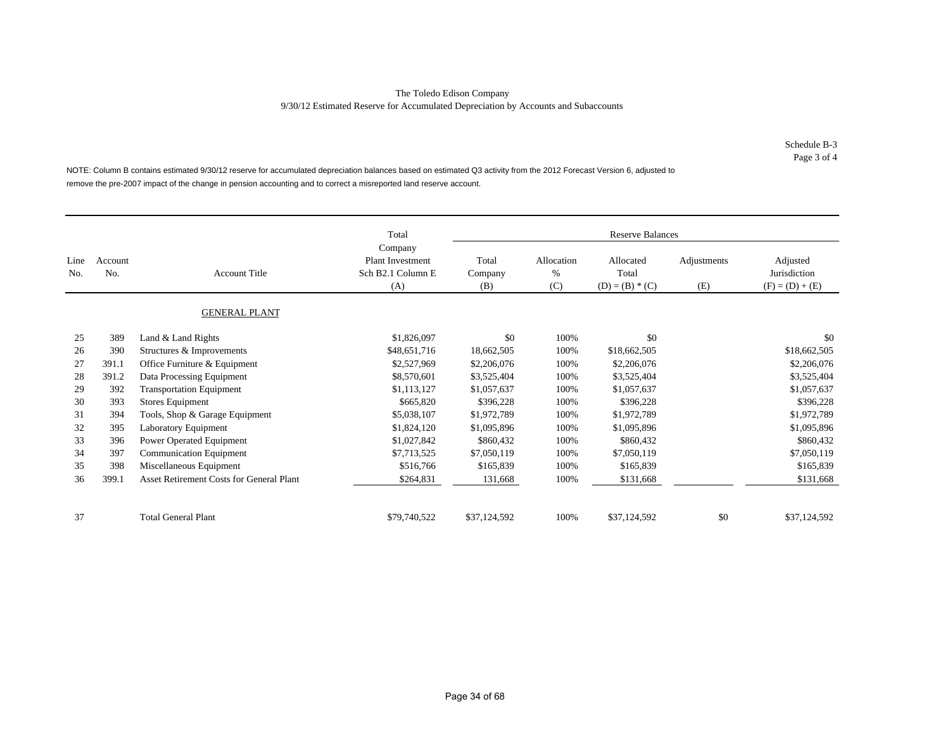Schedule B-3 Page 3 of 4

NOTE: Column B contains estimated 9/30/12 reserve for accumulated depreciation balances based on estimated Q3 activity from the 2012 Forecast Version 6, adjusted to remove the pre-2007 impact of the change in pension accounting and to correct a misreported land reserve account.

|             |                |                                          | Total                                                          |                         |                        | <b>Reserve Balances</b>                 |                    |                                               |
|-------------|----------------|------------------------------------------|----------------------------------------------------------------|-------------------------|------------------------|-----------------------------------------|--------------------|-----------------------------------------------|
| Line<br>No. | Account<br>No. | <b>Account Title</b>                     | Company<br><b>Plant Investment</b><br>Sch B2.1 Column E<br>(A) | Total<br>Company<br>(B) | Allocation<br>%<br>(C) | Allocated<br>Total<br>$(D) = (B) * (C)$ | Adjustments<br>(E) | Adjusted<br>Jurisdiction<br>$(F) = (D) + (E)$ |
|             |                | <b>GENERAL PLANT</b>                     |                                                                |                         |                        |                                         |                    |                                               |
| 25          | 389            | Land & Land Rights                       | \$1,826,097                                                    | \$0                     | 100%                   | \$0                                     |                    | \$0                                           |
| 26          | 390            | Structures & Improvements                | \$48,651,716                                                   | 18,662,505              | 100%                   | \$18,662,505                            |                    | \$18,662,505                                  |
| 27          | 391.1          | Office Furniture & Equipment             | \$2,527,969                                                    | \$2,206,076             | 100%                   | \$2,206,076                             |                    | \$2,206,076                                   |
| 28          | 391.2          | Data Processing Equipment                | \$8,570,601                                                    | \$3,525,404             | 100%                   | \$3,525,404                             |                    | \$3,525,404                                   |
| 29          | 392            | <b>Transportation Equipment</b>          | \$1,113,127                                                    | \$1,057,637             | 100%                   | \$1,057,637                             |                    | \$1,057,637                                   |
| 30          | 393            | Stores Equipment                         | \$665,820                                                      | \$396,228               | 100%                   | \$396,228                               |                    | \$396,228                                     |
| 31          | 394            | Tools, Shop & Garage Equipment           | \$5,038,107                                                    | \$1,972,789             | 100%                   | \$1,972,789                             |                    | \$1,972,789                                   |
| 32          | 395            | Laboratory Equipment                     | \$1,824,120                                                    | \$1,095,896             | 100%                   | \$1,095,896                             |                    | \$1,095,896                                   |
| 33          | 396            | Power Operated Equipment                 | \$1,027,842                                                    | \$860,432               | 100%                   | \$860,432                               |                    | \$860,432                                     |
| 34          | 397            | Communication Equipment                  | \$7,713,525                                                    | \$7,050,119             | 100%                   | \$7,050,119                             |                    | \$7,050,119                                   |
| 35          | 398            | Miscellaneous Equipment                  | \$516,766                                                      | \$165,839               | 100%                   | \$165,839                               |                    | \$165,839                                     |
| 36          | 399.1          | Asset Retirement Costs for General Plant | \$264,831                                                      | 131,668                 | 100%                   | \$131,668                               |                    | \$131,668                                     |
| 37          |                | <b>Total General Plant</b>               | \$79,740,522                                                   | \$37,124,592            | 100%                   | \$37,124,592                            | \$0                | \$37,124,592                                  |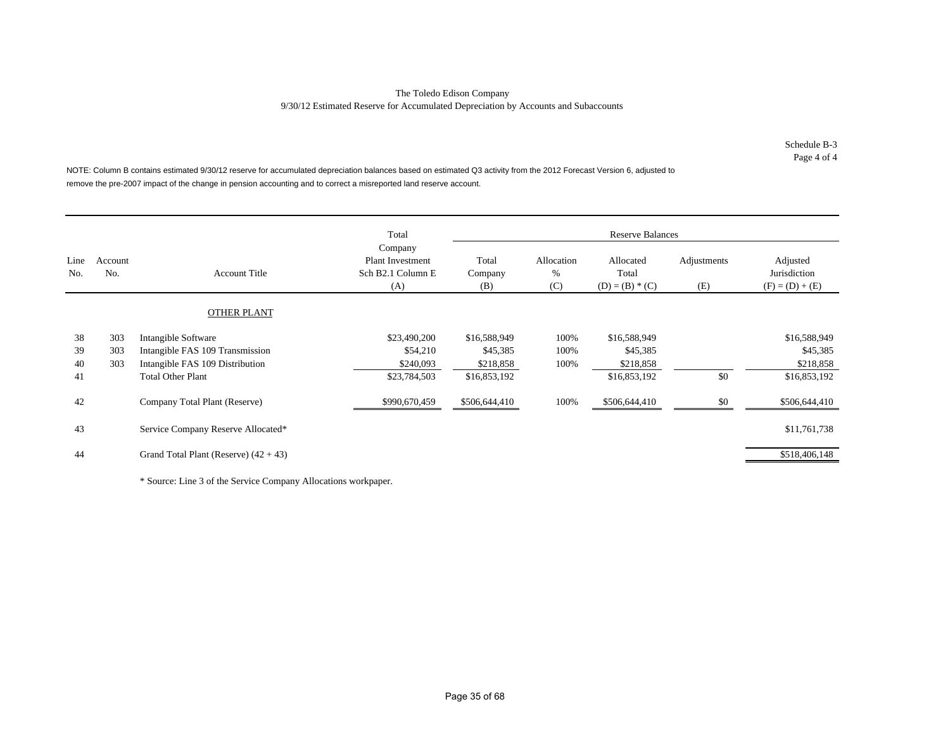Schedule B-3 Page 4 of 4

NOTE: Column B contains estimated 9/30/12 reserve for accumulated depreciation balances based on estimated Q3 activity from the 2012 Forecast Version 6, adjusted to remove the pre-2007 impact of the change in pension accounting and to correct a misreported land reserve account.

|             |                |                                         | Total                                                          |                         |                        | <b>Reserve Balances</b>                 |                    |                                               |
|-------------|----------------|-----------------------------------------|----------------------------------------------------------------|-------------------------|------------------------|-----------------------------------------|--------------------|-----------------------------------------------|
| Line<br>No. | Account<br>No. | <b>Account Title</b>                    | Company<br><b>Plant Investment</b><br>Sch B2.1 Column E<br>(A) | Total<br>Company<br>(B) | Allocation<br>%<br>(C) | Allocated<br>Total<br>$(D) = (B) * (C)$ | Adjustments<br>(E) | Adjusted<br>Jurisdiction<br>$(F) = (D) + (E)$ |
|             |                | <b>OTHER PLANT</b>                      |                                                                |                         |                        |                                         |                    |                                               |
| 38          | 303            | Intangible Software                     | \$23,490,200                                                   | \$16,588,949            | 100%                   | \$16,588,949                            |                    | \$16,588,949                                  |
| 39          | 303            | Intangible FAS 109 Transmission         | \$54,210                                                       | \$45,385                | 100%                   | \$45,385                                |                    | \$45,385                                      |
| 40          | 303            | Intangible FAS 109 Distribution         | \$240,093                                                      | \$218,858               | 100%                   | \$218,858                               |                    | \$218,858                                     |
| 41          |                | <b>Total Other Plant</b>                | \$23,784,503                                                   | \$16,853,192            |                        | \$16,853,192                            | \$0                | \$16,853,192                                  |
| 42          |                | Company Total Plant (Reserve)           | \$990,670,459                                                  | \$506,644,410           | 100%                   | \$506,644,410                           | \$0                | \$506,644,410                                 |
| 43          |                | Service Company Reserve Allocated*      |                                                                |                         |                        |                                         |                    | \$11,761,738                                  |
| 44          |                | Grand Total Plant (Reserve) $(42 + 43)$ |                                                                |                         |                        |                                         |                    | \$518,406,148                                 |

\* Source: Line 3 of the Service Company Allocations workpaper.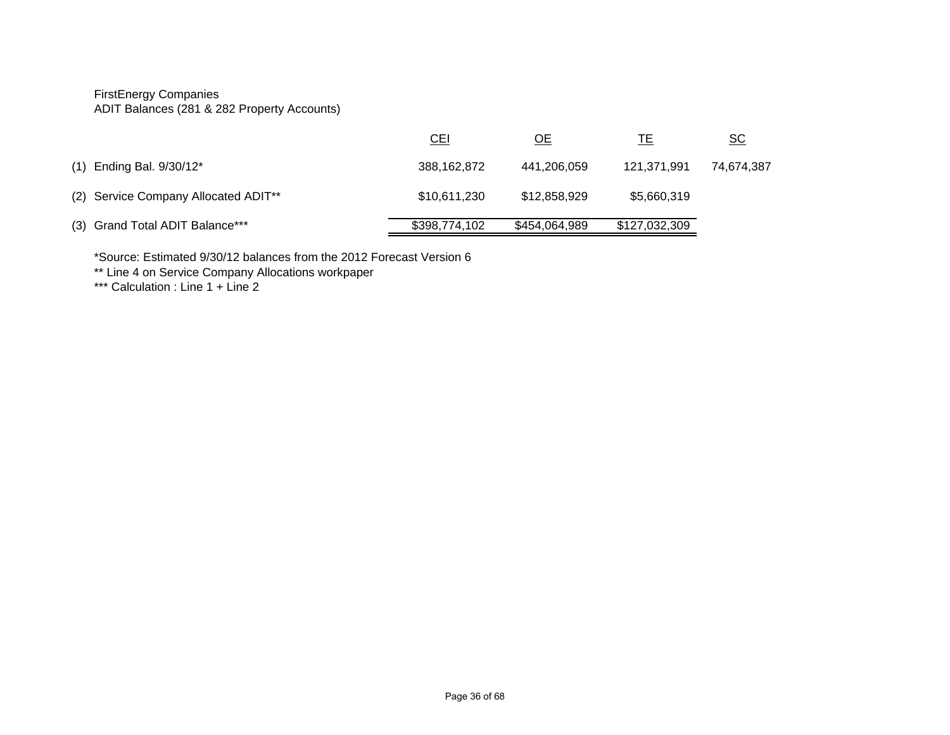FirstEnergy Companies ADIT Balances (281 & 282 Property Accounts)

|                                      | <u>CEI</u>    | <u>ОЕ</u>     | ΙE            | <u>sc</u>  |
|--------------------------------------|---------------|---------------|---------------|------------|
| (1) Ending Bal. 9/30/12*             | 388,162,872   | 441,206,059   | 121,371,991   | 74,674,387 |
| (2) Service Company Allocated ADIT** | \$10,611,230  | \$12,858,929  | \$5,660,319   |            |
| (3) Grand Total ADIT Balance***      | \$398,774,102 | \$454,064,989 | \$127,032,309 |            |

\*Source: Estimated 9/30/12 balances from the 2012 Forecast Version 6 \*\* Line 4 on Service Company Allocations workpaper

\*\*\* Calculation : Line 1 + Line 2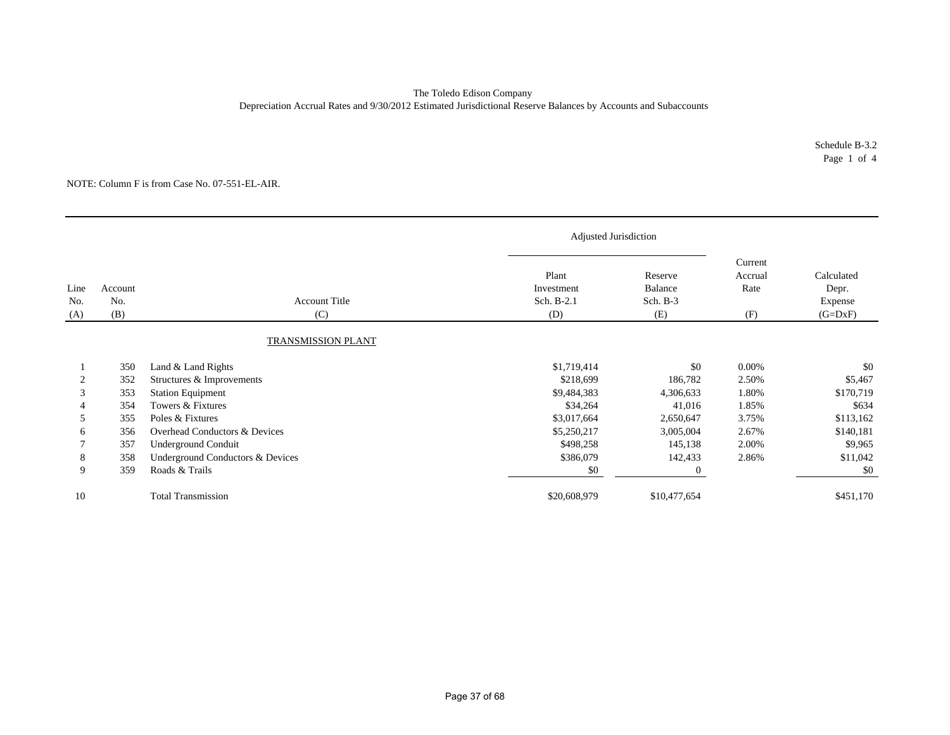### The Toledo Edison Company Depreciation Accrual Rates and 9/30/2012 Estimated Jurisdictional Reserve Balances by Accounts and Subaccounts

Schedule B-3.2 Page 1 of 4

|                    |                       |                                                       | Adjusted Jurisdiction                    |                                       |                                   |                                             |
|--------------------|-----------------------|-------------------------------------------------------|------------------------------------------|---------------------------------------|-----------------------------------|---------------------------------------------|
| Line<br>No.<br>(A) | Account<br>No.<br>(B) | <b>Account Title</b><br>(C)                           | Plant<br>Investment<br>Sch. B-2.1<br>(D) | Reserve<br>Balance<br>Sch. B-3<br>(E) | Current<br>Accrual<br>Rate<br>(F) | Calculated<br>Depr.<br>Expense<br>$(G=DxF)$ |
|                    |                       | TRANSMISSION PLANT                                    |                                          |                                       |                                   |                                             |
|                    | 350                   | Land & Land Rights                                    | \$1,719,414                              | \$0                                   | 0.00%                             | \$0                                         |
| 2<br>3             | 352<br>353            | Structures & Improvements<br><b>Station Equipment</b> | \$218,699<br>\$9,484,383                 | 186,782<br>4,306,633                  | 2.50%<br>1.80%                    | \$5,467<br>\$170,719                        |
|                    | 354                   | Towers & Fixtures                                     | \$34,264                                 | 41,016                                | 1.85%                             | \$634                                       |
| 5                  | 355                   | Poles & Fixtures                                      | \$3,017,664                              | 2,650,647                             | 3.75%                             | \$113,162                                   |
| 6                  | 356                   | Overhead Conductors & Devices                         | \$5,250,217                              | 3,005,004                             | 2.67%                             | \$140,181                                   |
|                    | 357                   | Underground Conduit                                   | \$498,258                                | 145,138                               | 2.00%                             | \$9,965                                     |
| 8                  | 358                   | Underground Conductors & Devices                      | \$386,079                                | 142,433                               | 2.86%                             | \$11,042                                    |
| 9                  | 359                   | Roads & Trails                                        | \$0                                      | 0                                     |                                   | \$0                                         |
| 10                 |                       | <b>Total Transmission</b>                             | \$20,608,979                             | \$10,477,654                          |                                   | \$451,170                                   |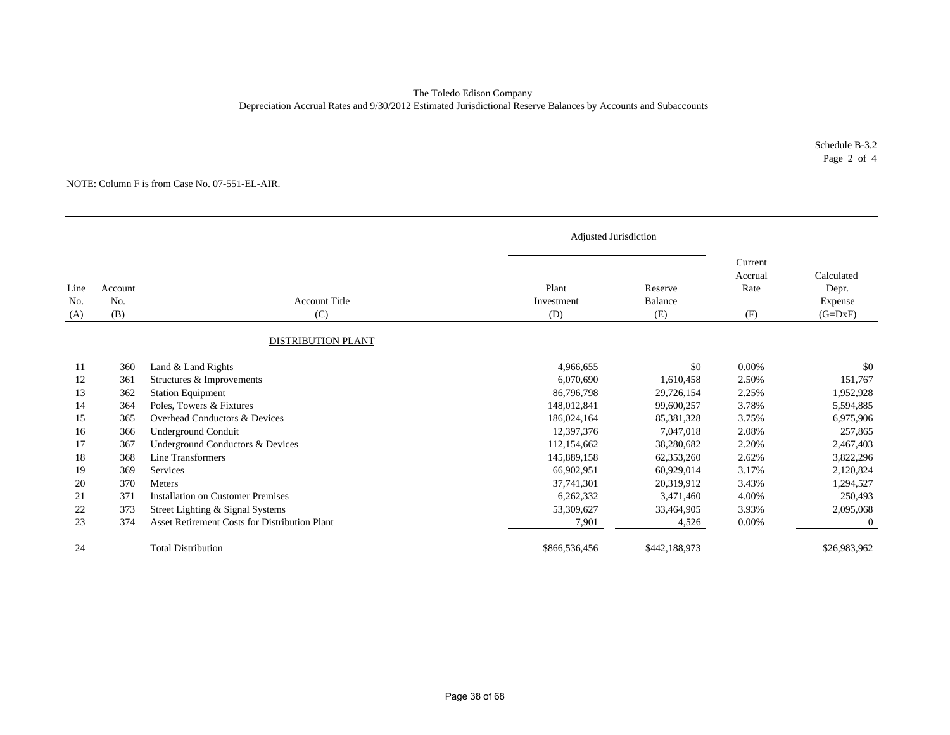### The Toledo Edison Company Depreciation Accrual Rates and 9/30/2012 Estimated Jurisdictional Reserve Balances by Accounts and Subaccounts

Schedule B-3.2 Page 2 of 4

|                    |                       |                                                       | Adjusted Jurisdiction      |                           |                                   |                                             |
|--------------------|-----------------------|-------------------------------------------------------|----------------------------|---------------------------|-----------------------------------|---------------------------------------------|
| Line<br>No.<br>(A) | Account<br>No.<br>(B) | <b>Account Title</b><br>(C)                           | Plant<br>Investment<br>(D) | Reserve<br>Balance<br>(E) | Current<br>Accrual<br>Rate<br>(F) | Calculated<br>Depr.<br>Expense<br>$(G=DxF)$ |
|                    |                       | DISTRIBUTION PLANT                                    |                            |                           |                                   |                                             |
| 11                 | 360                   | Land & Land Rights                                    | 4,966,655                  | \$0                       | 0.00%                             | \$0                                         |
| 12<br>13           | 361<br>362            | Structures & Improvements<br><b>Station Equipment</b> | 6,070,690<br>86,796,798    | 1,610,458<br>29,726,154   | 2.50%<br>2.25%                    | 151,767<br>1,952,928                        |
| 14                 | 364                   | Poles, Towers & Fixtures                              | 148,012,841                | 99,600,257                | 3.78%                             | 5,594,885                                   |
| 15                 | 365                   | Overhead Conductors & Devices                         | 186,024,164                | 85,381,328                | 3.75%                             | 6,975,906                                   |
| 16                 | 366                   | Underground Conduit                                   | 12,397,376                 | 7,047,018                 | 2.08%                             | 257,865                                     |
| 17                 | 367                   | Underground Conductors & Devices                      | 112,154,662                | 38,280,682                | 2.20%                             | 2,467,403                                   |
| 18                 | 368                   | Line Transformers                                     | 145,889,158                | 62,353,260                | 2.62%                             | 3,822,296                                   |
| 19                 | 369                   | Services                                              | 66,902,951                 | 60,929,014                | 3.17%                             | 2,120,824                                   |
| 20                 | 370                   | <b>Meters</b>                                         | 37,741,301                 | 20,319,912                | 3.43%                             | 1,294,527                                   |
| 21                 | 371                   | <b>Installation on Customer Premises</b>              | 6,262,332                  | 3,471,460                 | 4.00%                             | 250,493                                     |
| 22                 | 373                   | Street Lighting & Signal Systems                      | 53,309,627                 | 33,464,905                | 3.93%                             | 2,095,068                                   |
| 23                 | 374                   | Asset Retirement Costs for Distribution Plant         | 7,901                      | 4,526                     | 0.00%                             | $\theta$                                    |
| 24                 |                       | <b>Total Distribution</b>                             | \$866,536,456              | \$442,188,973             |                                   | \$26,983,962                                |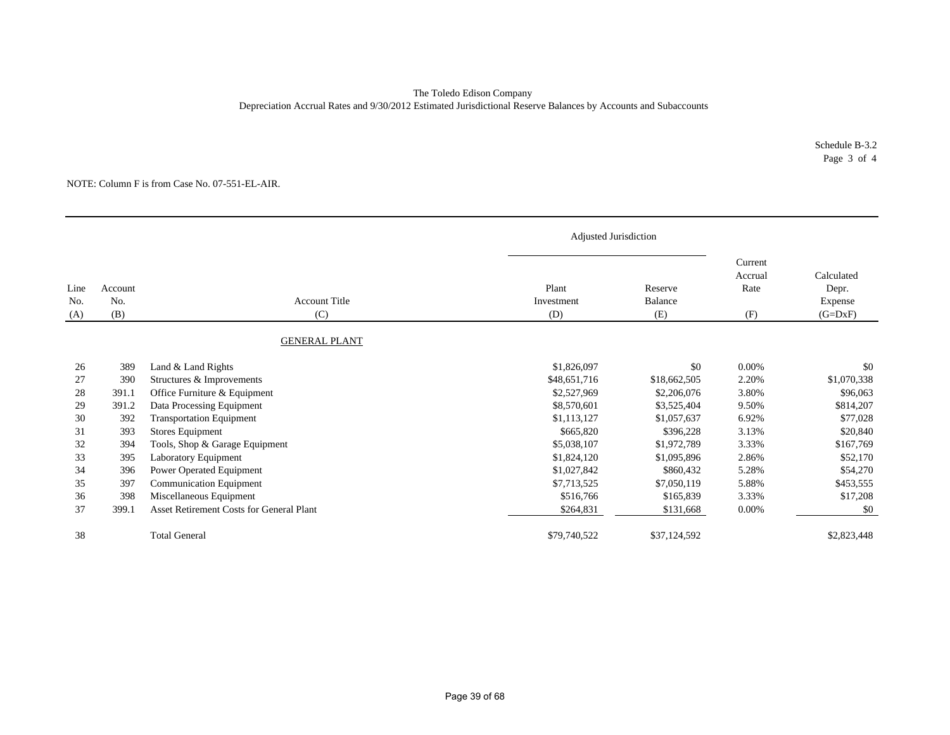### Depreciation Accrual Rates and 9/30/2012 Estimated Jurisdictional Reserve Balances by Accounts and Subaccounts The Toledo Edison Company

Schedule B-3.2 Page 3 of 4

|                                                                      |                                                                                        |                                                                                                                                                                                                                                                                                                                                                                           | Adjusted Jurisdiction                                                                                                                                                       |                                                                                                                                                                   |                                                                                                          |                                                                                                                                          |
|----------------------------------------------------------------------|----------------------------------------------------------------------------------------|---------------------------------------------------------------------------------------------------------------------------------------------------------------------------------------------------------------------------------------------------------------------------------------------------------------------------------------------------------------------------|-----------------------------------------------------------------------------------------------------------------------------------------------------------------------------|-------------------------------------------------------------------------------------------------------------------------------------------------------------------|----------------------------------------------------------------------------------------------------------|------------------------------------------------------------------------------------------------------------------------------------------|
| Line<br>No.<br>(A)                                                   | Account<br>No.<br>(B)                                                                  | <b>Account Title</b><br>(C)                                                                                                                                                                                                                                                                                                                                               | Plant<br>Investment<br>(D)                                                                                                                                                  | Reserve<br>Balance<br>(E)                                                                                                                                         | Current<br>Accrual<br>Rate<br>(F)                                                                        | Calculated<br>Depr.<br>Expense<br>$(G=DxF)$                                                                                              |
|                                                                      |                                                                                        | <b>GENERAL PLANT</b>                                                                                                                                                                                                                                                                                                                                                      |                                                                                                                                                                             |                                                                                                                                                                   |                                                                                                          |                                                                                                                                          |
| 26<br>27<br>28<br>29<br>30<br>31<br>32<br>33<br>34<br>35<br>36<br>37 | 389<br>390<br>391.1<br>391.2<br>392<br>393<br>394<br>395<br>396<br>397<br>398<br>399.1 | Land & Land Rights<br>Structures & Improvements<br>Office Furniture & Equipment<br>Data Processing Equipment<br><b>Transportation Equipment</b><br>Stores Equipment<br>Tools, Shop & Garage Equipment<br>Laboratory Equipment<br>Power Operated Equipment<br><b>Communication Equipment</b><br>Miscellaneous Equipment<br><b>Asset Retirement Costs for General Plant</b> | \$1,826,097<br>\$48,651,716<br>\$2,527,969<br>\$8,570,601<br>\$1,113,127<br>\$665,820<br>\$5,038,107<br>\$1,824,120<br>\$1,027,842<br>\$7,713,525<br>\$516,766<br>\$264,831 | \$0<br>\$18,662,505<br>\$2,206,076<br>\$3,525,404<br>\$1,057,637<br>\$396.228<br>\$1,972,789<br>\$1,095,896<br>\$860,432<br>\$7,050,119<br>\$165,839<br>\$131,668 | 0.00%<br>2.20%<br>3.80%<br>9.50%<br>6.92%<br>3.13%<br>3.33%<br>2.86%<br>5.28%<br>5.88%<br>3.33%<br>0.00% | \$0<br>\$1,070,338<br>\$96,063<br>\$814,207<br>\$77,028<br>\$20,840<br>\$167,769<br>\$52,170<br>\$54,270<br>\$453,555<br>\$17,208<br>\$0 |
| 38                                                                   |                                                                                        | <b>Total General</b>                                                                                                                                                                                                                                                                                                                                                      | \$79,740,522                                                                                                                                                                | \$37,124,592                                                                                                                                                      |                                                                                                          | \$2,823,448                                                                                                                              |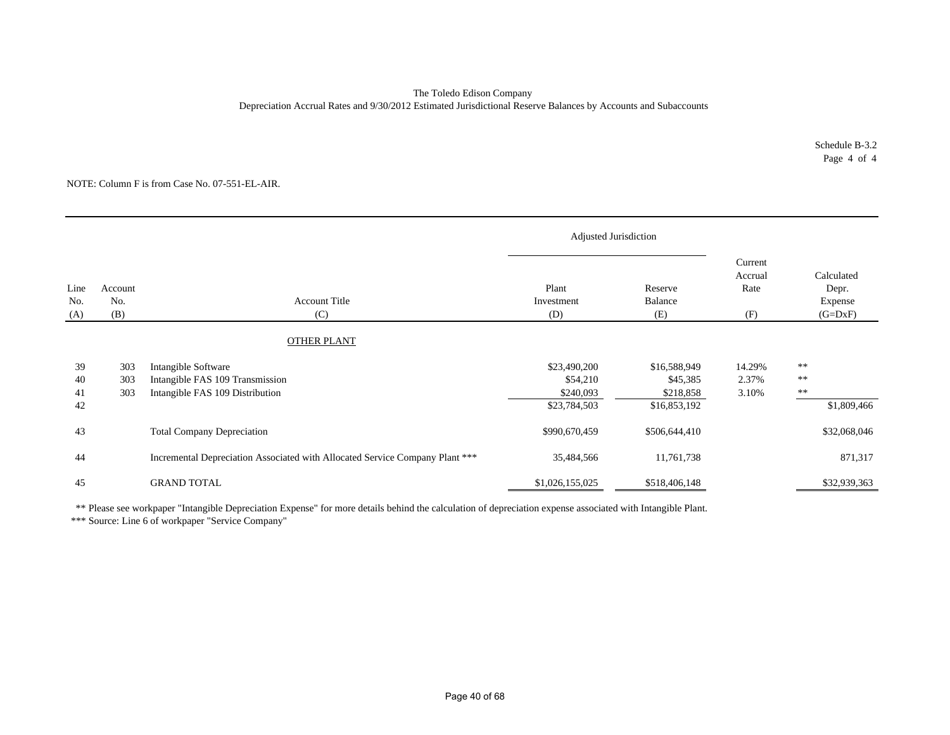#### The Toledo Edison Company Depreciation Accrual Rates and 9/30/2012 Estimated Jurisdictional Reserve Balances by Accounts and Subaccounts

Schedule B-3.2 Page 4 of 4

NOTE: Column F is from Case No. 07-551-EL-AIR.

|                      | Adjusted Jurisdiction |                                                                                           |                                                       |                                                       |                                   |                                                       |
|----------------------|-----------------------|-------------------------------------------------------------------------------------------|-------------------------------------------------------|-------------------------------------------------------|-----------------------------------|-------------------------------------------------------|
| Line<br>No.<br>(A)   | Account<br>No.<br>(B) | <b>Account Title</b><br>(C)                                                               | Plant<br>Investment<br>(D)                            | Reserve<br>Balance<br>(E)                             | Current<br>Accrual<br>Rate<br>(F) | Calculated<br>Depr.<br>Expense<br>$(G=DxF)$           |
|                      |                       | <b>OTHER PLANT</b>                                                                        |                                                       |                                                       |                                   |                                                       |
| 39<br>40<br>41<br>42 | 303<br>303<br>303     | Intangible Software<br>Intangible FAS 109 Transmission<br>Intangible FAS 109 Distribution | \$23,490,200<br>\$54,210<br>\$240,093<br>\$23,784,503 | \$16,588,949<br>\$45,385<br>\$218,858<br>\$16,853,192 | 14.29%<br>2.37%<br>3.10%          | $\ast\ast$<br>$\ast\ast$<br>$\ast\ast$<br>\$1,809,466 |
| 43                   |                       | <b>Total Company Depreciation</b>                                                         | \$990,670,459                                         | \$506,644,410                                         |                                   | \$32,068,046                                          |
| 44                   |                       | Incremental Depreciation Associated with Allocated Service Company Plant ***              | 35,484,566                                            | 11,761,738                                            |                                   | 871,317                                               |
| 45                   |                       | <b>GRAND TOTAL</b>                                                                        | \$1,026,155,025                                       | \$518,406,148                                         |                                   | \$32,939,363                                          |

\*\* Please see workpaper "Intangible Depreciation Expense" for more details behind the calculation of depreciation expense associated with Intangible Plant.

\*\*\* Source: Line 6 of workpaper "Service Company"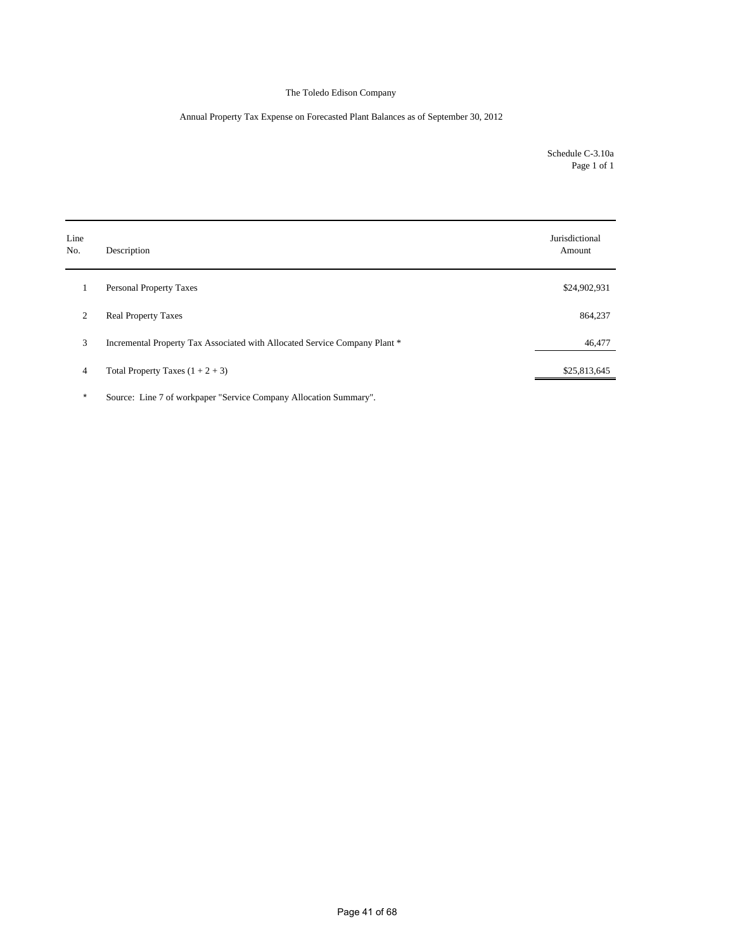### Annual Property Tax Expense on Forecasted Plant Balances as of September 30, 2012

Schedule C-3.10a Page 1 of 1

| Description                                                                | Jurisdictional<br>Amount |
|----------------------------------------------------------------------------|--------------------------|
| <b>Personal Property Taxes</b>                                             | \$24,902,931             |
| <b>Real Property Taxes</b>                                                 | 864,237                  |
| Incremental Property Tax Associated with Allocated Service Company Plant * | 46,477                   |
| Total Property Taxes $(1 + 2 + 3)$                                         | \$25,813,645             |
|                                                                            |                          |

\* Source: Line 7 of workpaper "Service Company Allocation Summary".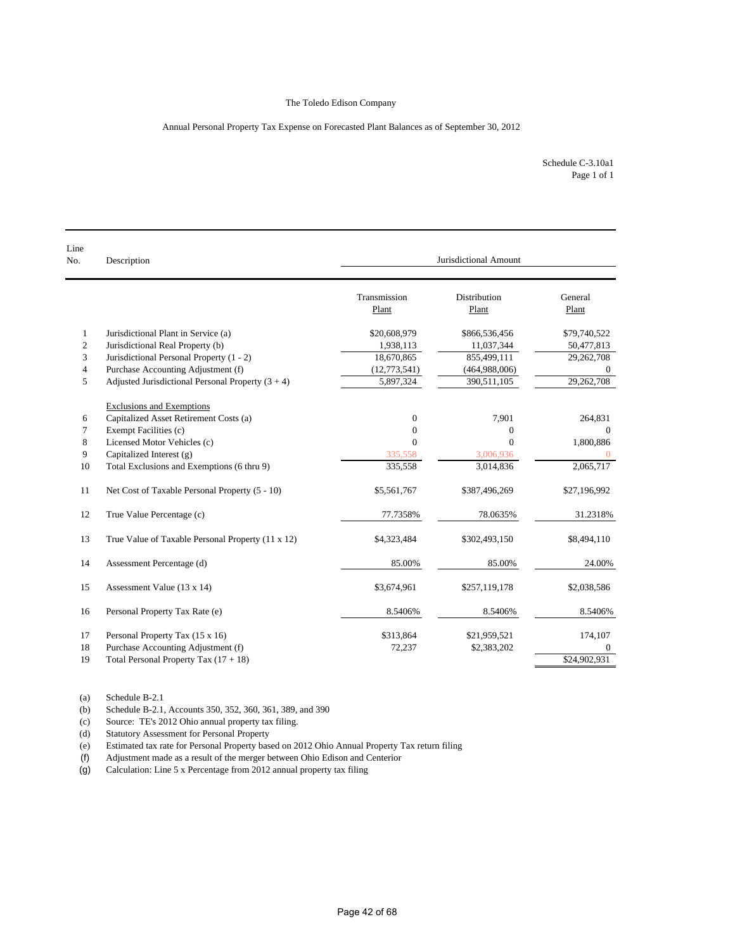#### Annual Personal Property Tax Expense on Forecasted Plant Balances as of September 30, 2012

Schedule C-3.10a1 Page 1 of 1

| Line<br>No.      | Description                                         | Jurisdictional Amount |                       |                  |  |  |
|------------------|-----------------------------------------------------|-----------------------|-----------------------|------------------|--|--|
|                  |                                                     | Transmission<br>Plant | Distribution<br>Plant | General<br>Plant |  |  |
| $\mathbf{1}$     | Jurisdictional Plant in Service (a)                 | \$20,608,979          | \$866,536,456         | \$79,740,522     |  |  |
| $\boldsymbol{2}$ | Jurisdictional Real Property (b)                    | 1,938,113             | 11,037,344            | 50,477,813       |  |  |
| 3                | Jurisdictional Personal Property (1 - 2)            | 18,670,865            | 855,499,111           | 29,262,708       |  |  |
| $\overline{4}$   | Purchase Accounting Adjustment (f)                  | (12,773,541)          | (464,988,006)         |                  |  |  |
| 5                | Adjusted Jurisdictional Personal Property $(3 + 4)$ | 5,897,324             | 390,511,105           | 29,262,708       |  |  |
|                  | <b>Exclusions and Exemptions</b>                    |                       |                       |                  |  |  |
| 6                | Capitalized Asset Retirement Costs (a)              | $\mathbf{0}$          | 7,901                 | 264,831          |  |  |
| 7                | Exempt Facilities (c)                               | $\mathbf{0}$          | $\mathbf{0}$          | $\Omega$         |  |  |
| 8                | Licensed Motor Vehicles (c)                         | $\Omega$              | $\theta$              | 1,800,886        |  |  |
| 9                | Capitalized Interest (g)                            | 335,558               | 3,006,936             | $\overline{0}$   |  |  |
| 10               | Total Exclusions and Exemptions (6 thru 9)          | 335,558               | 3,014,836             | 2,065,717        |  |  |
| 11               | Net Cost of Taxable Personal Property (5 - 10)      | \$5,561,767           | \$387,496,269         | \$27,196,992     |  |  |
| 12               | True Value Percentage (c)                           | 77.7358%              | 78.0635%              | 31.2318%         |  |  |
| 13               | True Value of Taxable Personal Property (11 x 12)   | \$4,323,484           | \$302,493,150         | \$8,494,110      |  |  |
| 14               | Assessment Percentage (d)                           | 85.00%                | 85.00%                | 24.00%           |  |  |
| 15               | Assessment Value (13 x 14)                          | \$3,674,961           | \$257,119,178         | \$2,038,586      |  |  |
| 16               | Personal Property Tax Rate (e)                      | 8.5406%               | 8.5406%               | 8.5406%          |  |  |
| 17               | Personal Property Tax (15 x 16)                     | \$313,864             | \$21,959,521          | 174,107          |  |  |
| 18               | Purchase Accounting Adjustment (f)                  | 72,237                | \$2,383,202           | $\Omega$         |  |  |
| 19               | Total Personal Property Tax $(17 + 18)$             |                       |                       | \$24,902,931     |  |  |

(a) Schedule B-2.1

(b) Schedule B-2.1, Accounts 350, 352, 360, 361, 389, and 390

(c) Source: TE's 2012 Ohio annual property tax filing.

(d) Statutory Assessment for Personal Property<br>
(e) Estimated tax rate for Personal Property bas

Estimated tax rate for Personal Property based on 2012 Ohio Annual Property Tax return filing

(f) Adjustment made as a result of the merger between Ohio Edison and Centerior

(g) Calculation: Line 5 x Percentage from 2012 annual property tax filing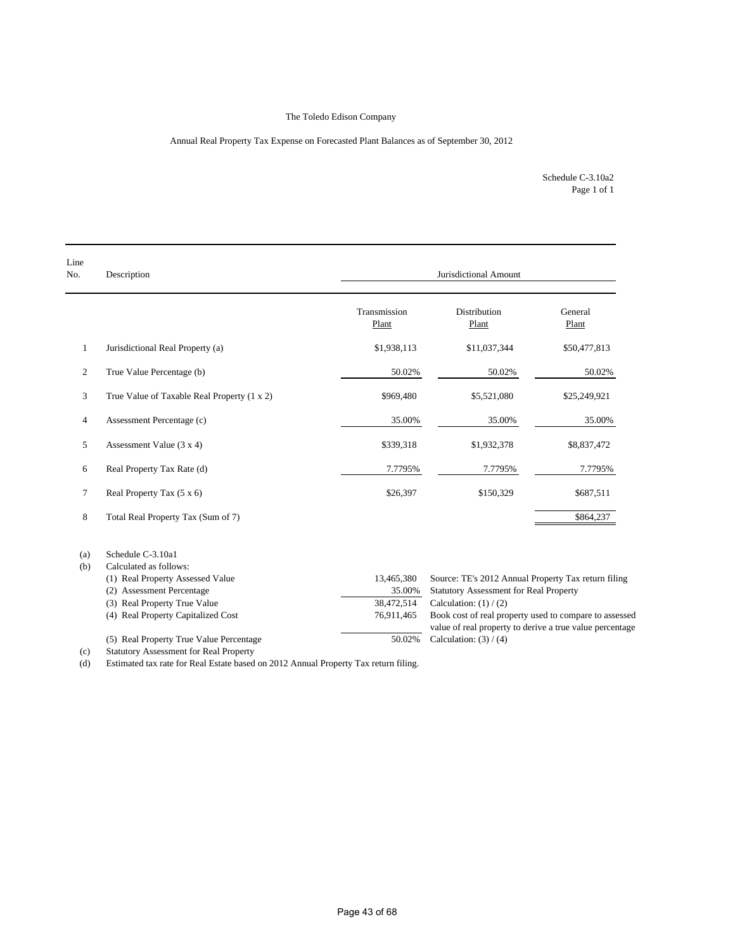### Annual Real Property Tax Expense on Forecasted Plant Balances as of September 30, 2012

Page 1 of 1 Schedule C-3.10a2

| Line<br>No.    | Description                                   | Jurisdictional Amount |                                                                                                                    |                  |  |  |
|----------------|-----------------------------------------------|-----------------------|--------------------------------------------------------------------------------------------------------------------|------------------|--|--|
|                |                                               | Transmission<br>Plant | Distribution<br>Plant                                                                                              | General<br>Plant |  |  |
| $\mathbf{1}$   | Jurisdictional Real Property (a)              | \$1,938,113           | \$11,037,344                                                                                                       | \$50,477,813     |  |  |
| 2              | True Value Percentage (b)                     | 50.02%                | 50.02%                                                                                                             | 50.02%           |  |  |
| 3              | True Value of Taxable Real Property (1 x 2)   | \$969,480             | \$5,521,080                                                                                                        | \$25,249,921     |  |  |
| $\overline{4}$ | Assessment Percentage (c)                     | 35.00%                | 35.00%                                                                                                             | 35.00%           |  |  |
| 5              | Assessment Value $(3 x 4)$                    | \$339,318             | \$1,932,378                                                                                                        | \$8,837,472      |  |  |
| 6              | Real Property Tax Rate (d)                    | 7.7795%               | 7.7795%                                                                                                            | 7.7795%          |  |  |
| 7              | Real Property Tax (5 x 6)                     | \$26,397              | \$150,329                                                                                                          | \$687,511        |  |  |
| 8              | Total Real Property Tax (Sum of 7)            |                       |                                                                                                                    | \$864,237        |  |  |
| (a)            | Schedule C-3.10a1                             |                       |                                                                                                                    |                  |  |  |
| (b)            | Calculated as follows:                        |                       |                                                                                                                    |                  |  |  |
|                | (1) Real Property Assessed Value              | 13,465,380            | Source: TE's 2012 Annual Property Tax return filing                                                                |                  |  |  |
|                | (2) Assessment Percentage                     | 35.00%                | <b>Statutory Assessment for Real Property</b>                                                                      |                  |  |  |
|                | (3) Real Property True Value                  | 38,472,514            | Calculation: $(1) / (2)$                                                                                           |                  |  |  |
|                | (4) Real Property Capitalized Cost            | 76,911,465            | Book cost of real property used to compare to assessed<br>value of real property to derive a true value percentage |                  |  |  |
|                | (5) Real Property True Value Percentage       | 50.02%                | Calculation: $(3) / (4)$                                                                                           |                  |  |  |
| (c)            | <b>Statutory Assessment for Real Property</b> |                       |                                                                                                                    |                  |  |  |

(d) Estimated tax rate for Real Estate based on 2012 Annual Property Tax return filing.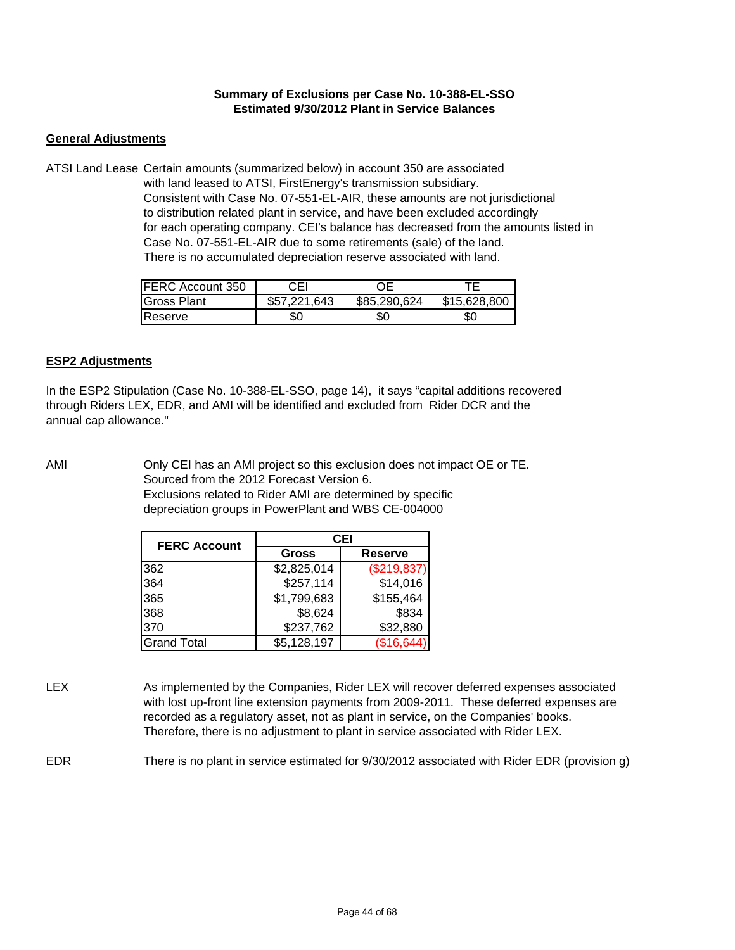## **Summary of Exclusions per Case No. 10-388-EL-SSO Estimated 9/30/2012 Plant in Service Balances**

## **General Adjustments**

ATSI Land Lease Certain amounts (summarized below) in account 350 are associated with land leased to ATSI, FirstEnergy's transmission subsidiary. Consistent with Case No. 07-551-EL-AIR, these amounts are not jurisdictional to distribution related plant in service, and have been excluded accordingly for each operating company. CEI's balance has decreased from the amounts listed in Case No. 07-551-EL-AIR due to some retirements (sale) of the land. There is no accumulated depreciation reserve associated with land.

| FERC Account 350 | CFI          | `)F∶         |              |
|------------------|--------------|--------------|--------------|
| Gross Plant      | \$57,221,643 | \$85,290,624 | \$15,628,800 |
| <b>Reserve</b>   | SC.          | 80           | 50           |

## **ESP2 Adjustments**

In the ESP2 Stipulation (Case No. 10-388-EL-SSO, page 14), it says "capital additions recovered through Riders LEX, EDR, and AMI will be identified and excluded from Rider DCR and the annual cap allowance."

AMI Only CEI has an AMI project so this exclusion does not impact OE or TE. Sourced from the 2012 Forecast Version 6. Exclusions related to Rider AMI are determined by specific depreciation groups in PowerPlant and WBS CE-004000

| <b>FERC Account</b> |              | CEI            |
|---------------------|--------------|----------------|
|                     | <b>Gross</b> | <b>Reserve</b> |
| 362                 | \$2,825,014  | (\$219,837)    |
| 364                 | \$257,114    | \$14,016       |
| 365                 | \$1,799,683  | \$155,464      |
| 368                 | \$8,624      | \$834          |
| 370                 | \$237,762    | \$32,880       |
| <b>Grand Total</b>  | \$5,128,197  | (\$16,644      |

LEX As implemented by the Companies, Rider LEX will recover deferred expenses associated with lost up-front line extension payments from 2009-2011. These deferred expenses are recorded as a regulatory asset, not as plant in service, on the Companies' books. Therefore, there is no adjustment to plant in service associated with Rider LEX.

EDR There is no plant in service estimated for 9/30/2012 associated with Rider EDR (provision g)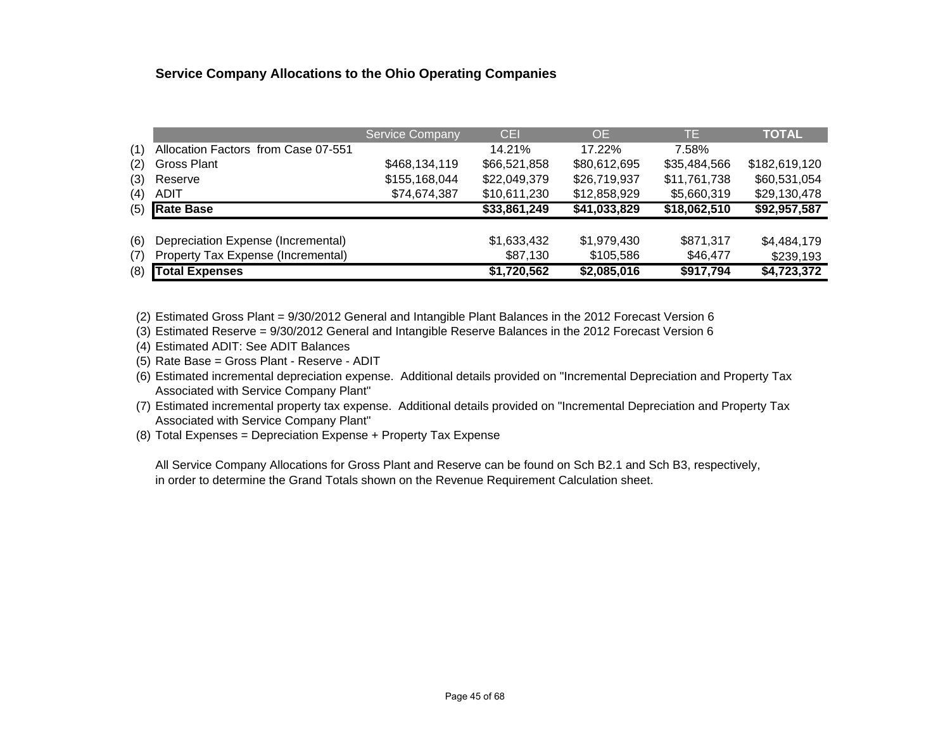## **Service Company Allocations to the Ohio Operating Companies**

|     |                                     | <b>Service Company</b> | <b>CEI</b>   | OE.          | TE.          | <b>TOTAL</b>  |
|-----|-------------------------------------|------------------------|--------------|--------------|--------------|---------------|
| (1) | Allocation Factors from Case 07-551 |                        | 14.21%       | 17.22%       | 7.58%        |               |
| (2) | <b>Gross Plant</b>                  | \$468,134,119          | \$66,521,858 | \$80,612,695 | \$35,484,566 | \$182,619,120 |
| (3) | Reserve                             | \$155,168,044          | \$22,049,379 | \$26,719,937 | \$11,761,738 | \$60,531,054  |
| (4) | <b>ADIT</b>                         | \$74,674,387           | \$10,611,230 | \$12,858,929 | \$5,660,319  | \$29,130,478  |
| (5) | <b>Rate Base</b>                    |                        | \$33,861,249 | \$41,033,829 | \$18,062,510 | \$92,957,587  |
|     |                                     |                        |              |              |              |               |
| (6) | Depreciation Expense (Incremental)  |                        | \$1,633,432  | \$1,979,430  | \$871,317    | \$4,484,179   |
| (7) | Property Tax Expense (Incremental)  |                        | \$87,130     | \$105,586    | \$46,477     | \$239,193     |
| (8) | <b>Total Expenses</b>               |                        | \$1,720,562  | \$2,085,016  | \$917,794    | \$4,723,372   |

(2) Estimated Gross Plant = 9/30/2012 General and Intangible Plant Balances in the 2012 Forecast Version 6

(3) Estimated Reserve = 9/30/2012 General and Intangible Reserve Balances in the 2012 Forecast Version 6

(4) Estimated ADIT: See ADIT Balances

(5) Rate Base = Gross Plant - Reserve - ADIT

(6) Estimated incremental depreciation expense. Additional details provided on "Incremental Depreciation and Property Tax Associated with Service Company Plant"

(7) Estimated incremental property tax expense. Additional details provided on "Incremental Depreciation and Property Tax Associated with Service Company Plant"

(8) Total Expenses = Depreciation Expense + Property Tax Expense

All Service Company Allocations for Gross Plant and Reserve can be found on Sch B2.1 and Sch B3, respectively, in order to determine the Grand Totals shown on the Revenue Requirement Calculation sheet.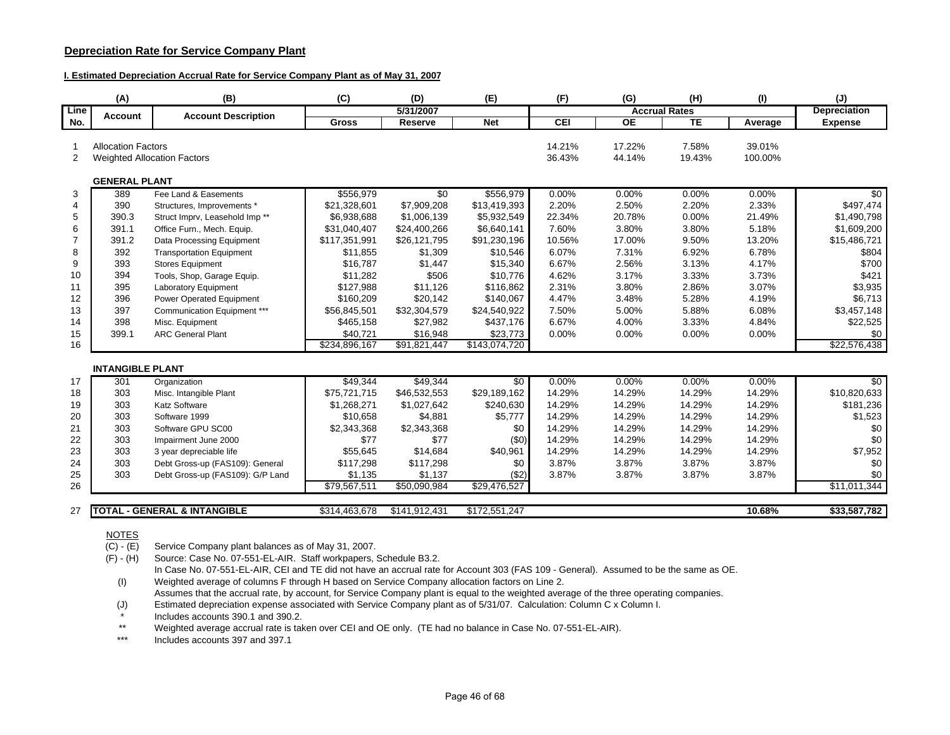### **Depreciation Rate for Service Company Plant**

#### **I. Estimated Depreciation Accrual Rate for Service Company Plant as of May 31, 2007**

|                | (A)                       | (B)                                       | (C)           | (D)             | (E)                       | (F)    | (G)             | (H)                  | (1)     | $(\mathsf{J})$           |
|----------------|---------------------------|-------------------------------------------|---------------|-----------------|---------------------------|--------|-----------------|----------------------|---------|--------------------------|
| Line           | <b>Account</b>            | <b>Account Description</b>                |               | 5/31/2007       |                           |        |                 | <b>Accrual Rates</b> |         | <b>Depreciation</b>      |
| No.            |                           |                                           | <b>Gross</b>  | Reserve         | <b>Net</b>                | CEI    | $\overline{OE}$ | TE                   | Average | <b>Expense</b>           |
|                |                           |                                           |               |                 |                           |        |                 |                      |         |                          |
|                | <b>Allocation Factors</b> |                                           |               |                 |                           | 14.21% | 17.22%          | 7.58%                | 39.01%  |                          |
| 2              |                           | <b>Weighted Allocation Factors</b>        |               |                 |                           | 36.43% | 44.14%          | 19.43%               | 100.00% |                          |
|                | <b>GENERAL PLANT</b>      |                                           |               |                 |                           |        |                 |                      |         |                          |
| 3              | 389                       | Fee Land & Easements                      | \$556,979     | $\overline{50}$ | \$556,979                 | 0.00%  | 0.00%           | 0.00%                | 0.00%   | $\overline{50}$          |
| $\overline{4}$ | 390                       | Structures, Improvements *                | \$21,328,601  | \$7,909,208     | \$13,419,393              | 2.20%  | 2.50%           | 2.20%                | 2.33%   | \$497,474                |
| 5              | 390.3                     | Struct Imprv, Leasehold Imp <sup>**</sup> | \$6,938,688   | \$1,006,139     | \$5,932,549               | 22.34% | 20.78%          | 0.00%                | 21.49%  | \$1,490,798              |
| 6              | 391.1                     | Office Furn., Mech. Equip.                | \$31,040,407  | \$24,400,266    | \$6,640,141               | 7.60%  | 3.80%           | 3.80%                | 5.18%   | \$1,609,200              |
| 7              | 391.2                     | Data Processing Equipment                 | \$117,351,991 | \$26,121,795    | \$91,230,196              | 10.56% | 17.00%          | 9.50%                | 13.20%  | \$15,486,721             |
| 8              | 392                       | <b>Transportation Equipment</b>           | \$11,855      | \$1,309         | \$10,546                  | 6.07%  | 7.31%           | 6.92%                | 6.78%   | \$804                    |
| 9              | 393                       | <b>Stores Equipment</b>                   | \$16,787      | \$1,447         | \$15,340                  | 6.67%  | 2.56%           | 3.13%                | 4.17%   | \$700                    |
| 10             | 394                       | Tools, Shop, Garage Equip.                | \$11,282      | \$506           | \$10.776                  | 4.62%  | 3.17%           | 3.33%                | 3.73%   | \$421                    |
| 11             | 395                       | <b>Laboratory Equipment</b>               | \$127,988     | \$11,126        | \$116,862                 | 2.31%  | 3.80%           | 2.86%                | 3.07%   | \$3,935                  |
| 12             | 396                       | Power Operated Equipment                  | \$160,209     | \$20,142        | \$140,067                 | 4.47%  | 3.48%           | 5.28%                | 4.19%   | \$6,713                  |
| 13             | 397                       | Communication Equipment ***               | \$56,845,501  | \$32,304,579    | \$24,540,922              | 7.50%  | 5.00%           | 5.88%                | 6.08%   | \$3,457,148              |
| 14             | 398                       | Misc. Equipment                           | \$465,158     | \$27,982        | \$437,176                 | 6.67%  | 4.00%           | 3.33%                | 4.84%   | \$22,525                 |
| 15             | 399.1                     | <b>ARC General Plant</b>                  | \$40,721      | \$16,948        | \$23,773                  | 0.00%  | 0.00%           | 0.00%                | 0.00%   | \$0                      |
| 16             |                           |                                           | \$234,896,167 | \$91,821,447    | $\overline{$143,074,720}$ |        |                 |                      |         | \$22,576,438             |
|                | <b>INTANGIBLE PLANT</b>   |                                           |               |                 |                           |        |                 |                      |         |                          |
| 17             | 301                       | Organization                              | \$49,344      | \$49,344        | $\overline{50}$           | 0.00%  | $0.00\%$        | 0.00%                | 0.00%   | \$0                      |
| 18             | 303                       | Misc. Intangible Plant                    | \$75,721,715  | \$46,532,553    | \$29,189,162              | 14.29% | 14.29%          | 14.29%               | 14.29%  | \$10,820,633             |
| 19             | 303                       | <b>Katz Software</b>                      | \$1,268,271   | \$1,027,642     | \$240,630                 | 14.29% | 14.29%          | 14.29%               | 14.29%  | \$181,236                |
| 20             | 303                       | Software 1999                             | \$10,658      | \$4,881         | \$5,777                   | 14.29% | 14.29%          | 14.29%               | 14.29%  | \$1,523                  |
| 21             | 303                       | Software GPU SC00                         | \$2,343,368   | \$2,343,368     | \$0                       | 14.29% | 14.29%          | 14.29%               | 14.29%  | \$0                      |
| 22             | 303                       | Impairment June 2000                      | \$77          | \$77            | (50)                      | 14.29% | 14.29%          | 14.29%               | 14.29%  | \$0                      |
| 23             | 303                       | 3 year depreciable life                   | \$55,645      | \$14,684        | \$40,961                  | 14.29% | 14.29%          | 14.29%               | 14.29%  | \$7,952                  |
| 24             | 303                       | Debt Gross-up (FAS109): General           | \$117,298     | \$117,298       | \$0                       | 3.87%  | 3.87%           | 3.87%                | 3.87%   | \$0                      |
| 25             | 303                       | Debt Gross-up (FAS109): G/P Land          | \$1,135       | \$1,137         | ( \$2)                    | 3.87%  | 3.87%           | 3.87%                | 3.87%   | \$0                      |
| 26             |                           |                                           | \$79,567,511  | \$50,090,984    | \$29,476,527              |        |                 |                      |         | $$1\overline{1,011,344}$ |
|                |                           |                                           |               |                 |                           |        |                 |                      |         |                          |
| 27             |                           | <b>TOTAL - GENERAL &amp; INTANGIBLE</b>   | \$314,463,678 | \$141,912,431   | \$172,551,247             |        |                 |                      | 10.68%  | \$33,587,782             |

### NOTES

 $(C) - (E)$ Service Company plant balances as of May 31, 2007.

(F) - (H) Source: Case No. 07-551-EL-AIR. Staff workpapers, Schedule B3.2.

In Case No. 07-551-EL-AIR, CEI and TE did not have an accrual rate for Account 303 (FAS 109 - General). Assumed to be the same as OE. (I) Weighted average of columns F through H based on Service Company allocation factors on Line 2.

Assumes that the accrual rate, by account, for Service Company plant is equal to the weighted average of the three operating companies.

(J) Estimated depreciation expense associated with Service Company plant as of 5/31/07. Calculation: Column C x Column I.

\*Includes accounts 390.1 and 390.2.

\*\*Weighted average accrual rate is taken over CEI and OE only. (TE had no balance in Case No. 07-551-EL-AIR).

\*\*\*Includes accounts 397 and 397.1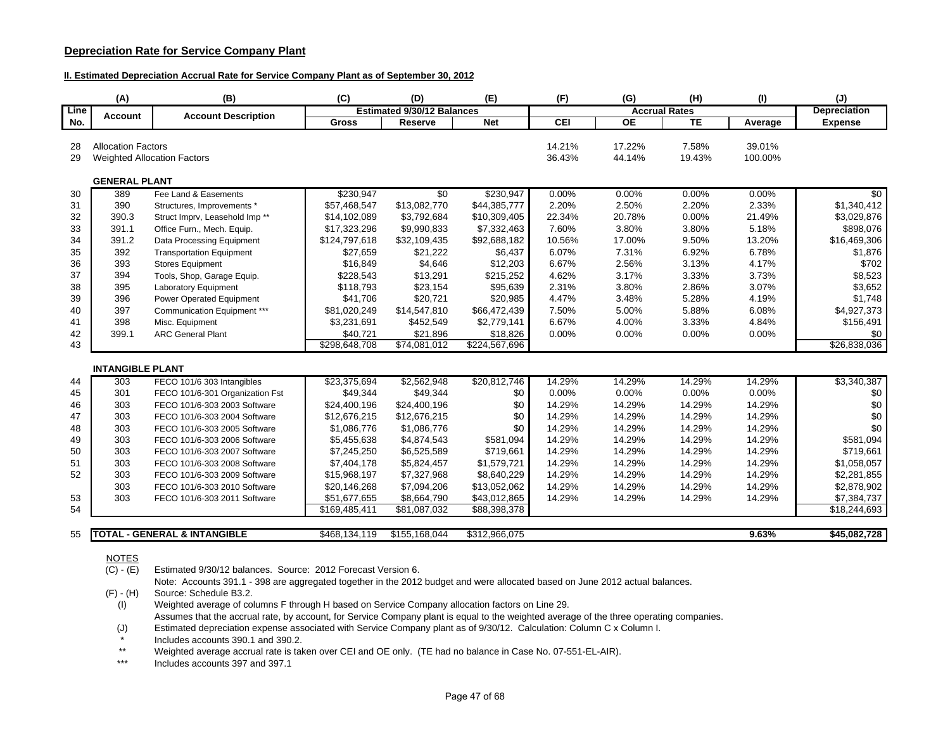### **Depreciation Rate for Service Company Plant**

#### **II. Estimated Depreciation Accrual Rate for Service Company Plant as of September 30, 2012**

|             | (A)                       | (B)                                       | (C)           | (D)                               | (E)           | (F)    | (G)             | (H)                  | (1)     | (J)                 |
|-------------|---------------------------|-------------------------------------------|---------------|-----------------------------------|---------------|--------|-----------------|----------------------|---------|---------------------|
| <b>Line</b> | <b>Account</b>            | <b>Account Description</b>                |               | <b>Estimated 9/30/12 Balances</b> |               |        |                 | <b>Accrual Rates</b> |         | <b>Depreciation</b> |
| No.         |                           |                                           | <b>Gross</b>  | Reserve                           | <b>Net</b>    | CEI    | $\overline{OE}$ | TE                   | Average | <b>Expense</b>      |
|             |                           |                                           |               |                                   |               |        |                 |                      |         |                     |
| 28          | <b>Allocation Factors</b> |                                           |               |                                   |               | 14.21% | 17.22%          | 7.58%                | 39.01%  |                     |
| 29          |                           | <b>Weighted Allocation Factors</b>        |               |                                   |               | 36.43% | 44.14%          | 19.43%               | 100.00% |                     |
|             | <b>GENERAL PLANT</b>      |                                           |               |                                   |               |        |                 |                      |         |                     |
| 30          | 389                       | Fee Land & Easements                      | \$230.947     | $\overline{30}$                   | \$230,947     | 0.00%  | 0.00%           | $0.00\%$             | 0.00%   | \$0                 |
| 31          | 390                       | Structures, Improvements *                | \$57,468,547  | \$13,082,770                      | \$44,385,777  | 2.20%  | 2.50%           | 2.20%                | 2.33%   | \$1,340,412         |
| 32          | 390.3                     | Struct Imprv, Leasehold Imp <sup>**</sup> | \$14,102,089  | \$3,792,684                       | \$10,309,405  | 22.34% | 20.78%          | 0.00%                | 21.49%  | \$3,029,876         |
| 33          | 391.1                     | Office Furn., Mech. Equip.                | \$17,323,296  | \$9,990,833                       | \$7,332,463   | 7.60%  | 3.80%           | 3.80%                | 5.18%   | \$898,076           |
| 34          | 391.2                     | Data Processing Equipment                 | \$124,797,618 | \$32,109,435                      | \$92,688,182  | 10.56% | 17.00%          | 9.50%                | 13.20%  | \$16,469,306        |
| 35          | 392                       | <b>Transportation Equipment</b>           | \$27,659      | \$21,222                          | \$6,437       | 6.07%  | 7.31%           | 6.92%                | 6.78%   | \$1,876             |
| 36          | 393                       | <b>Stores Equipment</b>                   | \$16,849      | \$4,646                           | \$12,203      | 6.67%  | 2.56%           | 3.13%                | 4.17%   | \$702               |
| 37          | 394                       | Tools, Shop, Garage Equip.                | \$228,543     | \$13,291                          | \$215,252     | 4.62%  | 3.17%           | 3.33%                | 3.73%   | \$8,523             |
| 38          | 395                       | <b>Laboratory Equipment</b>               | \$118,793     | \$23,154                          | \$95,639      | 2.31%  | 3.80%           | 2.86%                | 3.07%   | \$3,652             |
| 39          | 396                       | Power Operated Equipment                  | \$41,706      | \$20,721                          | \$20,985      | 4.47%  | 3.48%           | 5.28%                | 4.19%   | \$1.748             |
| 40          | 397                       | Communication Equipment ***               | \$81,020,249  | \$14,547,810                      | \$66,472,439  | 7.50%  | 5.00%           | 5.88%                | 6.08%   | \$4,927,373         |
| 41          | 398                       | Misc. Equipment                           | \$3,231,691   | \$452,549                         | \$2,779,141   | 6.67%  | 4.00%           | 3.33%                | 4.84%   | \$156,491           |
| 42          | 399.1                     | <b>ARC General Plant</b>                  | \$40,721      | \$21,896                          | \$18,826      | 0.00%  | 0.00%           | 0.00%                | 0.00%   | \$0                 |
| 43          |                           |                                           | \$298,648,708 | $\overline{$74,081,012}$          | \$224,567,696 |        |                 |                      |         | \$26,838,036        |
|             | <b>INTANGIBLE PLANT</b>   |                                           |               |                                   |               |        |                 |                      |         |                     |
| 44          | 303                       | FECO 101/6 303 Intangibles                | \$23,375,694  | \$2,562,948                       | \$20,812,746  | 14.29% | 14.29%          | 14.29%               | 14.29%  | \$3,340,387         |
| 45          | 301                       | FECO 101/6-301 Organization Fst           | \$49,344      | \$49,344                          | \$0           | 0.00%  | 0.00%           | 0.00%                | 0.00%   | \$0                 |
| 46          | 303                       | FECO 101/6-303 2003 Software              | \$24,400,196  | \$24,400,196                      | \$0           | 14.29% | 14.29%          | 14.29%               | 14.29%  | \$0                 |
| 47          | 303                       | FECO 101/6-303 2004 Software              | \$12,676,215  | \$12,676,215                      | \$0           | 14.29% | 14.29%          | 14.29%               | 14.29%  | \$0                 |
| 48          | 303                       | FECO 101/6-303 2005 Software              | \$1,086,776   | \$1,086,776                       | \$0           | 14.29% | 14.29%          | 14.29%               | 14.29%  | \$0                 |
| 49          | 303                       | FECO 101/6-303 2006 Software              | \$5,455,638   | \$4,874,543                       | \$581,094     | 14.29% | 14.29%          | 14.29%               | 14.29%  | \$581,094           |
| 50          | 303                       | FECO 101/6-303 2007 Software              | \$7,245,250   | \$6,525,589                       | \$719,661     | 14.29% | 14.29%          | 14.29%               | 14.29%  | \$719,661           |
| 51          | 303                       | FECO 101/6-303 2008 Software              | \$7,404,178   | \$5,824,457                       | \$1,579,721   | 14.29% | 14.29%          | 14.29%               | 14.29%  | \$1,058,057         |
| 52          | 303                       | FECO 101/6-303 2009 Software              | \$15,968,197  | \$7,327,968                       | \$8,640,229   | 14.29% | 14.29%          | 14.29%               | 14.29%  | \$2,281,855         |
|             | 303                       | FECO 101/6-303 2010 Software              | \$20,146,268  | \$7,094,206                       | \$13,052,062  | 14.29% | 14.29%          | 14.29%               | 14.29%  | \$2,878,902         |
| 53          | 303                       | FECO 101/6-303 2011 Software              | \$51,677,655  | \$8,664,790                       | \$43,012,865  | 14.29% | 14.29%          | 14.29%               | 14.29%  | \$7,384,737         |
| 54          |                           |                                           | \$169,485,411 | \$81,087,032                      | \$88,398,378  |        |                 |                      |         | \$18,244,693        |
|             |                           |                                           |               |                                   |               |        |                 |                      |         |                     |
| 55          |                           | <b>TOTAL - GENERAL &amp; INTANGIBLE</b>   | \$468,134,119 | \$155,168,044                     | \$312,966,075 |        |                 |                      | 9.63%   | \$45,082,728        |

#### <u>NOTES</u>

(C) - (E) Estimated 9/30/12 balances. Source: 2012 Forecast Version 6.

Note: Accounts 391.1 - 398 are aggregated together in the 2012 budget and were allocated based on June 2012 actual balances.

(F) - (H) Source: Schedule B3.2.

(I) Weighted average of columns F through H based on Service Company allocation factors on Line 29. Assumes that the accrual rate, by account, for Service Company plant is equal to the weighted average of the three operating companies.

(J) Estimated depreciation expense associated with Service Company plant as of 9/30/12. Calculation: Column C x Column I.

\*Includes accounts 390.1 and 390.2.

\*\*Weighted average accrual rate is taken over CEI and OE only. (TE had no balance in Case No. 07-551-EL-AIR).

\*\*\*Includes accounts 397 and 397.1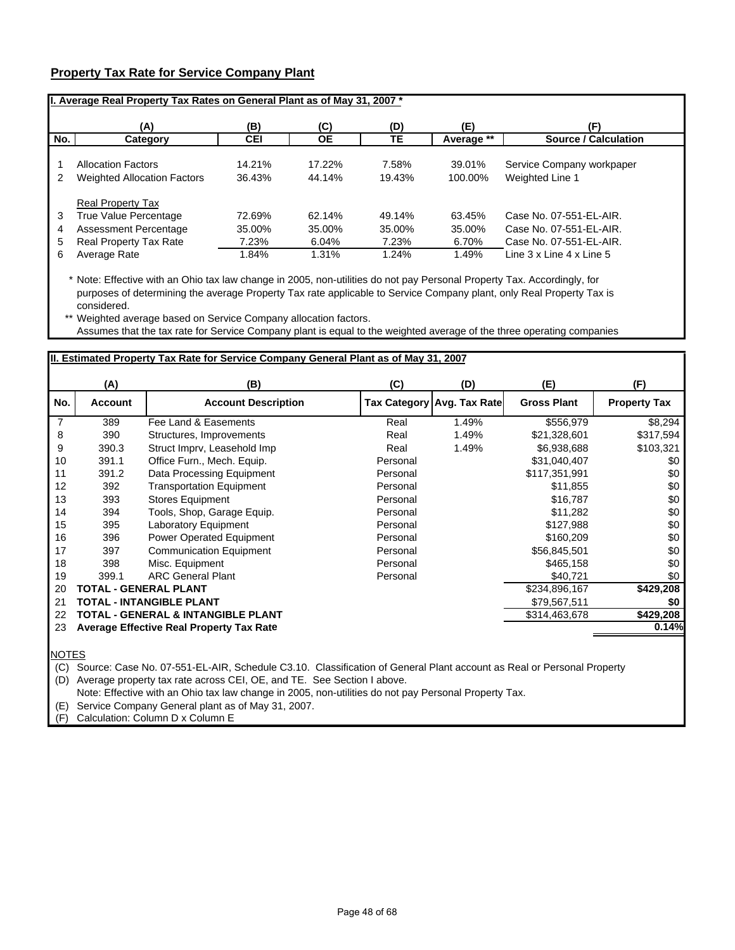## **Property Tax Rate for Service Company Plant**

|     | I. Average Real Property Tax Rates on General Plant as of May 31, 2007.* |            |           |        |            |                             |  |  |  |  |
|-----|--------------------------------------------------------------------------|------------|-----------|--------|------------|-----------------------------|--|--|--|--|
|     | (A)                                                                      | (B)        | (C)       | (D)    | (E)        | (F)                         |  |  |  |  |
| No. | Category                                                                 | <b>CEI</b> | <b>OE</b> | TЕ     | Average ** | <b>Source / Calculation</b> |  |  |  |  |
|     | <b>Allocation Factors</b>                                                | 14.21%     | 17.22%    | 7.58%  | 39.01%     | Service Company workpaper   |  |  |  |  |
| 2   | <b>Weighted Allocation Factors</b>                                       | 36.43%     | 44.14%    | 19.43% | 100.00%    | Weighted Line 1             |  |  |  |  |
|     | <b>Real Property Tax</b>                                                 |            |           |        |            |                             |  |  |  |  |
| 3   | True Value Percentage                                                    | 72.69%     | 62.14%    | 49.14% | 63.45%     | Case No. 07-551-EL-AIR.     |  |  |  |  |
| 4   | Assessment Percentage                                                    | 35.00%     | 35.00%    | 35.00% | 35.00%     | Case No. 07-551-EL-AIR.     |  |  |  |  |
| 5   | Real Property Tax Rate                                                   | 7.23%      | 6.04%     | 7.23%  | 6.70%      | Case No. 07-551-EL-AIR.     |  |  |  |  |
| 6   | Average Rate                                                             | 1.84%      | 1.31%     | 1.24%  | 1.49%      | Line 3 x Line 4 x Line 5    |  |  |  |  |

\* Note: Effective with an Ohio tax law change in 2005, non-utilities do not pay Personal Property Tax. Accordingly, for purposes of determining the average Property Tax rate applicable to Service Company plant, only Real Property Tax is considered.

\*\* Weighted average based on Service Company allocation factors. Assumes that the tax rate for Service Company plant is equal to the weighted average of the three operating companies

|     | (A)            | (B)                                             | (C)      | (D)                        | (E)                | (F)                 |
|-----|----------------|-------------------------------------------------|----------|----------------------------|--------------------|---------------------|
| No. | <b>Account</b> | <b>Account Description</b>                      |          | Tax Category Avg. Tax Rate | <b>Gross Plant</b> | <b>Property Tax</b> |
| 7   | 389            | Fee Land & Easements                            | Real     | 1.49%                      | \$556,979          | \$8,294             |
| 8   | 390            | Structures, Improvements                        | Real     | 1.49%                      | \$21,328,601       | \$317,594           |
| 9   | 390.3          | Struct Imprv, Leasehold Imp                     | Real     | 1.49%                      | \$6,938,688        | \$103,321           |
| 10  | 391.1          | Office Furn., Mech. Equip.                      | Personal |                            | \$31,040,407       | \$0                 |
| 11  | 391.2          | Data Processing Equipment                       | Personal |                            | \$117,351,991      | \$0                 |
| 12  | 392            | <b>Transportation Equipment</b>                 | Personal |                            | \$11,855           | \$0                 |
| 13  | 393            | <b>Stores Equipment</b>                         | Personal |                            | \$16,787           | \$0                 |
| 14  | 394            | Tools, Shop, Garage Equip.                      | Personal |                            | \$11,282           | \$0                 |
| 15  | 395            | Laboratory Equipment                            | Personal |                            | \$127,988          | \$0                 |
| 16  | 396            | Power Operated Equipment                        | Personal |                            | \$160,209          | \$0                 |
| 17  | 397            | <b>Communication Equipment</b>                  | Personal |                            | \$56,845,501       | \$0                 |
| 18  | 398            | Misc. Equipment                                 | Personal |                            | \$465,158          | \$0                 |
| 19  | 399.1          | <b>ARC General Plant</b>                        | Personal |                            | \$40,721           | \$0                 |
| 20  |                | <b>TOTAL - GENERAL PLANT</b>                    |          |                            | \$234,896,167      | \$429,208           |
| 21  |                | <b>TOTAL - INTANGIBLE PLANT</b>                 |          |                            | \$79,567,511       | \$0                 |
| 22  |                | <b>TOTAL - GENERAL &amp; INTANGIBLE PLANT</b>   |          |                            | \$314,463,678      | \$429,208           |
| 23  |                | <b>Average Effective Real Property Tax Rate</b> |          |                            |                    | 0.14%               |

NOTES

(C) Source: Case No. 07-551-EL-AIR, Schedule C3.10. Classification of General Plant account as Real or Personal Property

(D) Average property tax rate across CEI, OE, and TE. See Section I above.

Note: Effective with an Ohio tax law change in 2005, non-utilities do not pay Personal Property Tax.

(E) Service Company General plant as of May 31, 2007.

(F) Calculation: Column D x Column E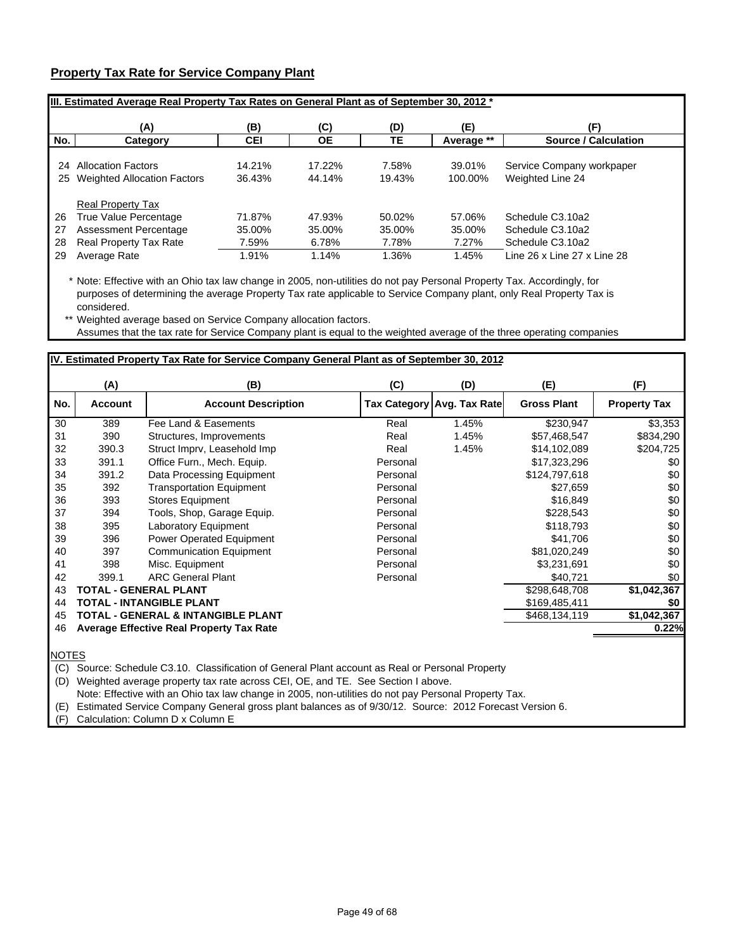## **Property Tax Rate for Service Company Plant**

|     | IIII. Estimated Average Real Property Tax Rates on General Plant as of September 30, 2012 * |            |           |        |            |                             |  |  |  |  |
|-----|---------------------------------------------------------------------------------------------|------------|-----------|--------|------------|-----------------------------|--|--|--|--|
|     | (A)                                                                                         | (B)        | (C)       | (D)    | (E)        | (F)                         |  |  |  |  |
| No. | Category                                                                                    | <b>CEI</b> | <b>OE</b> | TЕ     | Average ** | <b>Source / Calculation</b> |  |  |  |  |
| 24  | <b>Allocation Factors</b>                                                                   | 14.21%     | 17.22%    | 7.58%  | 39.01%     | Service Company workpaper   |  |  |  |  |
|     | 25 Weighted Allocation Factors                                                              | 36.43%     | 44.14%    | 19.43% | 100.00%    | Weighted Line 24            |  |  |  |  |
|     | <b>Real Property Tax</b>                                                                    |            |           |        |            |                             |  |  |  |  |
| 26  | True Value Percentage                                                                       | 71.87%     | 47.93%    | 50.02% | 57.06%     | Schedule C3.10a2            |  |  |  |  |
| 27  | Assessment Percentage                                                                       | 35.00%     | 35.00%    | 35.00% | 35.00%     | Schedule C3.10a2            |  |  |  |  |
| 28  | <b>Real Property Tax Rate</b>                                                               | 7.59%      | 6.78%     | 7.78%  | 7.27%      | Schedule C3.10a2            |  |  |  |  |
| 29  | Average Rate                                                                                | 1.91%      | 1.14%     | 1.36%  | 1.45%      | Line 26 x Line 27 x Line 28 |  |  |  |  |

\* Note: Effective with an Ohio tax law change in 2005, non-utilities do not pay Personal Property Tax. Accordingly, for purposes of determining the average Property Tax rate applicable to Service Company plant, only Real Property Tax is considered.

\*\* Weighted average based on Service Company allocation factors. Assumes that the tax rate for Service Company plant is equal to the weighted average of the three operating companies

|                                                        | (A)            | (B)                                           | (C)      | (D)                        | (E)                | (F)                 |
|--------------------------------------------------------|----------------|-----------------------------------------------|----------|----------------------------|--------------------|---------------------|
| No.                                                    | <b>Account</b> | <b>Account Description</b>                    |          | Tax Category Avg. Tax Rate | <b>Gross Plant</b> | <b>Property Tax</b> |
| 30                                                     | 389            | Fee Land & Easements                          | Real     | 1.45%                      | \$230,947          | \$3,353             |
| 31                                                     | 390            | Structures, Improvements                      | Real     | 1.45%                      | \$57,468,547       | \$834,290           |
| 32                                                     | 390.3          | Struct Imprv, Leasehold Imp                   | Real     | 1.45%                      | \$14,102,089       | \$204,725           |
| 33                                                     | 391.1          | Office Furn., Mech. Equip.                    | Personal |                            | \$17,323,296       | \$0                 |
| 34                                                     | 391.2          | Data Processing Equipment                     | Personal |                            | \$124,797,618      | \$0                 |
| 35                                                     | 392            | <b>Transportation Equipment</b>               | Personal |                            | \$27,659           | \$0                 |
| 36                                                     | 393            | <b>Stores Equipment</b>                       | Personal |                            | \$16,849           | \$0                 |
| 37                                                     | 394            | Tools, Shop, Garage Equip.                    | Personal |                            | \$228,543          | \$0                 |
| 38                                                     | 395            | <b>Laboratory Equipment</b>                   | Personal |                            | \$118,793          | \$0                 |
| 39                                                     | 396            | Power Operated Equipment                      | Personal |                            | \$41,706           | \$0                 |
| 40                                                     | 397            | <b>Communication Equipment</b>                | Personal |                            | \$81,020,249       | \$0                 |
| 41                                                     | 398            | Misc. Equipment                               | Personal |                            | \$3,231,691        | \$0                 |
| 42                                                     | 399.1          | <b>ARC General Plant</b>                      | Personal |                            | \$40,721           | \$0                 |
| 43                                                     |                | <b>TOTAL - GENERAL PLANT</b>                  |          |                            | \$298,648,708      | \$1,042,367         |
| <b>TOTAL - INTANGIBLE PLANT</b><br>\$169,485,411<br>44 |                |                                               |          |                            |                    |                     |
| 45                                                     |                | <b>TOTAL - GENERAL &amp; INTANGIBLE PLANT</b> |          |                            | \$468,134,119      | \$1,042,367         |
| 46                                                     |                | Average Effective Real Property Tax Rate      |          |                            |                    | 0.22%               |

NOTES

(C) Source: Schedule C3.10. Classification of General Plant account as Real or Personal Property

(D) Weighted average property tax rate across CEI, OE, and TE. See Section I above.

Note: Effective with an Ohio tax law change in 2005, non-utilities do not pay Personal Property Tax.

(E) Estimated Service Company General gross plant balances as of 9/30/12. Source: 2012 Forecast Version 6.

(F) Calculation: Column D x Column E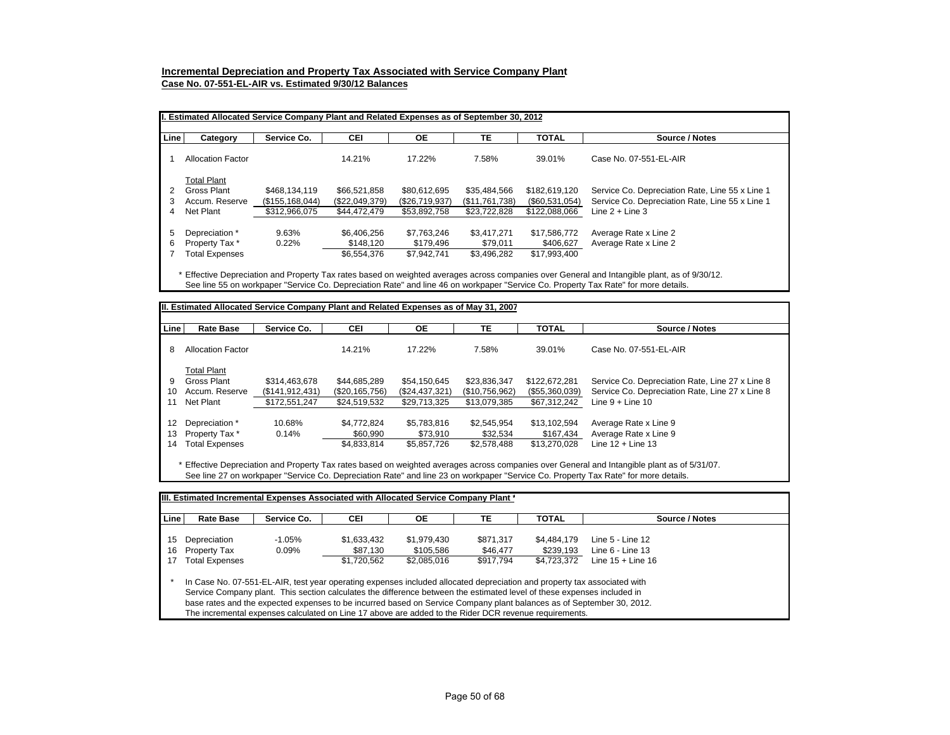## **Incremental Depreciation and Property Tax Associated with Service Company Plant**

**Case No. 07-551-EL-AIR vs. Estimated 9/30/12 Balances**

|      | II. Estimated Allocated Service Company Plant and Related Expenses as of September 30, 2012 |                   |                |                |                |                |                                                 |  |  |  |
|------|---------------------------------------------------------------------------------------------|-------------------|----------------|----------------|----------------|----------------|-------------------------------------------------|--|--|--|
| Line | Category                                                                                    | Service Co.       | CEI            | <b>OE</b>      | TЕ             | <b>TOTAL</b>   | Source / Notes                                  |  |  |  |
|      | <b>Allocation Factor</b>                                                                    |                   | 14.21%         | 17.22%         | 7.58%          | 39.01%         | Case No. 07-551-EL-AIR                          |  |  |  |
|      | <b>Total Plant</b>                                                                          |                   |                |                |                |                |                                                 |  |  |  |
|      | Gross Plant                                                                                 | \$468.134.119     | \$66.521.858   | \$80.612.695   | \$35.484.566   | \$182,619,120  | Service Co. Depreciation Rate, Line 55 x Line 1 |  |  |  |
| 3    | Accum. Reserve                                                                              | (\$155, 168, 044) | (\$22,049,379) | (\$26,719,937) | (\$11,761,738) | (\$60,531,054) | Service Co. Depreciation Rate, Line 55 x Line 1 |  |  |  |
| 4    | Net Plant                                                                                   | \$312,966,075     | \$44,472,479   | \$53.892.758   | \$23.722.828   | \$122.088.066  | Line $2 +$ Line 3                               |  |  |  |
| 5    | Depreciation *                                                                              | 9.63%             | \$6.406.256    | \$7.763.246    | \$3.417.271    | \$17,586,772   | Average Rate x Line 2                           |  |  |  |
| 6    | Property Tax *                                                                              | 0.22%             | \$148.120      | \$179.496      | \$79.011       | \$406.627      | Average Rate x Line 2                           |  |  |  |
|      | <b>Total Expenses</b>                                                                       |                   | \$6,554,376    | \$7.942.741    | \$3.496.282    | \$17,993,400   |                                                 |  |  |  |

\* Effective Depreciation and Property Tax rates based on weighted averages across companies over General and Intangible plant, as of 9/30/12. See line 55 on workpaper "Service Co. Depreciation Rate" and line 46 on workpaper "Service Co. Property Tax Rate" for more details.

| <b>Line</b> | <b>Rate Base</b>         | Service Co.    | <b>CEI</b>         | OE.            | TE             | <b>TOTAL</b>   | Source / Notes                                  |
|-------------|--------------------------|----------------|--------------------|----------------|----------------|----------------|-------------------------------------------------|
| 8           | <b>Allocation Factor</b> |                | 14.21%             | 17.22%         | 7.58%          | 39.01%         | Case No. 07-551-EL-AIR                          |
|             | <b>Total Plant</b>       |                |                    |                |                |                |                                                 |
| 9           | Gross Plant              | \$314,463,678  | \$44,685,289       | \$54,150,645   | \$23,836,347   | \$122,672,281  | Service Co. Depreciation Rate, Line 27 x Line 8 |
| 10          | Accum. Reserve           | (S141.912.431) | $(\$20, 165, 756)$ | (\$24,437,321) | (\$10,756,962) | (\$55,360,039) | Service Co. Depreciation Rate, Line 27 x Line 8 |
| 11          | Net Plant                | \$172,551,247  | \$24,519,532       | \$29,713,325   | \$13,079,385   | \$67,312,242   | Line $9 +$ Line 10                              |
| 12          | Depreciation *           | 10.68%         | \$4.772.824        | \$5.783.816    | \$2.545.954    | \$13.102.594   | Average Rate x Line 9                           |
| 13          | Property Tax *           | 0.14%          | \$60,990           | \$73,910       | \$32,534       | \$167,434      | Average Rate x Line 9                           |
| 14          | <b>Total Expenses</b>    |                | \$4,833,814        | \$5,857,726    | \$2,578,488    | \$13,270,028   | Line $12 +$ Line 13                             |

|                | IIII. Estimated Incremental Expenses Associated with Allocated Service Company Plant *                                                                                                                                                                                                                                                                                                                                                                                                                                                                                                          |                      |                         |                          |                       |                          |                                            |  |  |  |  |
|----------------|-------------------------------------------------------------------------------------------------------------------------------------------------------------------------------------------------------------------------------------------------------------------------------------------------------------------------------------------------------------------------------------------------------------------------------------------------------------------------------------------------------------------------------------------------------------------------------------------------|----------------------|-------------------------|--------------------------|-----------------------|--------------------------|--------------------------------------------|--|--|--|--|
| <b>Line</b>    | <b>Rate Base</b>                                                                                                                                                                                                                                                                                                                                                                                                                                                                                                                                                                                | Service Co.          | <b>CEI</b>              | <b>OE</b>                | TE                    | <b>TOTAL</b>             | Source / Notes                             |  |  |  |  |
| 15<br>16<br>17 | Depreciation<br><b>Property Tax</b>                                                                                                                                                                                                                                                                                                                                                                                                                                                                                                                                                             | $-1.05%$<br>$0.09\%$ | \$1.633.432<br>\$87,130 | \$1.979.430<br>\$105.586 | \$871.317<br>\$46,477 | \$4.484.179<br>\$239.193 | Line $5 -$ Line $12$<br>Line $6 -$ Line 13 |  |  |  |  |
|                | <b>Total Expenses</b><br>Line $15 +$ Line 16<br>\$1,720,562<br>\$917.794<br>\$4,723,372<br>\$2.085.016<br>In Case No. 07-551-EL-AIR, test year operating expenses included allocated depreciation and property tax associated with<br>Service Company plant. This section calculates the difference between the estimated level of these expenses included in<br>base rates and the expected expenses to be incurred based on Service Company plant balances as of September 30, 2012.<br>The incremental expenses calculated on Line 17 above are added to the Rider DCR revenue requirements. |                      |                         |                          |                       |                          |                                            |  |  |  |  |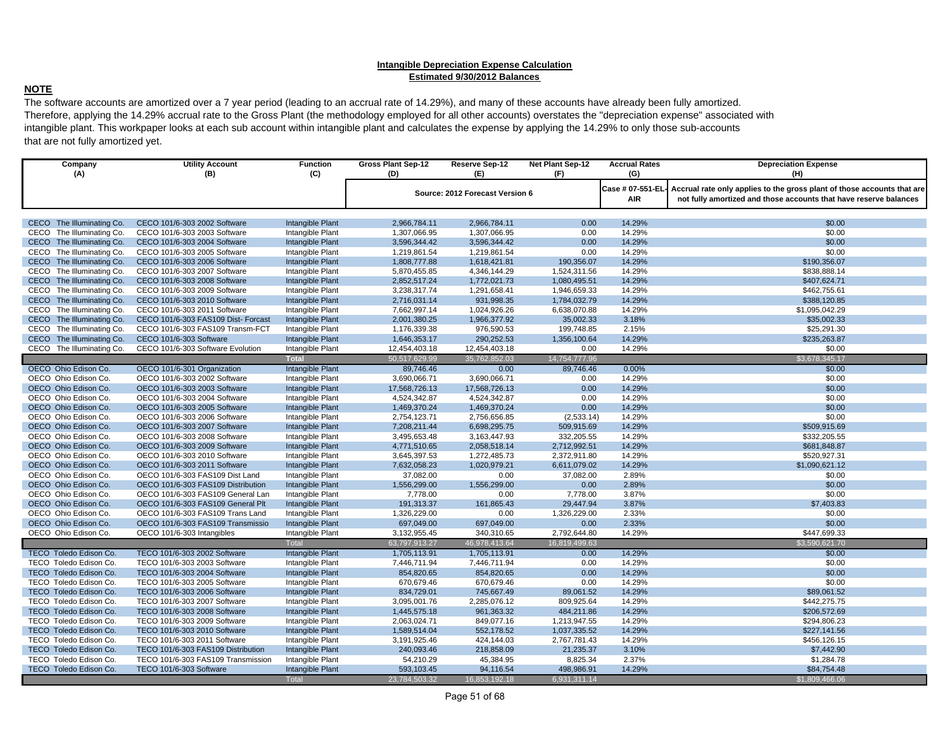#### **Intangible Depreciation Expense Calculation Estimated 9/30/2012 Balances**

## **NOTE**

 The software accounts are amortized over a 7 year period (leading to an accrual rate of 14.29%), and many of these accounts have already been fully amortized. Therefore, applying the 14.29% accrual rate to the Gross Plant (the methodology employed for all other accounts) overstates the "depreciation expense" associated with intangible plant. This workpaper looks at each sub account within intangible plant and calculates the expense by applying the 14.29% to only those sub-accounts that are not fully amortized yet.

| Company<br>(A)                | <b>Utility Account</b><br>(B)       | <b>Function</b><br>(C)  | <b>Gross Plant Sep-12</b><br>(D) | Reserve Sep-12<br>(E)           | Net Plant Sep-12<br>(F) | <b>Accrual Rates</b><br>(G) | <b>Depreciation Expense</b><br>(H)                                      |
|-------------------------------|-------------------------------------|-------------------------|----------------------------------|---------------------------------|-------------------------|-----------------------------|-------------------------------------------------------------------------|
|                               |                                     |                         |                                  |                                 |                         | Case # 07-551-EL            | Accrual rate only applies to the gross plant of those accounts that are |
|                               |                                     |                         |                                  | Source: 2012 Forecast Version 6 |                         | AIR                         | not fully amortized and those accounts that have reserve balances       |
|                               |                                     |                         |                                  |                                 |                         |                             |                                                                         |
| CECO The Illuminating Co.     | CECO 101/6-303 2002 Software        | Intangible Plant        | 2,966,784.11                     | 2,966,784.11                    | 0.00                    | 14.29%                      | \$0.00                                                                  |
| CECO The Illuminating Co.     | CECO 101/6-303 2003 Software        | Intangible Plant        | 1,307,066.95                     | 1,307,066.95                    | 0.00                    | 14.29%                      | \$0.00                                                                  |
| CECO The Illuminating Co.     | CECO 101/6-303 2004 Software        | Intangible Plant        | 3,596,344.42                     | 3.596.344.42                    | 0.00                    | 14.29%                      | \$0.00                                                                  |
| CECO The Illuminating Co.     | CECO 101/6-303 2005 Software        | Intangible Plant        | 1,219,861.54                     | 1,219,861.54                    | 0.00                    | 14.29%                      | \$0.00                                                                  |
| CECO The Illuminating Co.     | CECO 101/6-303 2006 Software        | Intangible Plant        | 1,808,777.88                     | 1,618,421.81                    | 190,356.07              | 14.29%                      | \$190,356.07                                                            |
| CECO The Illuminating Co.     | CECO 101/6-303 2007 Software        | Intangible Plant        | 5,870,455.85                     | 4,346,144.29                    | 1,524,311.56            | 14.29%                      | \$838,888.14                                                            |
| CECO The Illuminating Co.     | CECO 101/6-303 2008 Software        | Intangible Plant        | 2,852,517.24                     | 1,772,021.73                    | 1,080,495.51            | 14.29%                      | \$407,624.71                                                            |
| CECO The Illuminating Co.     | CECO 101/6-303 2009 Software        | Intangible Plant        | 3,238,317.74                     | 1,291,658.41                    | 1,946,659.33            | 14.29%                      | \$462,755.61                                                            |
| CECO The Illuminating Co.     | CECO 101/6-303 2010 Software        | Intangible Plant        | 2,716,031.14                     | 931,998.35                      | 1,784,032.79            | 14.29%                      | \$388,120.85                                                            |
| CECO The Illuminating Co.     | CECO 101/6-303 2011 Software        | Intangible Plant        | 7,662,997.14                     | 1,024,926.26                    | 6,638,070.88            | 14.29%                      | \$1,095,042.29                                                          |
| CECO The Illuminating Co.     | CECO 101/6-303 FAS109 Dist- Forcast | Intangible Plant        | 2,001,380.25                     | 1,966,377.92                    | 35,002.33               | 3.18%                       | \$35,002.33                                                             |
| CECO The Illuminating Co.     | CECO 101/6-303 FAS109 Transm-FCT    | Intangible Plant        | 1,176,339.38                     | 976,590.53                      | 199,748.85              | 2.15%                       | \$25,291.30                                                             |
| CECO The Illuminating Co.     | CECO 101/6-303 Software             | Intangible Plant        | 1,646,353.17                     | 290,252.53                      | 1,356,100.64            | 14.29%                      | \$235,263.87                                                            |
| CECO The Illuminating Co.     | CECO 101/6-303 Software Evolution   | Intangible Plant        | 12,454,403.18                    | 12,454,403.18                   | 0.00                    | 14.29%                      | \$0.00                                                                  |
|                               |                                     | <b>Total</b>            | 50,517,629.99                    | 35.762.852.03                   | 14,754,777.96           |                             | \$3,678,345.17                                                          |
| OECO Ohio Edison Co.          | OECO 101/6-301 Organization         | Intangible Plant        | 89,746.46                        | 0.00                            | 89,746.46               | 0.00%                       | \$0.00                                                                  |
| OECO Ohio Edison Co.          | OECO 101/6-303 2002 Software        | Intangible Plant        | 3,690,066.71                     | 3,690,066.71                    | 0.00                    | 14.29%                      | \$0.00                                                                  |
| OECO Ohio Edison Co.          | OECO 101/6-303 2003 Software        | Intangible Plant        | 17,568,726.13                    | 17,568,726.13                   | 0.00                    | 14.29%                      | \$0.00                                                                  |
| OECO Ohio Edison Co.          | OECO 101/6-303 2004 Software        | Intangible Plant        | 4,524,342.87                     | 4,524,342.87                    | 0.00                    | 14.29%                      | \$0.00                                                                  |
| OECO Ohio Edison Co.          | OECO 101/6-303 2005 Software        | Intangible Plant        | 1,469,370.24                     | 1,469,370.24                    | 0.00                    | 14.29%                      | \$0.00                                                                  |
| OECO Ohio Edison Co.          | OECO 101/6-303 2006 Software        | Intangible Plant        | 2,754,123.71                     | 2,756,656.85                    | (2,533.14)              | 14.29%                      | \$0.00                                                                  |
| OECO Ohio Edison Co.          | OECO 101/6-303 2007 Software        | Intangible Plant        | 7,208,211.44                     | 6,698,295.75                    | 509,915.69              | 14.29%                      | \$509,915.69                                                            |
| OECO Ohio Edison Co.          | OECO 101/6-303 2008 Software        | Intangible Plant        | 3,495,653.48                     | 3,163,447.93                    | 332,205.55              | 14.29%                      | \$332,205.55                                                            |
| OECO Ohio Edison Co.          | OECO 101/6-303 2009 Software        | Intangible Plant        | 4,771,510.65                     | 2,058,518.14                    | 2,712,992.51            | 14.29%                      | \$681,848.87                                                            |
| OECO Ohio Edison Co.          | OECO 101/6-303 2010 Software        | Intangible Plant        | 3,645,397.53                     | 1,272,485.73                    | 2,372,911.80            | 14.29%                      | \$520,927.31                                                            |
| OECO Ohio Edison Co.          | OECO 101/6-303 2011 Software        | Intangible Plant        | 7,632,058.23                     | 1,020,979.21                    | 6,611,079.02            | 14.29%                      | \$1.090.621.12                                                          |
| OECO Ohio Edison Co.          | OECO 101/6-303 FAS109 Dist Land     | Intangible Plant        | 37,082.00                        | 0.00                            | 37,082.00               | 2.89%                       | \$0.00                                                                  |
| OECO Ohio Edison Co.          | OECO 101/6-303 FAS109 Distribution  | Intangible Plant        | 1,556,299.00                     | 1,556,299.00                    | 0.00                    | 2.89%                       | \$0.00                                                                  |
| OECO Ohio Edison Co.          | OECO 101/6-303 FAS109 General Lan   | Intangible Plant        | 7,778.00                         | 0.00                            | 7.778.00                | 3.87%                       | \$0.00                                                                  |
| OECO Ohio Edison Co.          | OECO 101/6-303 FAS109 General Plt   | Intangible Plant        | 191,313.37                       | 161,865.43                      | 29,447.94               | 3.87%                       | \$7,403.83                                                              |
| OECO Ohio Edison Co.          | OECO 101/6-303 FAS109 Trans Land    | Intangible Plant        | 1,326,229.00                     | 0.00                            | 1,326,229.00            | 2.33%                       | \$0.00                                                                  |
| OECO Ohio Edison Co.          | OECO 101/6-303 FAS109 Transmissio   | Intangible Plant        | 697,049.00                       | 697,049.00                      | 0.00                    | 2.33%                       | \$0.00                                                                  |
| OECO Ohio Edison Co.          | OECO 101/6-303 Intangibles          | Intangible Plant        | 3,132,955.45                     | 340,310.65                      | 2,792,644.80            | 14.29%                      | \$447,699.33                                                            |
|                               |                                     | Total                   | 63,797,913.27                    | 46,978,413.64                   | 16,819,499.63           |                             | \$3,590,621.70                                                          |
| <b>TECO Toledo Edison Co.</b> | TECO 101/6-303 2002 Software        | <b>Intangible Plant</b> | 1,705,113.91                     | 1,705,113.91                    | 0.00                    | 14.29%                      | \$0.00                                                                  |
| TECO Toledo Edison Co.        | TECO 101/6-303 2003 Software        | Intangible Plant        | 7,446,711.94                     | 7,446,711.94                    | 0.00                    | 14.29%                      | \$0.00                                                                  |
| TECO Toledo Edison Co.        | TECO 101/6-303 2004 Software        | Intangible Plant        | 854,820.65                       | 854,820.65                      | 0.00                    | 14.29%                      | \$0.00                                                                  |
| TECO Toledo Edison Co.        | TECO 101/6-303 2005 Software        | Intangible Plant        | 670,679.46                       | 670,679.46                      | 0.00                    | 14.29%                      | \$0.00                                                                  |
| TECO Toledo Edison Co.        | TECO 101/6-303 2006 Software        | Intangible Plant        | 834,729.01                       | 745,667.49                      | 89,061.52               | 14.29%                      | \$89,061.52                                                             |
| TECO Toledo Edison Co.        | TECO 101/6-303 2007 Software        | Intangible Plant        | 3,095,001.76                     | 2,285,076.12                    | 809.925.64              | 14.29%                      | \$442,275.75                                                            |
| TECO Toledo Edison Co.        | TECO 101/6-303 2008 Software        | Intangible Plant        | 1,445,575.18                     | 961,363.32                      | 484,211.86              | 14.29%                      | \$206,572.69                                                            |
| TECO Toledo Edison Co.        | TECO 101/6-303 2009 Software        | Intangible Plant        | 2,063,024.71                     | 849,077.16                      | 1,213,947.55            | 14.29%                      | \$294,806.23                                                            |
| TECO Toledo Edison Co.        | TECO 101/6-303 2010 Software        | Intangible Plant        | 1,589,514.04                     | 552,178.52                      | 1,037,335.52            | 14.29%                      | \$227,141.56                                                            |
| TECO Toledo Edison Co.        | TECO 101/6-303 2011 Software        | Intangible Plant        | 3,191,925.46                     | 424,144.03                      | 2,767,781.43            | 14.29%                      | \$456,126.15                                                            |
| TECO Toledo Edison Co.        | TECO 101/6-303 FAS109 Distribution  | Intangible Plant        | 240,093.46                       | 218,858.09                      | 21,235.37               | 3.10%                       | \$7,442.90                                                              |
| TECO Toledo Edison Co.        | TECO 101/6-303 FAS109 Transmission  | Intangible Plant        | 54,210.29                        | 45,384.95                       | 8,825.34                | 2.37%                       | \$1,284.78                                                              |
| TECO Toledo Edison Co.        | TECO 101/6-303 Software             | Intangible Plant        | 593,103.45                       | 94,116.54                       | 498,986.91              | 14.29%                      | \$84,754.48                                                             |
|                               |                                     | <b>Total</b>            | 23,784,503.32                    | 16,853,192.18                   | 6,931,311.14            |                             | \$1,809,466.06                                                          |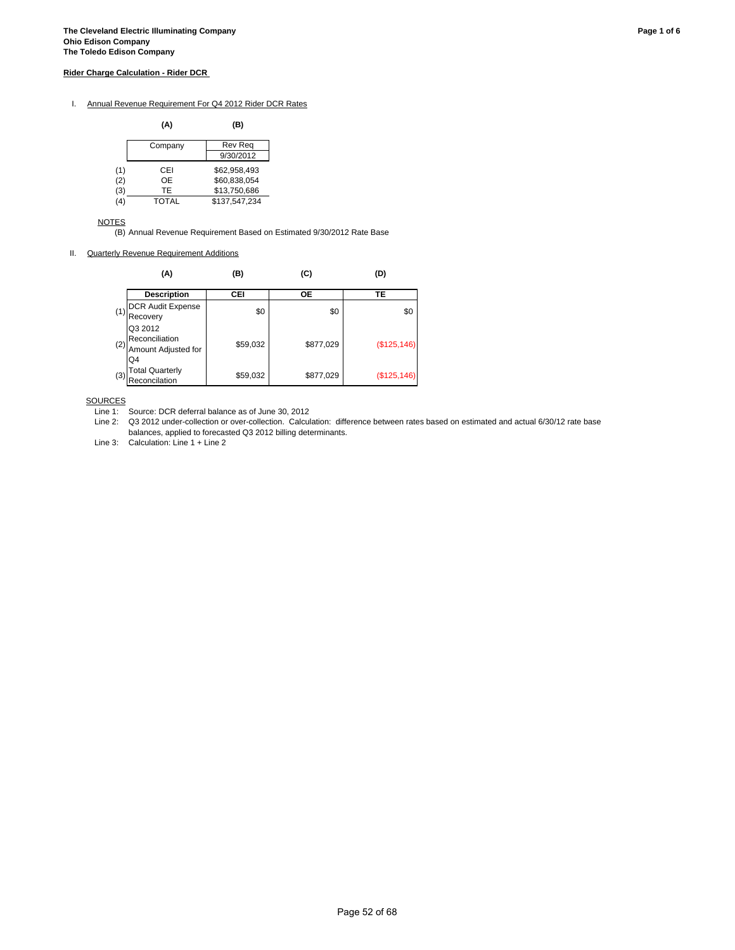#### **Rider Charge Calculation - Rider DCR**

#### I. Annual Revenue Requirement For Q4 2012 Rider DCR Rates

|     | (A)     | (B)            |
|-----|---------|----------------|
|     | Company | <b>Rev Reg</b> |
|     |         | 9/30/2012      |
| (1) | CEI     | \$62.958.493   |
| (2) | OE      | \$60.838.054   |
| (3) | TF      | \$13,750,686   |
| (4) | TOTAL   | \$137,547,234  |

NOTES

(B) Annual Revenue Requirement Based on Estimated 9/30/2012 Rate Base

II. Quarterly Revenue Requirement Additions

|     | (A)                                                    | (B)      | (C)       | (D)          |
|-----|--------------------------------------------------------|----------|-----------|--------------|
|     | <b>Description</b>                                     | CEI      | ОE        | TЕ           |
| (1) | DCR Audit Expense<br>Recovery                          | \$0      | \$0       | \$0          |
| (2) | Q3 2012<br>Reconciliation<br>Amount Adjusted for<br>Q4 | \$59,032 | \$877,029 | (\$125, 146) |
| (3) | <b>Total Quarterly</b><br>Reconcilation                | \$59,032 | \$877,029 | (\$125, 146) |

**SOURCES** 

Line 2: Q3 2012 under-collection or over-collection. Calculation: difference between rates based on estimated and actual 6/30/12 rate base balances, applied to forecasted Q3 2012 billing determinants.

Line 3: Calculation: Line 1 + Line 2

Line 1: Source: DCR deferral balance as of June 30, 2012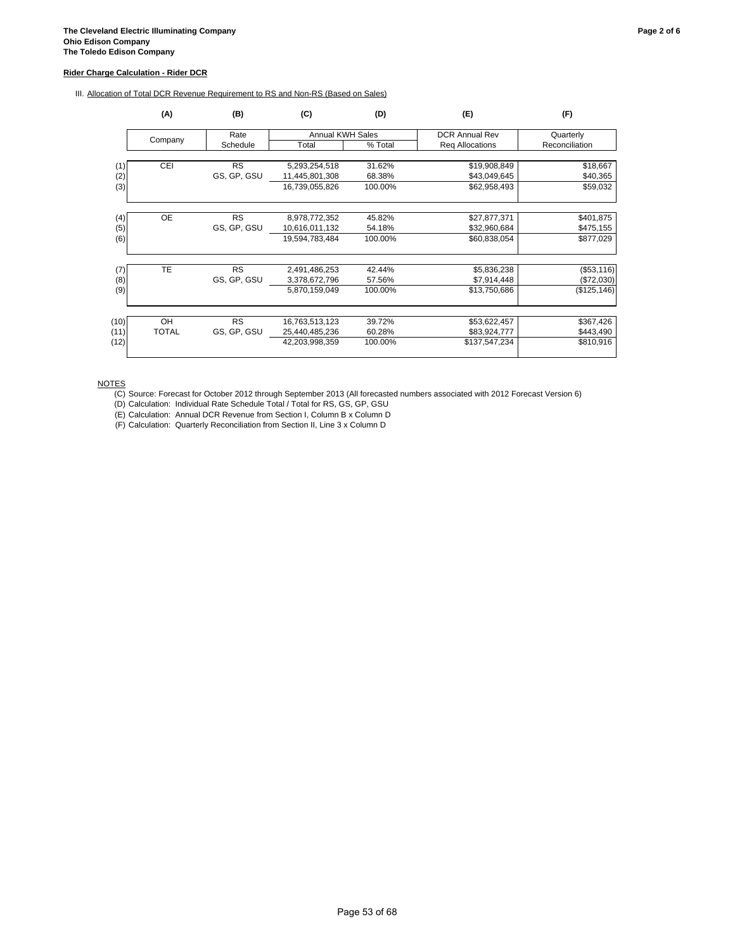#### **Rider Charge Calculation - Rider DCR**

| Company    | Rate                            |                                       |                                                   |                            | (F)                                          |  |
|------------|---------------------------------|---------------------------------------|---------------------------------------------------|----------------------------|----------------------------------------------|--|
|            |                                 | <b>Annual KWH Sales</b>               |                                                   | <b>DCR Annual Rev</b>      | Quarterly                                    |  |
|            | Schedule                        | Total                                 | % Total                                           | Req Allocations            | Reconciliation                               |  |
| <b>CEI</b> | <b>RS</b>                       | 5,293,254,518                         | 31.62%                                            | \$19,908,849               | \$18,667                                     |  |
|            | GS, GP, GSU                     | 11,445,801,308                        | 68.38%                                            | \$43,049,645               | \$40,365                                     |  |
|            |                                 | 16,739,055,826                        | 100.00%                                           | \$62,958,493               | \$59,032                                     |  |
|            |                                 |                                       |                                                   |                            | \$401,875                                    |  |
|            | GS, GP, GSU                     | 10,616,011,132                        | 54.18%                                            | \$32,960,684               | \$475,155                                    |  |
|            |                                 | 19,594,783,484                        | 100.00%                                           | \$60,838,054               | \$877,029                                    |  |
| TE         | <b>RS</b>                       | 2,491,486,253                         | 42.44%                                            | \$5,836,238                | (\$53,116)                                   |  |
|            | GS, GP, GSU                     | 3,378,672,796                         | 57.56%                                            | \$7,914,448                | (\$72,030)                                   |  |
|            |                                 | 5,870,159,049                         | 100.00%                                           | \$13,750,686               | (\$125, 146)                                 |  |
|            |                                 |                                       |                                                   |                            |                                              |  |
|            |                                 |                                       |                                                   |                            | \$367,426<br>\$443,490                       |  |
|            |                                 | 42,203,998,359                        | 100.00%                                           | \$137,547,234              | \$810,916                                    |  |
|            | <b>OE</b><br>OH<br><b>TOTAL</b> | <b>RS</b><br><b>RS</b><br>GS, GP, GSU | 8,978,772,352<br>16,763,513,123<br>25,440,485,236 | 45.82%<br>39.72%<br>60.28% | \$27,877,371<br>\$53,622,457<br>\$83,924,777 |  |

NOTES

(C) Source: Forecast for October 2012 through September 2013 (All forecasted numbers associated with 2012 Forecast Version 6)

(D) Calculation: Individual Rate Schedule Total / Total for RS, GS, GP, GSU

(E) Calculation: Annual DCR Revenue from Section I, Column B x Column D

(F) Calculation: Quarterly Reconciliation from Section II, Line 3 x Column D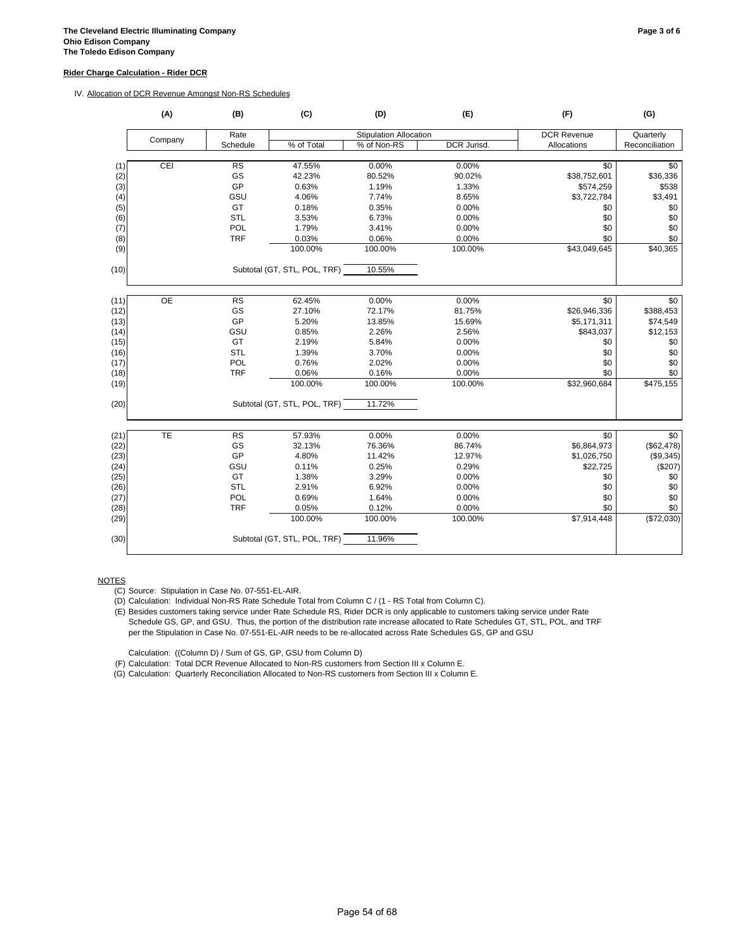#### **Rider Charge Calculation - Rider DCR**

#### IV. Allocation of DCR Revenue Amongst Non-RS Schedules

|      | (A)       | (B)        | (C)                          | (D)                           | (E)         | (F)                | (G)             |
|------|-----------|------------|------------------------------|-------------------------------|-------------|--------------------|-----------------|
|      | Company   | Rate       |                              | <b>Stipulation Allocation</b> |             | <b>DCR Revenue</b> | Quarterly       |
|      |           | Schedule   | % of Total                   | % of Non-RS                   | DCR Jurisd. | Allocations        | Reconciliation  |
|      |           |            |                              |                               |             |                    |                 |
| (1)  | CEI       | RS         | 47.55%                       | 0.00%                         | 0.00%       | \$0                | \$0             |
| (2)  |           | GS         | 42.23%                       | 80.52%                        | 90.02%      | \$38,752,601       | \$36,336        |
| (3)  |           | GP         | 0.63%                        | 1.19%                         | 1.33%       | \$574,259          | \$538           |
| (4)  |           | GSU        | 4.06%                        | 7.74%                         | 8.65%       | \$3,722,784        | \$3,491         |
| (5)  |           | GT         | 0.18%                        | 0.35%                         | 0.00%       | \$0                | \$0             |
| (6)  |           | <b>STL</b> | 3.53%                        | 6.73%                         | 0.00%       | \$0                | \$0             |
| (7)  |           | <b>POL</b> | 1.79%                        | 3.41%                         | 0.00%       | \$0                | \$0             |
| (8)  |           | <b>TRF</b> | 0.03%                        | 0.06%                         | 0.00%       | \$0                | \$0             |
| (9)  |           |            | 100.00%                      | 100.00%                       | 100.00%     | \$43,049,645       | \$40,365        |
| (10) |           |            | Subtotal (GT, STL, POL, TRF) | 10.55%                        |             |                    |                 |
|      |           |            |                              |                               |             |                    |                 |
| (11) | <b>OE</b> | <b>RS</b>  | 62.45%                       | 0.00%                         | 0.00%       | \$0                | \$0             |
| (12) |           | GS         | 27.10%                       | 72.17%                        | 81.75%      | \$26,946,336       | \$388,453       |
| (13) |           | GP         | 5.20%                        | 13.85%                        | 15.69%      | \$5,171,311        | \$74,549        |
| (14) |           | GSU        | 0.85%                        | 2.26%                         | 2.56%       | \$843,037          | \$12,153        |
| (15) |           | GT         | 2.19%                        | 5.84%                         | 0.00%       | \$0                | \$0             |
| (16) |           | <b>STL</b> | 1.39%                        | 3.70%                         | 0.00%       | \$0                | \$0             |
| (17) |           | POL        | 0.76%                        | 2.02%                         | 0.00%       | \$0                | \$0             |
| (18) |           | <b>TRF</b> | 0.06%                        | 0.16%                         | 0.00%       | \$0                | \$0             |
| (19) |           |            | 100.00%                      | 100.00%                       | 100.00%     | \$32,960,684       | \$475,155       |
| (20) |           |            | Subtotal (GT, STL, POL, TRF) | 11.72%                        |             |                    |                 |
| (21) | TE        | <b>RS</b>  | 57.93%                       | 0.00%                         | 0.00%       | $\overline{50}$    | $\overline{50}$ |
| (22) |           | GS         | 32.13%                       | 76.36%                        | 86.74%      | \$6,864,973        | (\$62,478)      |
| (23) |           | GP         | 4.80%                        | 11.42%                        | 12.97%      | \$1,026,750        | (\$9,345)       |
| (24) |           | GSU        | 0.11%                        | 0.25%                         | 0.29%       | \$22,725           | (\$207)         |
| (25) |           | GT         | 1.38%                        | 3.29%                         | 0.00%       | \$0                | \$0             |
| (26) |           | <b>STL</b> | 2.91%                        | 6.92%                         | 0.00%       | \$0                | \$0             |
| (27) |           | POL        | 0.69%                        | 1.64%                         | 0.00%       | \$0                | $\$0$           |
| (28) |           | <b>TRF</b> | 0.05%                        | 0.12%                         | 0.00%       | \$0                | \$0             |
| (29) |           |            | 100.00%                      | 100.00%                       | 100.00%     | \$7,914,448        | (\$72,030)      |
| (30) |           |            | Subtotal (GT, STL, POL, TRF) | 11.96%                        |             |                    |                 |

**NOTES** 

(C) Source: Stipulation in Case No. 07-551-EL-AIR.

(D) Calculation: Individual Non-RS Rate Schedule Total from Column C / (1 - RS Total from Column C).

(E) Besides customers taking service under Rate Schedule RS, Rider DCR is only applicable to customers taking service under Rate Schedule GS, GP, and GSU. Thus, the portion of the distribution rate increase allocated to Rate Schedules GT, STL, POL, and TRF per the Stipulation in Case No. 07-551-EL-AIR needs to be re-allocated across Rate Schedules GS, GP and GSU

Calculation: ((Column D) / Sum of GS, GP, GSU from Column D)

(F) Calculation: Total DCR Revenue Allocated to Non-RS customers from Section III x Column E.

(G) Calculation: Quarterly Reconciliation Allocated to Non-RS customers from Section III x Column E.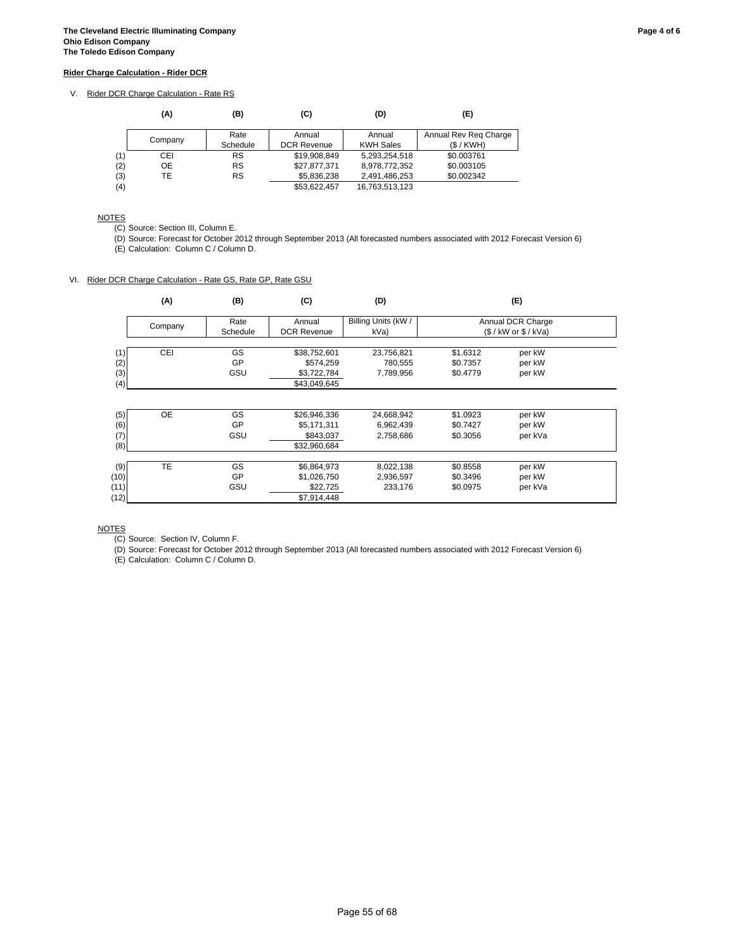### V. Rider DCR Charge Calculation - Rate RS

|     | (A)     | (B)       | (C)                | (D)              | (E)                   |
|-----|---------|-----------|--------------------|------------------|-----------------------|
|     |         | Rate      | Annual             | Annual           | Annual Rev Reg Charge |
|     | Company | Schedule  | <b>DCR Revenue</b> | <b>KWH Sales</b> | (S/KWH)               |
| (1) | CEI     | RS        | \$19,908,849       | 5,293,254,518    | \$0.003761            |
| (2) | ОE      | <b>RS</b> | \$27,877,371       | 8,978,772,352    | \$0.003105            |
| (3) | TE      | <b>RS</b> | \$5,836,238        | 2,491,486,253    | \$0.002342            |
| (4) |         |           | \$53.622.457       | 16,763,513,123   |                       |

#### NOTES

(C) Source: Section III, Column E.

(D) Source: Forecast for October 2012 through September 2013 (All forecasted numbers associated with 2012 Forecast Version 6)

(E) Calculation: Column C / Column D.

#### VI. Rider DCR Charge Calculation - Rate GS, Rate GP, Rate GSU

|      | (A)       | (B)      | (C)                | (D)                 | (E)                     |  |
|------|-----------|----------|--------------------|---------------------|-------------------------|--|
|      |           | Rate     | Annual             | Billing Units (kW / | Annual DCR Charge       |  |
|      | Company   | Schedule | <b>DCR Revenue</b> | kVa)                | $($ /$ kW or $$ /$ kVa) |  |
|      |           |          |                    |                     |                         |  |
| (1)  | CEI       | GS       | \$38,752,601       | 23,756,821          | \$1.6312<br>per kW      |  |
| (2)  |           | GP       | \$574,259          | 780,555             | \$0.7357<br>per kW      |  |
| (3)  |           | GSU      | \$3,722,784        | 7,789,956           | \$0.4779<br>per kW      |  |
| (4)  |           |          | \$43,049,645       |                     |                         |  |
| (5)  | <b>OE</b> | GS       | \$26,946,336       | 24,668,942          | \$1.0923<br>per kW      |  |
|      |           | GP       |                    |                     | \$0.7427                |  |
| (6)  |           |          | \$5,171,311        | 6,962,439           | per kW                  |  |
| (7)  |           | GSU      | \$843,037          | 2,758,686           | \$0.3056<br>per kVa     |  |
| (8)  |           |          | \$32,960,684       |                     |                         |  |
| (9)  | <b>TE</b> | GS       | \$6,864,973        | 8,022,138           | \$0.8558<br>per kW      |  |
| (10) |           | GP       | \$1,026,750        | 2,936,597           | \$0.3496<br>per kW      |  |
| (11) |           | GSU      | \$22,725           | 233,176             | \$0.0975<br>per kVa     |  |
| (12) |           |          | \$7,914,448        |                     |                         |  |

NOTES

(C) Source: Section IV, Column F.

(D) Source: Forecast for October 2012 through September 2013 (All forecasted numbers associated with 2012 Forecast Version 6)

(E) Calculation: Column C / Column D.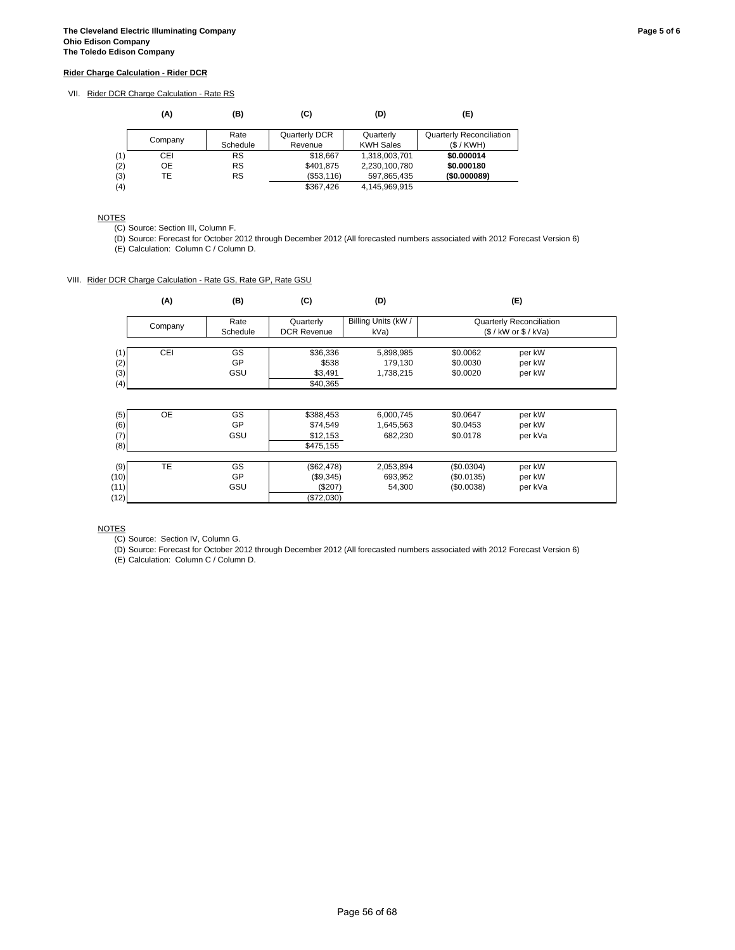## VII. Rider DCR Charge Calculation - Rate RS

|     | (A)     | (B)       | (C)           | (D)              | (E)                             |
|-----|---------|-----------|---------------|------------------|---------------------------------|
|     | Company | Rate      | Quarterly DCR | Quarterly        | <b>Quarterly Reconciliation</b> |
|     |         | Schedule  | Revenue       | <b>KWH Sales</b> | (S/KWH)                         |
| (1) | CEI     | RS        | \$18,667      | 1,318,003,701    | \$0.000014                      |
| (2) | ОE      | <b>RS</b> | \$401,875     | 2,230,100,780    | \$0.000180                      |
| (3) | TE      | RS        | (\$53,116)    | 597,865,435      | (\$0.000089)                    |
| (4) |         |           | \$367.426     | 4,145,969,915    |                                 |

### NOTES

(C) Source: Section III, Column F.

(D) Source: Forecast for October 2012 through December 2012 (All forecasted numbers associated with 2012 Forecast Version 6)

(E) Calculation: Column C / Column D.

#### VIII. Rider DCR Charge Calculation - Rate GS, Rate GP, Rate GSU

|      | (A)       | (B)       | (C)                | (D)                 |                                 | (E)                     |  |
|------|-----------|-----------|--------------------|---------------------|---------------------------------|-------------------------|--|
|      | Company   | Rate      | Quarterly          | Billing Units (kW / | <b>Quarterly Reconciliation</b> |                         |  |
|      |           | Schedule  | <b>DCR Revenue</b> | kVa)                |                                 | $($ /$ kW or $$ /$ kVa) |  |
| (1)  | CEI       | <b>GS</b> | \$36,336           | 5,898,985           | \$0.0062                        | per kW                  |  |
| (2)  |           | GP        | \$538              | 179,130             | \$0.0030                        | per kW                  |  |
| (3)  |           | GSU       | \$3,491            | 1,738,215           | \$0.0020                        | per kW                  |  |
| (4)  |           |           | \$40,365           |                     |                                 |                         |  |
|      |           |           |                    |                     |                                 |                         |  |
|      |           |           |                    |                     |                                 |                         |  |
| (5)  | <b>OE</b> | GS        | \$388,453          | 6,000,745           | \$0.0647                        | per kW                  |  |
| (6)  |           | GP        | \$74,549           | 1,645,563           | \$0.0453                        | per kW                  |  |
| (7)  |           | GSU       | \$12,153           | 682,230             | \$0.0178                        | per kVa                 |  |
| (8)  |           |           | \$475,155          |                     |                                 |                         |  |
|      |           |           |                    |                     |                                 |                         |  |
| (9)  | TE        | GS        | (\$62,478)         | 2,053,894           | (\$0.0304)                      | per kW                  |  |
| (10) |           | GP        | (\$9,345)          | 693,952             | (\$0.0135)                      | per kW                  |  |
| (11) |           | GSU       | (\$207)            | 54,300              | (\$0.0038)                      | per kVa                 |  |
| (12) |           |           | (\$72,030)         |                     |                                 |                         |  |

NOTES

(C) Source: Section IV, Column G.

(D) Source: Forecast for October 2012 through December 2012 (All forecasted numbers associated with 2012 Forecast Version 6) (E) Calculation: Column C / Column D.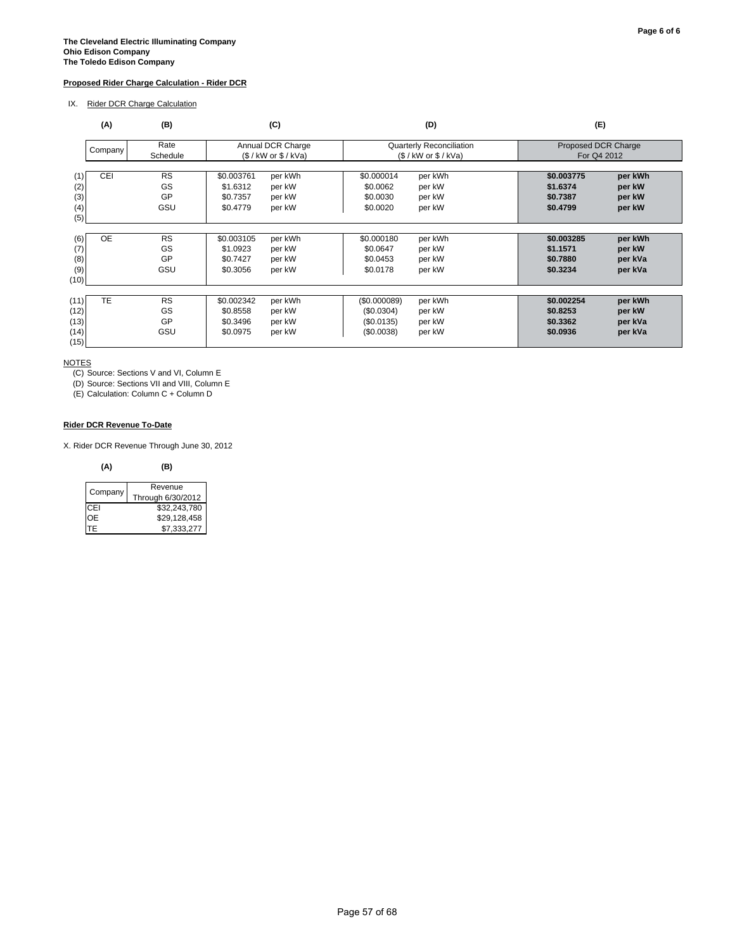#### **Proposed Rider Charge Calculation - Rider DCR**

IX. Rider DCR Charge Calculation

| (A)                                               | (B)                          | (C)                                                                                     | (D)                                                                                            | (E)                                                                                       |
|---------------------------------------------------|------------------------------|-----------------------------------------------------------------------------------------|------------------------------------------------------------------------------------------------|-------------------------------------------------------------------------------------------|
| Company                                           | Rate<br>Schedule             | Annual DCR Charge<br>$($ /$ kW or $$ /$ kVa)                                            | Quarterly Reconciliation<br>(S / kW or S / KVa)                                                | Proposed DCR Charge<br>For Q4 2012                                                        |
| CEI<br>(1)<br>(2)<br>(3)<br>(4)<br>(5)            | <b>RS</b><br>GS<br>GP<br>GSU | \$0.003761<br>per kWh<br>\$1.6312<br>per kW<br>per kW<br>\$0.7357<br>per kW<br>\$0.4779 | \$0.000014<br>per kWh<br>\$0.0062<br>per kW<br>per kW<br>\$0.0030<br>\$0.0020<br>per kW        | \$0.003775<br>per kWh<br>\$1.6374<br>per kW<br>\$0.7387<br>per kW<br>\$0.4799<br>per kW   |
| <b>OE</b><br>(6)<br>(7)<br>(8)<br>(9)<br>(10)     | <b>RS</b><br>GS<br>GP<br>GSU | \$0.003105<br>per kWh<br>\$1.0923<br>per kW<br>per kW<br>\$0.7427<br>\$0.3056<br>per kW | per kWh<br>\$0.000180<br>\$0.0647<br>per kW<br>per kW<br>\$0.0453<br>\$0.0178<br>per kW        | \$0.003285<br>per kWh<br>\$1.1571<br>per kW<br>\$0.7880<br>per kVa<br>\$0.3234<br>per kVa |
| <b>TE</b><br>(11)<br>(12)<br>(13)<br>(14)<br>(15) | <b>RS</b><br>GS<br>GP<br>GSU | \$0.002342<br>per kWh<br>\$0.8558<br>per kW<br>\$0.3496<br>per kW<br>\$0.0975<br>per kW | per kWh<br>(\$0.000089)<br>(\$0.0304)<br>per kW<br>per kW<br>(S0.0135)<br>(\$0.0038)<br>per kW | per kWh<br>\$0.002254<br>\$0.8253<br>per kW<br>\$0.3362<br>per kVa<br>\$0.0936<br>per kVa |

NOTES

(C) Source: Sections V and VI, Column E

(D) Source: Sections VII and VIII, Column E

(E) Calculation: Column C + Column D

### **Rider DCR Revenue To-Date**

X. Rider DCR Revenue Through June 30, 2012

#### **(A) (B)**

| Company | Revenue<br>Through 6/30/2012 |
|---------|------------------------------|
| CFI     | \$32,243,780                 |
| OE.     | \$29,128,458                 |
| ITE.    | \$7,333,277                  |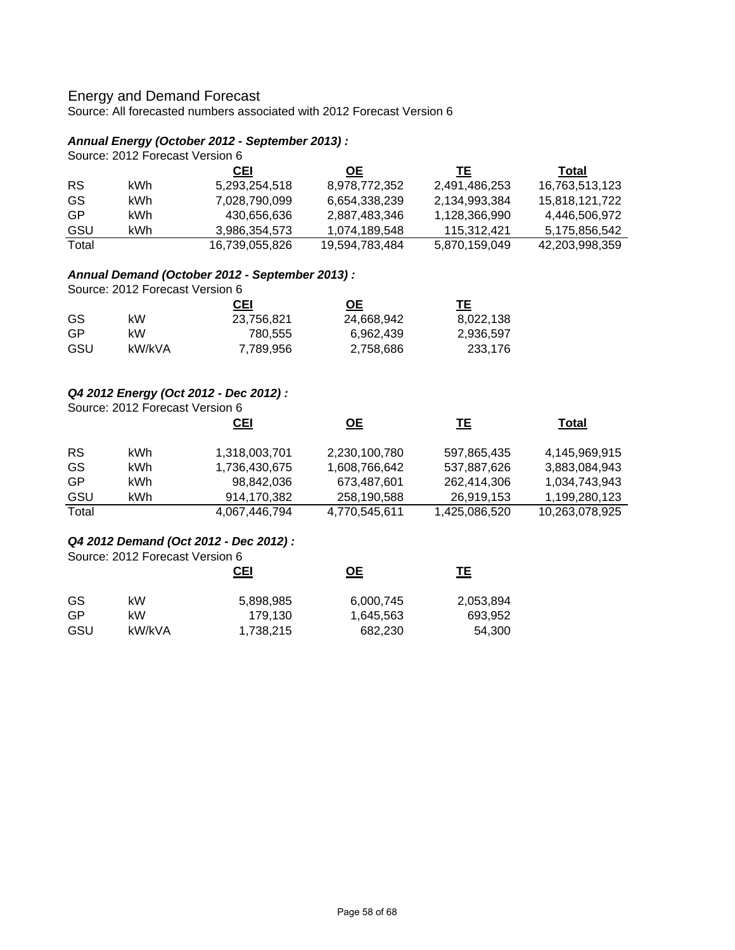# Energy and Demand Forecast

Source: All forecasted numbers associated with 2012 Forecast Version 6

## *Annual Energy (October 2012 - September 2013) :*

| Source: 2012 Forecast Version 6 |  |  |  |  |
|---------------------------------|--|--|--|--|
|---------------------------------|--|--|--|--|

|           |      | <b>CEI</b>     | <b>OE</b>      | TE            | Total          |
|-----------|------|----------------|----------------|---------------|----------------|
| <b>RS</b> | kWh. | 5.293.254.518  | 8,978,772,352  | 2,491,486,253 | 16,763,513,123 |
| GS        | kWh. | 7.028.790.099  | 6.654.338.239  | 2.134.993.384 | 15.818.121.722 |
| GP        | kWh. | 430.656.636    | 2.887.483.346  | 1,128,366,990 | 4.446.506.972  |
| GSU       | kWh  | 3.986.354.573  | 1.074.189.548  | 115.312.421   | 5.175.856.542  |
| Total     |      | 16,739,055,826 | 19.594.783.484 | 5,870,159,049 | 42.203.998.359 |

# *Annual Demand (October 2012 - September 2013) :*

Source: 2012 Forecast Version 6

|     |        | CEI        | OЕ         | TЕ        |
|-----|--------|------------|------------|-----------|
| GS. | kW     | 23,756,821 | 24,668,942 | 8,022,138 |
| GP  | kW.    | 780.555    | 6.962.439  | 2,936,597 |
| GSU | kW/kVA | 7,789,956  | 2,758,686  | 233.176   |

## *Q4 2012 Energy (Oct 2012 - Dec 2012) :*

Source: 2012 Forecast Version 6

|           |      | <u>CEI</u>    | <u>ОЕ</u>     | TΕ            | Total          |
|-----------|------|---------------|---------------|---------------|----------------|
| <b>RS</b> | kWh. | 1,318,003,701 | 2,230,100,780 | 597,865,435   | 4,145,969,915  |
| GS        | kWh. | 1,736,430,675 | 1,608,766,642 | 537,887,626   | 3,883,084,943  |
| GP        | kWh. | 98,842,036    | 673,487,601   | 262,414,306   | 1,034,743,943  |
| GSU       | kWh  | 914,170,382   | 258,190,588   | 26,919,153    | 1,199,280,123  |
| Total     |      | 4,067,446,794 | 4,770,545,611 | 1,425,086,520 | 10,263,078,925 |

## *Q4 2012 Demand (Oct 2012 - Dec 2012) :*

Source: 2012 Forecast Version 6

|     |        | CEI       | <u>ОЕ</u> | TΕ        |
|-----|--------|-----------|-----------|-----------|
| GS  | kW     | 5,898,985 | 6,000,745 | 2,053,894 |
| GP  | kW     | 179.130   | 1,645,563 | 693,952   |
| GSU | kW/kVA | 1,738,215 | 682.230   | 54,300    |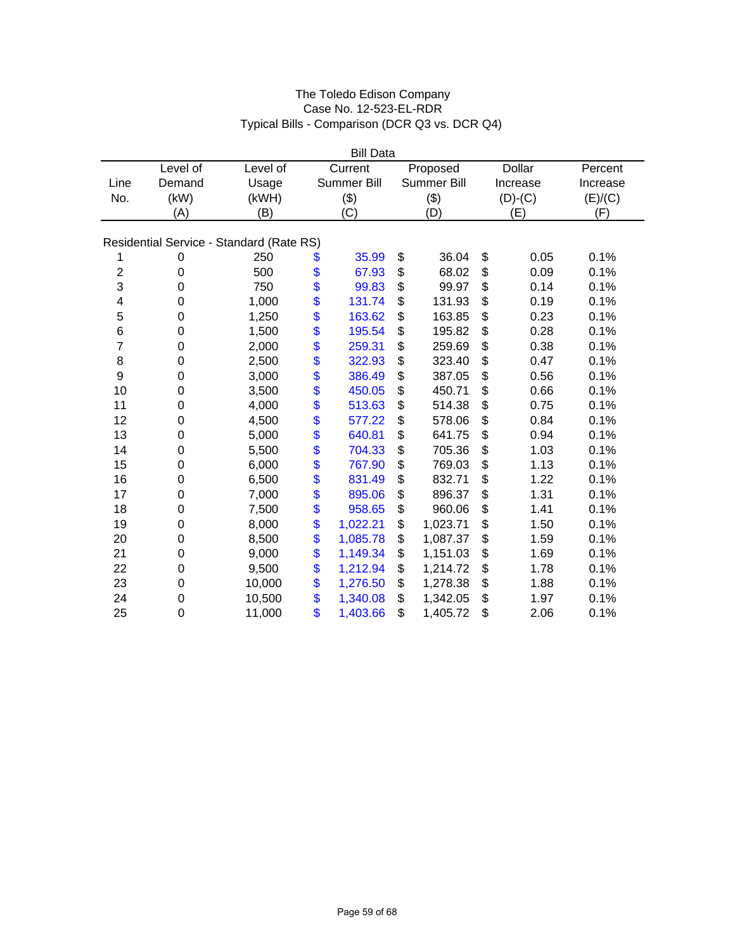|                         |                  |                                          |      | <b>Bill Data</b> |                |               |          |
|-------------------------|------------------|------------------------------------------|------|------------------|----------------|---------------|----------|
|                         | Level of         | Level of                                 |      | Current          | Proposed       | <b>Dollar</b> | Percent  |
| Line                    | Demand           | Usage                                    |      | Summer Bill      | Summer Bill    | Increase      | Increase |
| No.                     | (kW)             | (kWH)                                    |      | (3)              | (3)            | $(D)-(C)$     | (E)/(C)  |
|                         | (A)              | (B)                                      |      | (C)              | (D)            | (E)           | (F)      |
|                         |                  |                                          |      |                  |                |               |          |
|                         |                  | Residential Service - Standard (Rate RS) |      |                  |                |               |          |
| 1                       | 0                | 250                                      | \$   | 35.99            | \$<br>36.04    | \$<br>0.05    | 0.1%     |
| $\overline{\mathbf{c}}$ | $\boldsymbol{0}$ | 500                                      | \$   | 67.93            | \$<br>68.02    | \$<br>0.09    | 0.1%     |
| 3                       | $\mathbf 0$      | 750                                      | \$   | 99.83            | \$<br>99.97    | \$<br>0.14    | 0.1%     |
| 4                       | $\mathbf 0$      | 1,000                                    | \$   | 131.74           | \$<br>131.93   | \$<br>0.19    | 0.1%     |
| 5                       | $\mathbf 0$      | 1,250                                    | \$   | 163.62           | \$<br>163.85   | \$<br>0.23    | 0.1%     |
| 6                       | $\boldsymbol{0}$ | 1,500                                    |      | 195.54           | \$<br>195.82   | \$<br>0.28    | 0.1%     |
| $\overline{7}$          | $\mathbf 0$      | 2,000                                    | \$   | 259.31           | \$<br>259.69   | \$<br>0.38    | 0.1%     |
| $\bf8$                  | $\boldsymbol{0}$ | 2,500                                    |      | 322.93           | \$<br>323.40   | \$<br>0.47    | 0.1%     |
| $\boldsymbol{9}$        | $\boldsymbol{0}$ | 3,000                                    | \$\$ | 386.49           | \$<br>387.05   | \$<br>0.56    | 0.1%     |
| 10                      | $\mathbf 0$      | 3,500                                    |      | 450.05           | \$<br>450.71   | \$<br>0.66    | 0.1%     |
| 11                      | $\mathbf 0$      | 4,000                                    |      | 513.63           | \$<br>514.38   | \$<br>0.75    | 0.1%     |
| 12                      | $\mathbf 0$      | 4,500                                    | \$   | 577.22           | \$<br>578.06   | \$<br>0.84    | 0.1%     |
| 13                      | 0                | 5,000                                    | \$   | 640.81           | \$<br>641.75   | \$<br>0.94    | 0.1%     |
| 14                      | $\mathbf 0$      | 5,500                                    | \$   | 704.33           | \$<br>705.36   | \$<br>1.03    | 0.1%     |
| 15                      | $\boldsymbol{0}$ | 6,000                                    |      | 767.90           | \$<br>769.03   | \$<br>1.13    | 0.1%     |
| 16                      | $\boldsymbol{0}$ | 6,500                                    | \$   | 831.49           | \$<br>832.71   | \$<br>1.22    | 0.1%     |
| 17                      | 0                | 7,000                                    |      | 895.06           | \$<br>896.37   | \$<br>1.31    | 0.1%     |
| 18                      | $\boldsymbol{0}$ | 7,500                                    | \$   | 958.65           | \$<br>960.06   | \$<br>1.41    | 0.1%     |
| 19                      | $\boldsymbol{0}$ | 8,000                                    | \$   | 1,022.21         | \$<br>1,023.71 | \$<br>1.50    | 0.1%     |
| 20                      | $\mathbf 0$      | 8,500                                    | \$   | 1,085.78         | \$<br>1,087.37 | \$<br>1.59    | 0.1%     |
| 21                      | 0                | 9,000                                    | \$   | 1,149.34         | \$<br>1,151.03 | \$<br>1.69    | 0.1%     |
| 22                      | $\mathbf 0$      | 9,500                                    | \$   | 1,212.94         | \$<br>1,214.72 | \$<br>1.78    | 0.1%     |
| 23                      | 0                | 10,000                                   | \$   | 1,276.50         | \$<br>1,278.38 | \$<br>1.88    | 0.1%     |
| 24                      | $\mathbf 0$      | 10,500                                   | \$   | 1,340.08         | \$<br>1,342.05 | \$<br>1.97    | 0.1%     |
| 25                      | $\mathbf 0$      | 11,000                                   | \$   | 1,403.66         | \$<br>1,405.72 | \$<br>2.06    | 0.1%     |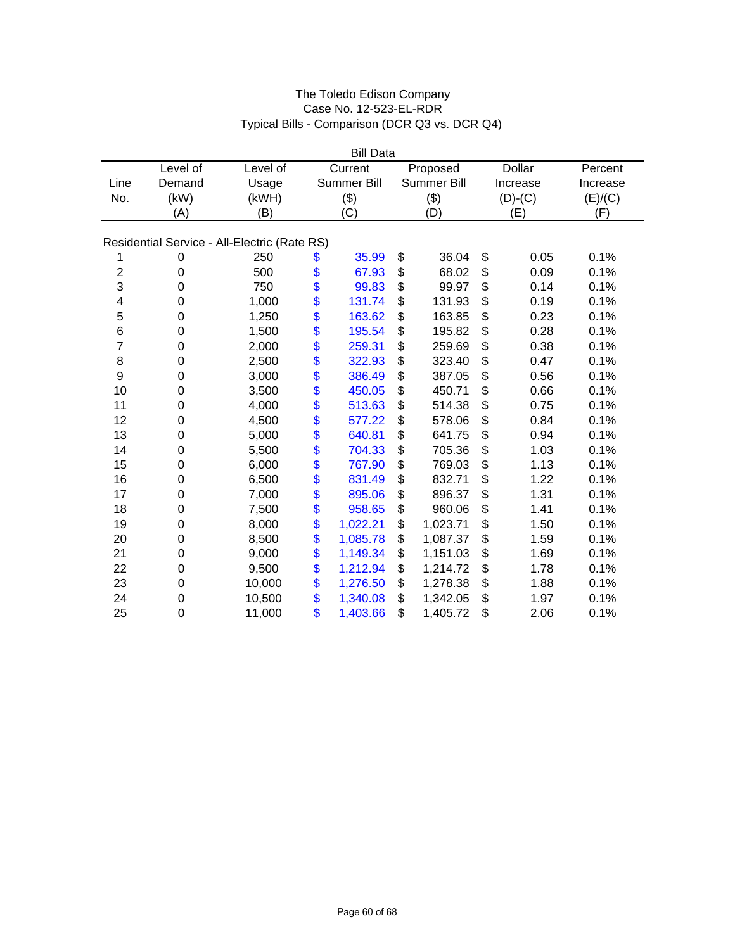| <b>Bill Data</b>        |                  |                                              |               |             |    |             |    |               |          |
|-------------------------|------------------|----------------------------------------------|---------------|-------------|----|-------------|----|---------------|----------|
|                         | Level of         | Level of                                     |               | Current     |    | Proposed    |    | <b>Dollar</b> | Percent  |
| Line                    | Demand           | Usage                                        |               | Summer Bill |    | Summer Bill |    | Increase      | Increase |
| No.                     | (kW)             | (kWH)                                        |               | (3)         |    | (3)         |    | $(D)-(C)$     | (E)/(C)  |
|                         | (A)              | (B)                                          |               | (C)         |    | (D)         |    | (E)           | (F)      |
|                         |                  |                                              |               |             |    |             |    |               |          |
|                         |                  | Residential Service - All-Electric (Rate RS) |               |             |    |             |    |               |          |
| 1                       | 0                | 250                                          | \$            | 35.99       | \$ | 36.04       | \$ | 0.05          | 0.1%     |
| $\overline{\mathbf{c}}$ | $\boldsymbol{0}$ | 500                                          | \$            | 67.93       | \$ | 68.02       | \$ | 0.09          | 0.1%     |
| 3                       | $\mathbf 0$      | 750                                          | \$            | 99.83       | \$ | 99.97       | \$ | 0.14          | 0.1%     |
| 4                       | $\mathbf 0$      | 1,000                                        | \$            | 131.74      | \$ | 131.93      | \$ | 0.19          | 0.1%     |
| 5                       | $\boldsymbol{0}$ | 1,250                                        | $\frac{6}{3}$ | 163.62      | \$ | 163.85      | \$ | 0.23          | 0.1%     |
| $\,6$                   | $\boldsymbol{0}$ | 1,500                                        |               | 195.54      | \$ | 195.82      | \$ | 0.28          | 0.1%     |
| $\overline{7}$          | $\mathbf 0$      | 2,000                                        | \$            | 259.31      | \$ | 259.69      | \$ | 0.38          | 0.1%     |
| $\bf8$                  | $\boldsymbol{0}$ | 2,500                                        | \$\$          | 322.93      | \$ | 323.40      | \$ | 0.47          | 0.1%     |
| 9                       | $\boldsymbol{0}$ | 3,000                                        |               | 386.49      | \$ | 387.05      | \$ | 0.56          | 0.1%     |
| 10                      | $\mathbf 0$      | 3,500                                        |               | 450.05      | \$ | 450.71      | \$ | 0.66          | 0.1%     |
| 11                      | $\boldsymbol{0}$ | 4,000                                        |               | 513.63      | \$ | 514.38      | \$ | 0.75          | 0.1%     |
| 12                      | $\mathbf 0$      | 4,500                                        | \$            | 577.22      | \$ | 578.06      | \$ | 0.84          | 0.1%     |
| 13                      | $\mathbf 0$      | 5,000                                        | \$            | 640.81      | \$ | 641.75      | \$ | 0.94          | 0.1%     |
| 14                      | $\boldsymbol{0}$ | 5,500                                        |               | 704.33      | \$ | 705.36      | \$ | 1.03          | 0.1%     |
| 15                      | $\mathbf 0$      | 6,000                                        | $\frac{6}{3}$ | 767.90      | \$ | 769.03      | \$ | 1.13          | 0.1%     |
| 16                      | $\mathbf 0$      | 6,500                                        | \$            | 831.49      | \$ | 832.71      | \$ | 1.22          | 0.1%     |
| 17                      | $\boldsymbol{0}$ | 7,000                                        | \$            | 895.06      | \$ | 896.37      | \$ | 1.31          | 0.1%     |
| 18                      | 0                | 7,500                                        | \$            | 958.65      | \$ | 960.06      | \$ | 1.41          | 0.1%     |
| 19                      | $\boldsymbol{0}$ | 8,000                                        | \$            | 1,022.21    | \$ | 1,023.71    | \$ | 1.50          | 0.1%     |
| 20                      | $\boldsymbol{0}$ | 8,500                                        | \$            | 1,085.78    | \$ | 1,087.37    | \$ | 1.59          | 0.1%     |
| 21                      | $\mathbf 0$      | 9,000                                        | \$            | 1,149.34    | \$ | 1,151.03    | \$ | 1.69          | 0.1%     |
| 22                      | $\mathbf 0$      | 9,500                                        | \$            | 1,212.94    | \$ | 1,214.72    | \$ | 1.78          | 0.1%     |
| 23                      | $\mathbf 0$      | 10,000                                       | \$            | 1,276.50    | \$ | 1,278.38    | \$ | 1.88          | 0.1%     |
| 24                      | $\mathbf 0$      | 10,500                                       | \$            | 1,340.08    | \$ | 1,342.05    | \$ | 1.97          | 0.1%     |
| 25                      | $\mathbf 0$      | 11,000                                       | \$            | 1,403.66    | \$ | 1,405.72    | \$ | 2.06          | 0.1%     |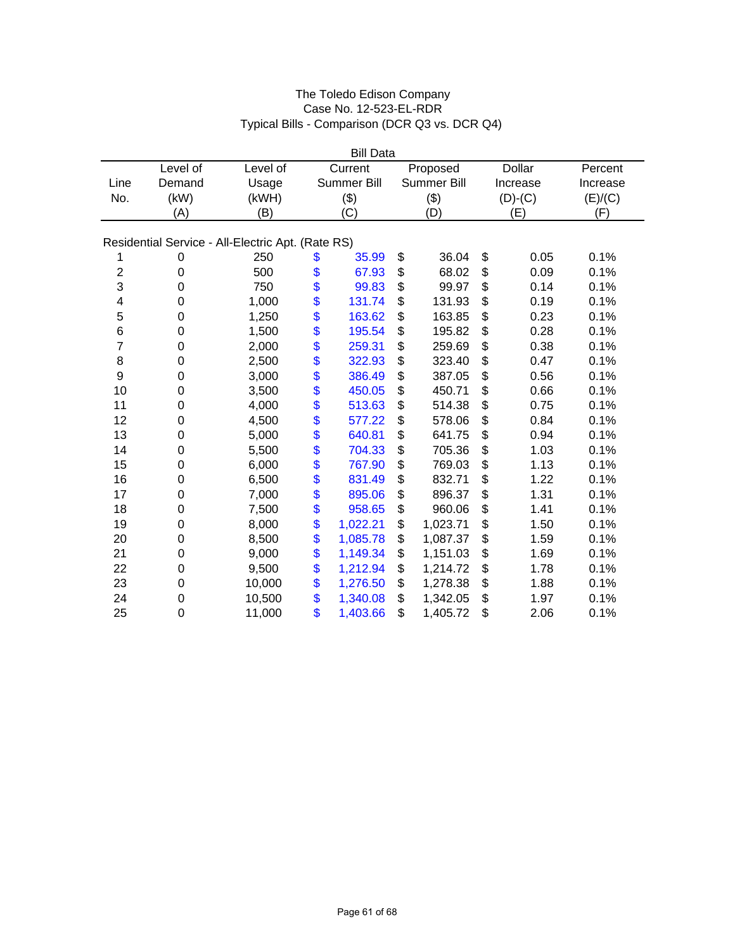| <b>Bill Data</b> |                  |                                                   |          |             |    |             |    |               |          |  |
|------------------|------------------|---------------------------------------------------|----------|-------------|----|-------------|----|---------------|----------|--|
|                  | Level of         | Level of                                          |          | Current     |    | Proposed    |    | <b>Dollar</b> | Percent  |  |
| Line             | Demand           | Usage                                             |          | Summer Bill |    | Summer Bill |    | Increase      | Increase |  |
| No.              | (kW)             | (kWH)                                             |          | (3)         |    | (3)         |    | $(D)-(C)$     | (E)/(C)  |  |
|                  | (A)              | (B)                                               |          | (C)         |    | (D)         |    | (E)           | (F)      |  |
|                  |                  |                                                   |          |             |    |             |    |               |          |  |
|                  |                  | Residential Service - All-Electric Apt. (Rate RS) |          |             |    |             |    |               |          |  |
| 1                | 0                | 250                                               | \$       | 35.99       | \$ | 36.04       | \$ | 0.05          | 0.1%     |  |
| $\overline{c}$   | $\boldsymbol{0}$ | 500                                               | \$       | 67.93       | \$ | 68.02       | \$ | 0.09          | 0.1%     |  |
| 3                | $\overline{0}$   | 750                                               | \$       | 99.83       | \$ | 99.97       | \$ | 0.14          | 0.1%     |  |
| 4                | 0                | 1,000                                             | \$       | 131.74      | \$ | 131.93      | \$ | 0.19          | 0.1%     |  |
| 5                | 0                | 1,250                                             | \$       | 163.62      | \$ | 163.85      | \$ | 0.23          | 0.1%     |  |
| 6                | 0                | 1,500                                             | \$       | 195.54      | \$ | 195.82      | \$ | 0.28          | 0.1%     |  |
| $\overline{7}$   | $\mathbf 0$      | 2,000                                             | \$       | 259.31      | \$ | 259.69      | \$ | 0.38          | 0.1%     |  |
| $\bf8$           | 0                | 2,500                                             |          | 322.93      | \$ | 323.40      | \$ | 0.47          | 0.1%     |  |
| 9                | 0                | 3,000                                             | \$<br>\$ | 386.49      | \$ | 387.05      | \$ | 0.56          | 0.1%     |  |
| 10               | 0                | 3,500                                             | \$       | 450.05      | \$ | 450.71      | \$ | 0.66          | 0.1%     |  |
| 11               | 0                | 4,000                                             | \$       | 513.63      | \$ | 514.38      | \$ | 0.75          | 0.1%     |  |
| 12               | 0                | 4,500                                             | \$       | 577.22      | \$ | 578.06      | \$ | 0.84          | 0.1%     |  |
| 13               | $\boldsymbol{0}$ | 5,000                                             | \$       | 640.81      | \$ | 641.75      | \$ | 0.94          | 0.1%     |  |
| 14               | 0                | 5,500                                             | \$       | 704.33      | \$ | 705.36      | \$ | 1.03          | 0.1%     |  |
| 15               | 0                | 6,000                                             | \$       | 767.90      | \$ | 769.03      | \$ | 1.13          | 0.1%     |  |
| 16               | 0                | 6,500                                             | \$       | 831.49      | \$ | 832.71      | \$ | 1.22          | 0.1%     |  |
| 17               | 0                | 7,000                                             | \$       | 895.06      | \$ | 896.37      | \$ | 1.31          | 0.1%     |  |
| 18               | 0                | 7,500                                             | \$       | 958.65      | \$ | 960.06      | \$ | 1.41          | 0.1%     |  |
| 19               | $\boldsymbol{0}$ | 8,000                                             | \$       | 1,022.21    | \$ | 1,023.71    | \$ | 1.50          | 0.1%     |  |
| 20               | $\mathbf 0$      | 8,500                                             | \$       | 1,085.78    | \$ | 1,087.37    | \$ | 1.59          | 0.1%     |  |
| 21               | 0                | 9,000                                             | \$       | 1,149.34    | \$ | 1,151.03    | \$ | 1.69          | 0.1%     |  |
| 22               | $\mathbf 0$      | 9,500                                             | \$       | 1,212.94    | \$ | 1,214.72    | \$ | 1.78          | 0.1%     |  |
| 23               | 0                | 10,000                                            | \$       | 1,276.50    | \$ | 1,278.38    | \$ | 1.88          | 0.1%     |  |
| 24               | $\mathbf 0$      | 10,500                                            | \$       | 1,340.08    | \$ | 1,342.05    | \$ | 1.97          | 0.1%     |  |
| 25               | $\mathbf 0$      | 11,000                                            | \$       | 1,403.66    | \$ | 1,405.72    | \$ | 2.06          | 0.1%     |  |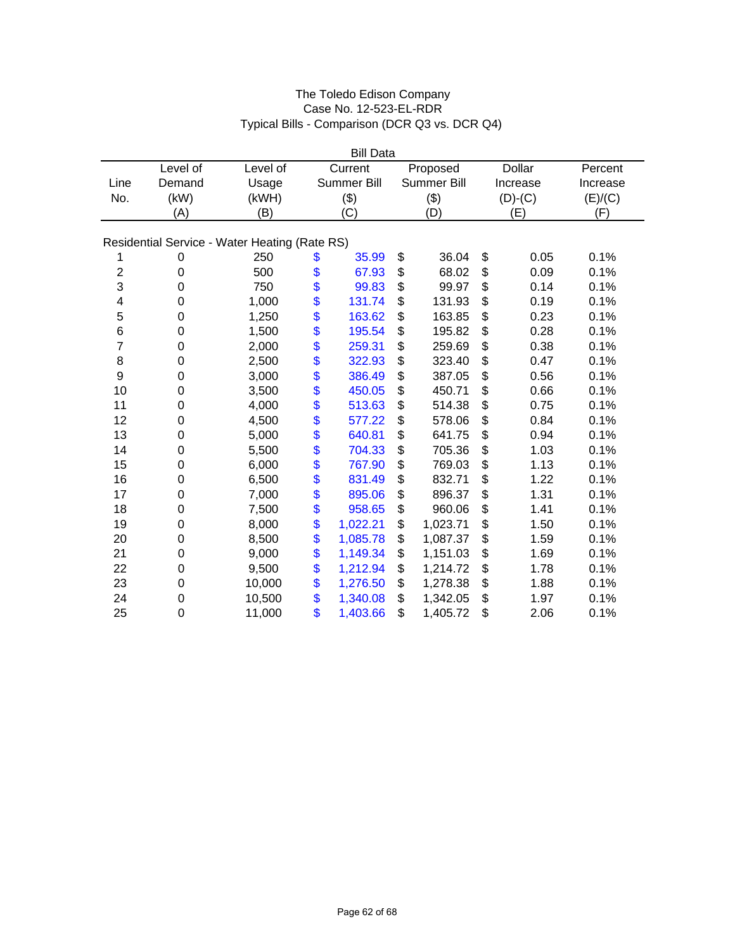| <b>Bill Data</b> |                  |                                               |          |             |    |             |    |               |          |
|------------------|------------------|-----------------------------------------------|----------|-------------|----|-------------|----|---------------|----------|
|                  | Level of         | Level of                                      |          | Current     |    | Proposed    |    | <b>Dollar</b> | Percent  |
| Line             | Demand           | Usage                                         |          | Summer Bill |    | Summer Bill |    | Increase      | Increase |
| No.              | (kW)             | (kWH)                                         |          | (3)         |    | (3)         |    | $(D)-(C)$     | (E)/(C)  |
|                  | (A)              | (B)                                           |          | (C)         |    | (D)         |    | (E)           | (F)      |
|                  |                  |                                               |          |             |    |             |    |               |          |
|                  |                  | Residential Service - Water Heating (Rate RS) |          |             |    |             |    |               |          |
| 1                | 0                | 250                                           | \$       | 35.99       | \$ | 36.04       | \$ | 0.05          | 0.1%     |
| $\overline{c}$   | $\boldsymbol{0}$ | 500                                           | \$       | 67.93       | \$ | 68.02       | \$ | 0.09          | 0.1%     |
| 3                | 0                | 750                                           | \$       | 99.83       | \$ | 99.97       | \$ | 0.14          | 0.1%     |
| 4                | 0                | 1,000                                         | \$       | 131.74      | \$ | 131.93      | \$ | 0.19          | 0.1%     |
| 5                | 0                | 1,250                                         | \$       | 163.62      | \$ | 163.85      | \$ | 0.23          | 0.1%     |
| 6                | 0                | 1,500                                         | \$       | 195.54      | \$ | 195.82      | \$ | 0.28          | 0.1%     |
| $\overline{7}$   | $\mathbf 0$      | 2,000                                         | \$       | 259.31      | \$ | 259.69      | \$ | 0.38          | 0.1%     |
| 8                | $\boldsymbol{0}$ | 2,500                                         |          | 322.93      | \$ | 323.40      | \$ | 0.47          | 0.1%     |
| 9                | 0                | 3,000                                         | \$<br>\$ | 386.49      | \$ | 387.05      | \$ | 0.56          | 0.1%     |
| 10               | 0                | 3,500                                         | \$       | 450.05      | \$ | 450.71      | \$ | 0.66          | 0.1%     |
| 11               | 0                | 4,000                                         | \$       | 513.63      | \$ | 514.38      | \$ | 0.75          | 0.1%     |
| 12               | 0                | 4,500                                         | \$       | 577.22      | \$ | 578.06      | \$ | 0.84          | 0.1%     |
| 13               | $\boldsymbol{0}$ | 5,000                                         | \$       | 640.81      | \$ | 641.75      | \$ | 0.94          | 0.1%     |
| 14               | $\boldsymbol{0}$ | 5,500                                         | \$       | 704.33      | \$ | 705.36      | \$ | 1.03          | 0.1%     |
| 15               | 0                | 6,000                                         | \$       | 767.90      | \$ | 769.03      | \$ | 1.13          | 0.1%     |
| 16               | 0                | 6,500                                         | \$       | 831.49      | \$ | 832.71      | \$ | 1.22          | 0.1%     |
| 17               | 0                | 7,000                                         | \$       | 895.06      | \$ | 896.37      | \$ | 1.31          | 0.1%     |
| 18               | 0                | 7,500                                         | \$       | 958.65      | \$ | 960.06      | \$ | 1.41          | 0.1%     |
| 19               | 0                | 8,000                                         | \$       | 1,022.21    | \$ | 1,023.71    | \$ | 1.50          | 0.1%     |
| 20               | $\boldsymbol{0}$ | 8,500                                         | \$       | 1,085.78    | \$ | 1,087.37    | \$ | 1.59          | 0.1%     |
| 21               | $\mathbf 0$      | 9,000                                         | \$       | 1,149.34    | \$ | 1,151.03    | \$ | 1.69          | 0.1%     |
| 22               | $\mathbf 0$      | 9,500                                         | \$       | 1,212.94    | \$ | 1,214.72    | \$ | 1.78          | 0.1%     |
| 23               | $\mathbf 0$      | 10,000                                        | \$       | 1,276.50    | \$ | 1,278.38    | \$ | 1.88          | 0.1%     |
| 24               | 0                | 10,500                                        | \$       | 1,340.08    | \$ | 1,342.05    | \$ | 1.97          | 0.1%     |
| 25               | $\mathbf 0$      | 11,000                                        | \$       | 1,403.66    | \$ | 1,405.72    | \$ | 2.06          | 0.1%     |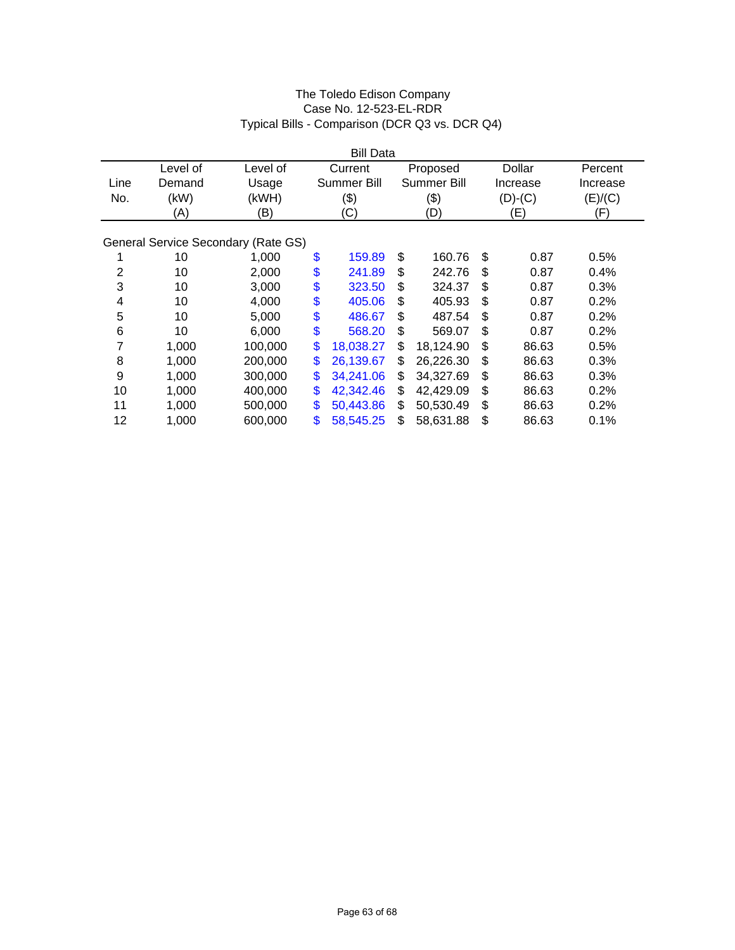|                         |          |                                     | <b>Bill Data</b>   |                 |             |          |
|-------------------------|----------|-------------------------------------|--------------------|-----------------|-------------|----------|
|                         | Level of | Level of                            | Current            | Proposed        | Dollar      | Percent  |
| Line                    | Demand   | Usage                               | <b>Summer Bill</b> | Summer Bill     | Increase    | Increase |
| No.                     | (kW)     | (kWH)                               | (3)                | $(\$)$          | $(D)-(C)$   | (E)/(C)  |
|                         | (A)      | (B)                                 | (C)                | (D)             | (E)         | (F)      |
|                         |          |                                     |                    |                 |             |          |
|                         |          | General Service Secondary (Rate GS) |                    |                 |             |          |
| 1                       | 10       | 1,000                               | \$<br>159.89       | \$<br>160.76    | \$<br>0.87  | 0.5%     |
| $\overline{2}$          | 10       | 2,000                               | \$<br>241.89       | \$<br>242.76    | \$<br>0.87  | 0.4%     |
| 3                       | 10       | 3,000                               | \$<br>323.50       | \$<br>324.37    | \$<br>0.87  | 0.3%     |
| $\overline{\mathbf{4}}$ | 10       | 4,000                               | \$<br>405.06       | \$<br>405.93    | \$<br>0.87  | 0.2%     |
| 5                       | 10       | 5,000                               | \$<br>486.67       | \$<br>487.54    | \$<br>0.87  | 0.2%     |
| 6                       | 10       | 6,000                               | \$<br>568.20       | \$<br>569.07    | \$<br>0.87  | 0.2%     |
| 7                       | 1,000    | 100,000                             | \$<br>18,038.27    | \$<br>18,124.90 | \$<br>86.63 | 0.5%     |
| 8                       | 1,000    | 200,000                             | \$<br>26,139.67    | \$<br>26,226.30 | \$<br>86.63 | 0.3%     |
| 9                       | 1,000    | 300,000                             | \$<br>34,241.06    | \$<br>34,327.69 | \$<br>86.63 | 0.3%     |
| 10                      | 1,000    | 400,000                             | \$<br>42,342.46    | \$<br>42,429.09 | \$<br>86.63 | 0.2%     |
| 11                      | 1,000    | 500,000                             | \$<br>50,443.86    | \$<br>50,530.49 | \$<br>86.63 | 0.2%     |
| 12                      | 1,000    | 600,000                             | \$<br>58,545.25    | \$<br>58,631.88 | \$<br>86.63 | 0.1%     |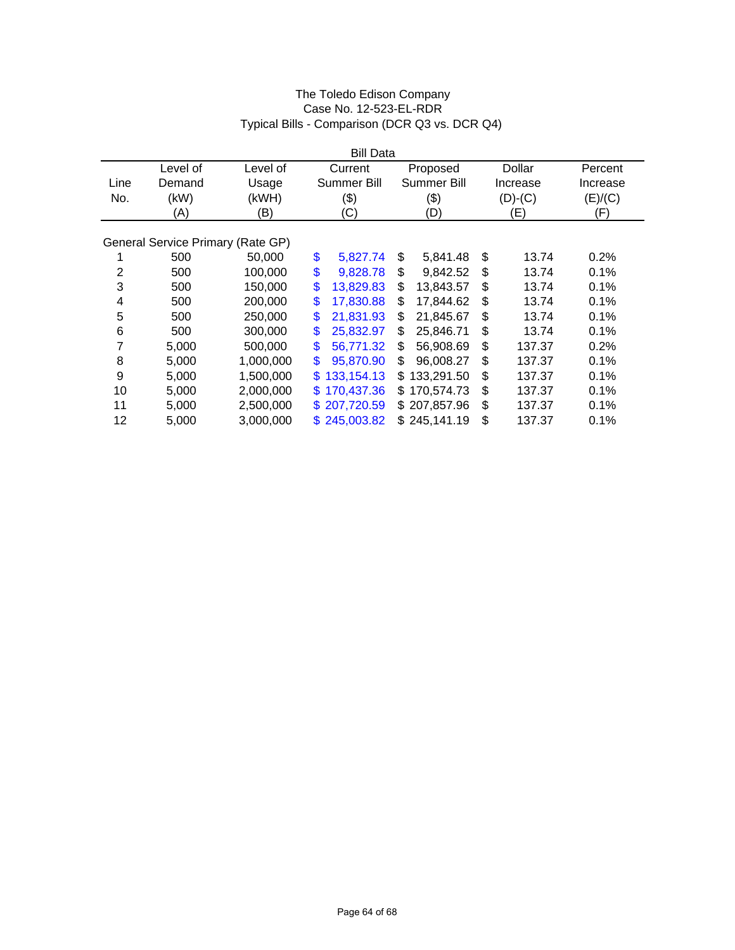| <b>Bill Data</b> |                                   |           |                            |    |                    |    |           |          |
|------------------|-----------------------------------|-----------|----------------------------|----|--------------------|----|-----------|----------|
|                  | Level of                          | Level of  | Current                    |    | Proposed           |    | Dollar    | Percent  |
| Line             | Demand                            | Usage     | <b>Summer Bill</b>         |    | <b>Summer Bill</b> |    | Increase  | Increase |
| No.              | (kW)                              | (kWH)     | (\$)                       |    | \$)                |    | $(D)-(C)$ | (E)/(C)  |
|                  | (A)                               | (B)       | (C)                        |    | (D)                |    | (E)       | (F)      |
|                  |                                   |           |                            |    |                    |    |           |          |
|                  | General Service Primary (Rate GP) |           |                            |    |                    |    |           |          |
|                  | 500                               | 50,000    | \$<br>5,827.74             | \$ | 5,841.48           | \$ | 13.74     | 0.2%     |
| 2                | 500                               | 100,000   | \$<br>9,828.78             | \$ | 9,842.52           | \$ | 13.74     | 0.1%     |
| 3                | 500                               | 150,000   | \$<br>13.829.83            | \$ | 13,843.57          | \$ | 13.74     | 0.1%     |
| 4                | 500                               | 200,000   | \$<br>17,830.88            | \$ | 17,844.62          | \$ | 13.74     | 0.1%     |
| 5                | 500                               | 250,000   | \$<br>21,831.93            | \$ | 21,845.67          | \$ | 13.74     | 0.1%     |
| 6                | 500                               | 300,000   | \$<br>25,832.97            | \$ | 25,846.71          | \$ | 13.74     | 0.1%     |
| 7                | 5,000                             | 500,000   | $\mathbf{\$}$<br>56,771.32 | \$ | 56,908.69          | \$ | 137.37    | 0.2%     |
| 8                | 5,000                             | 1,000,000 | \$<br>95,870.90            | \$ | 96,008.27          | \$ | 137.37    | 0.1%     |
| 9                | 5,000                             | 1,500,000 | 133,154.13<br>\$.          | \$ | 133,291.50         | \$ | 137.37    | 0.1%     |
| 10               | 5,000                             | 2,000,000 | 170,437.36<br>\$.          |    | \$170,574.73       | \$ | 137.37    | 0.1%     |
| 11               | 5,000                             | 2,500,000 | \$207,720.59               |    | \$207,857.96       | \$ | 137.37    | 0.1%     |
| 12               | 5,000                             | 3,000,000 | \$245,003.82               |    | \$245,141.19       | \$ | 137.37    | 0.1%     |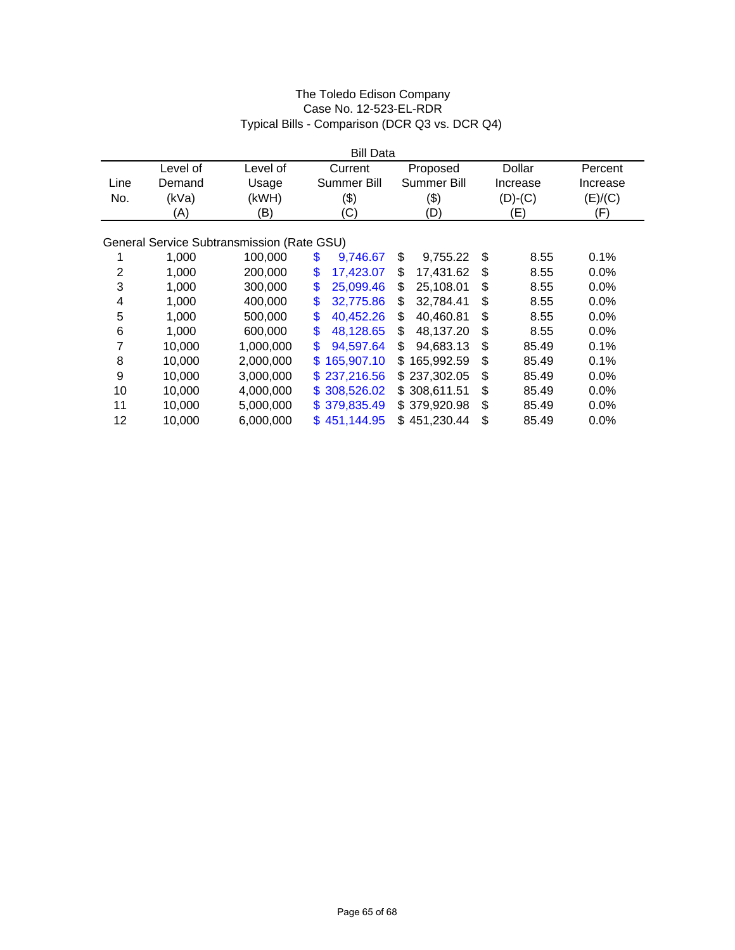|      |          |                                            |     | <b>Bill Data</b>   |                    |             |          |  |
|------|----------|--------------------------------------------|-----|--------------------|--------------------|-------------|----------|--|
|      | Level of | Level of                                   |     | Current            | Proposed           | Dollar      | Percent  |  |
| Line | Demand   | Usage                                      |     | <b>Summer Bill</b> | <b>Summer Bill</b> | Increase    | Increase |  |
| No.  | (kVa)    | (kWH)                                      |     | $(\$)$             | \$)                | $(D)-(C)$   | (E)/(C)  |  |
|      | (A)      | (B)                                        |     | (C)                | (D)                | (E)         | (F)      |  |
|      |          |                                            |     |                    |                    |             |          |  |
|      |          | General Service Subtransmission (Rate GSU) |     |                    |                    |             |          |  |
|      | 1,000    | 100,000                                    | \$  | 9,746.67           | \$<br>9,755.22     | \$<br>8.55  | 0.1%     |  |
| 2    | 1,000    | 200,000                                    | \$  | 17,423.07          | \$<br>17,431.62    | \$<br>8.55  | 0.0%     |  |
| 3    | 1,000    | 300,000                                    | \$  | 25,099.46          | \$<br>25,108.01    | \$<br>8.55  | 0.0%     |  |
| 4    | 1,000    | 400,000                                    | \$  | 32,775.86          | \$<br>32,784.41    | \$<br>8.55  | 0.0%     |  |
| 5    | 1,000    | 500,000                                    | \$  | 40,452.26          | \$<br>40,460.81    | \$<br>8.55  | 0.0%     |  |
| 6    | 1,000    | 600,000                                    | \$  | 48,128.65          | \$<br>48,137.20    | \$<br>8.55  | 0.0%     |  |
| 7    | 10,000   | 1,000,000                                  | \$  | 94,597.64          | \$<br>94,683.13    | \$<br>85.49 | 0.1%     |  |
| 8    | 10,000   | 2,000,000                                  | \$. | 165,907.10         | \$<br>165,992.59   | \$<br>85.49 | 0.1%     |  |
| 9    | 10,000   | 3,000,000                                  |     | \$237,216.56       | \$237,302.05       | \$<br>85.49 | 0.0%     |  |
| 10   | 10,000   | 4,000,000                                  |     | \$308,526.02       | \$308,611.51       | \$<br>85.49 | $0.0\%$  |  |
| 11   | 10,000   | 5,000,000                                  |     | \$379,835.49       | \$379,920.98       | \$<br>85.49 | $0.0\%$  |  |
| 12   | 10,000   | 6,000,000                                  |     | \$451,144.95       | \$451,230.44       | \$<br>85.49 | 0.0%     |  |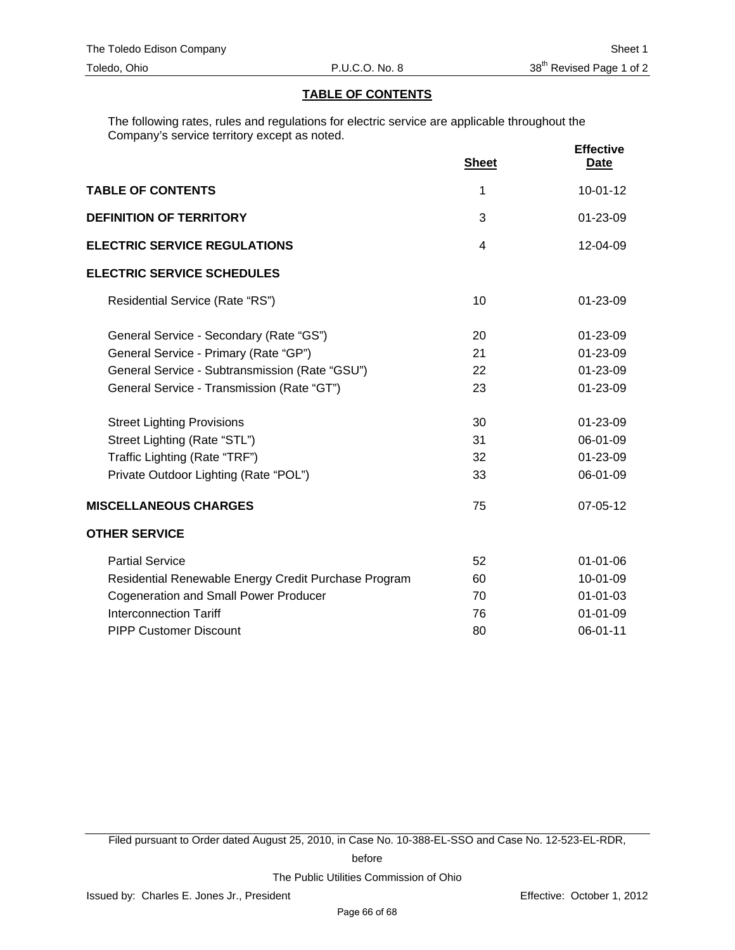## **TABLE OF CONTENTS**

The following rates, rules and regulations for electric service are applicable throughout the Company's service territory except as noted.

|                                                      | <b>Sheet</b>   | <b>Effective</b><br>Date |
|------------------------------------------------------|----------------|--------------------------|
| <b>TABLE OF CONTENTS</b>                             | 1              | $10 - 01 - 12$           |
| <b>DEFINITION OF TERRITORY</b>                       | 3              | $01 - 23 - 09$           |
| <b>ELECTRIC SERVICE REGULATIONS</b>                  | $\overline{4}$ | 12-04-09                 |
| <b>ELECTRIC SERVICE SCHEDULES</b>                    |                |                          |
| Residential Service (Rate "RS")                      | 10             | $01 - 23 - 09$           |
| General Service - Secondary (Rate "GS")              | 20             | 01-23-09                 |
| General Service - Primary (Rate "GP")                | 21             | 01-23-09                 |
| General Service - Subtransmission (Rate "GSU")       | 22             | 01-23-09                 |
| General Service - Transmission (Rate "GT")           | 23             | 01-23-09                 |
| <b>Street Lighting Provisions</b>                    | 30             | 01-23-09                 |
| Street Lighting (Rate "STL")                         | 31             | 06-01-09                 |
| Traffic Lighting (Rate "TRF")                        | 32             | 01-23-09                 |
| Private Outdoor Lighting (Rate "POL")                | 33             | 06-01-09                 |
| <b>MISCELLANEOUS CHARGES</b>                         | 75             | 07-05-12                 |
| <b>OTHER SERVICE</b>                                 |                |                          |
| <b>Partial Service</b>                               | 52             | $01 - 01 - 06$           |
| Residential Renewable Energy Credit Purchase Program | 60             | 10-01-09                 |
| <b>Cogeneration and Small Power Producer</b>         | 70             | $01 - 01 - 03$           |
| <b>Interconnection Tariff</b>                        | 76             | $01 - 01 - 09$           |
| <b>PIPP Customer Discount</b>                        | 80             | 06-01-11                 |

Filed pursuant to Order dated August 25, 2010, in Case No. 10-388-EL-SSO and Case No. 12-523-EL-RDR,

before

The Public Utilities Commission of Ohio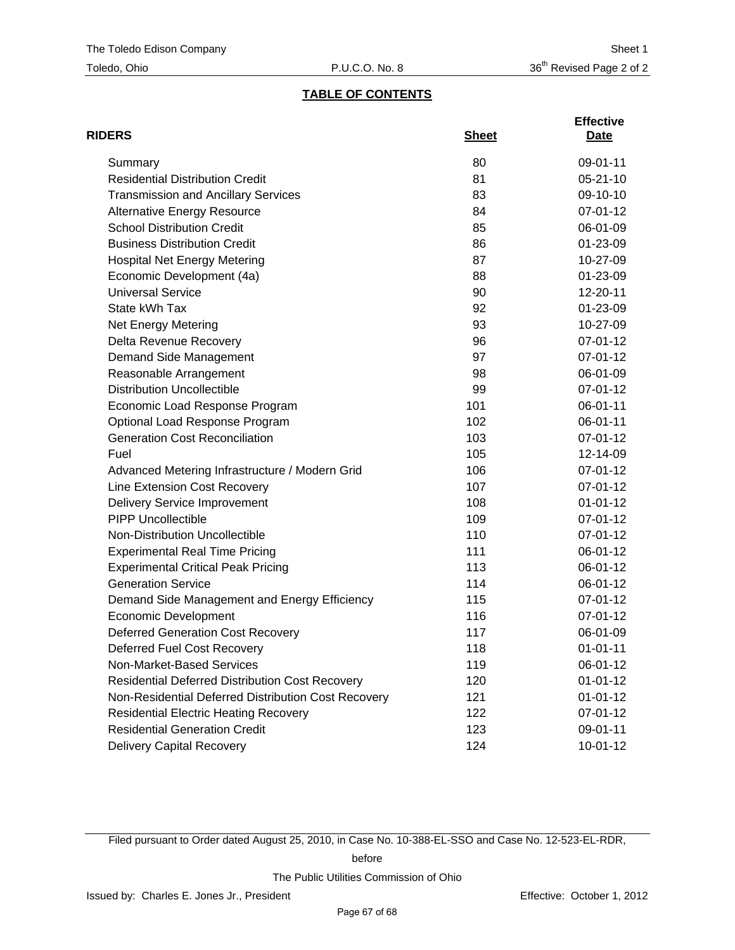## **TABLE OF CONTENTS**

| <b>RIDERS</b>                                          | <b>Sheet</b> | <b>Effective</b><br>Date |
|--------------------------------------------------------|--------------|--------------------------|
| Summary                                                | 80           | 09-01-11                 |
| <b>Residential Distribution Credit</b>                 | 81           | $05 - 21 - 10$           |
| <b>Transmission and Ancillary Services</b>             | 83           | 09-10-10                 |
| <b>Alternative Energy Resource</b>                     | 84           | 07-01-12                 |
| <b>School Distribution Credit</b>                      | 85           | 06-01-09                 |
| <b>Business Distribution Credit</b>                    | 86           | 01-23-09                 |
| <b>Hospital Net Energy Metering</b>                    | 87           | 10-27-09                 |
| Economic Development (4a)                              | 88           | 01-23-09                 |
| <b>Universal Service</b>                               | 90           | 12-20-11                 |
| State kWh Tax                                          | 92           | 01-23-09                 |
| Net Energy Metering                                    | 93           | 10-27-09                 |
| Delta Revenue Recovery                                 | 96           | 07-01-12                 |
| Demand Side Management                                 | 97           | 07-01-12                 |
| Reasonable Arrangement                                 | 98           | 06-01-09                 |
| <b>Distribution Uncollectible</b>                      | 99           | 07-01-12                 |
| Economic Load Response Program                         | 101          | 06-01-11                 |
| Optional Load Response Program                         | 102          | 06-01-11                 |
| <b>Generation Cost Reconciliation</b>                  | 103          | 07-01-12                 |
| Fuel                                                   | 105          | 12-14-09                 |
| Advanced Metering Infrastructure / Modern Grid         | 106          | 07-01-12                 |
| Line Extension Cost Recovery                           | 107          | 07-01-12                 |
| Delivery Service Improvement                           | 108          | $01 - 01 - 12$           |
| <b>PIPP Uncollectible</b>                              | 109          | 07-01-12                 |
| Non-Distribution Uncollectible                         | 110          | 07-01-12                 |
| <b>Experimental Real Time Pricing</b>                  | 111          | 06-01-12                 |
| <b>Experimental Critical Peak Pricing</b>              | 113          | 06-01-12                 |
| <b>Generation Service</b>                              | 114          | 06-01-12                 |
| Demand Side Management and Energy Efficiency           | 115          | 07-01-12                 |
| <b>Economic Development</b>                            | 116          | 07-01-12                 |
| <b>Deferred Generation Cost Recovery</b>               | 117          | 06-01-09                 |
| <b>Deferred Fuel Cost Recovery</b>                     | 118          | $01 - 01 - 11$           |
| Non-Market-Based Services                              | 119          | 06-01-12                 |
| <b>Residential Deferred Distribution Cost Recovery</b> | 120          | $01 - 01 - 12$           |
| Non-Residential Deferred Distribution Cost Recovery    | 121          | $01 - 01 - 12$           |
| <b>Residential Electric Heating Recovery</b>           | 122          | 07-01-12                 |
| <b>Residential Generation Credit</b>                   | 123          | 09-01-11                 |
| <b>Delivery Capital Recovery</b>                       | 124          | $10 - 01 - 12$           |

Filed pursuant to Order dated August 25, 2010, in Case No. 10-388-EL-SSO and Case No. 12-523-EL-RDR,

before

The Public Utilities Commission of Ohio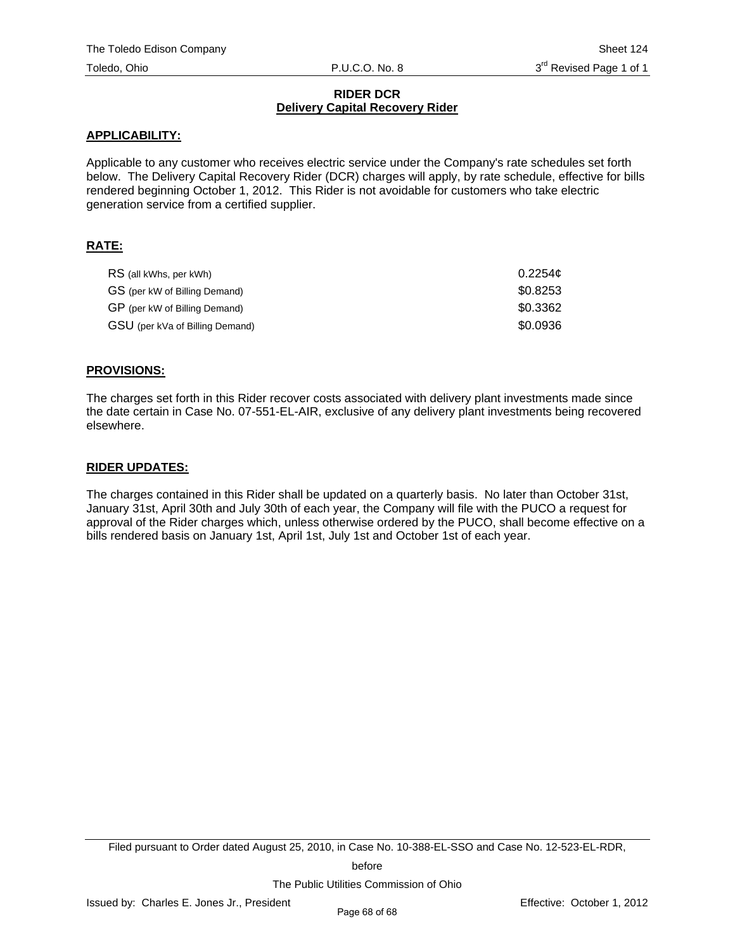## **RIDER DCR Delivery Capital Recovery Rider**

## **APPLICABILITY:**

Applicable to any customer who receives electric service under the Company's rate schedules set forth below. The Delivery Capital Recovery Rider (DCR) charges will apply, by rate schedule, effective for bills rendered beginning October 1, 2012. This Rider is not avoidable for customers who take electric generation service from a certified supplier.

## **RATE:**

| RS (all kWhs, per kWh)          | 0.2254c  |
|---------------------------------|----------|
| GS (per kW of Billing Demand)   | \$0.8253 |
| GP (per kW of Billing Demand)   | \$0.3362 |
| GSU (per kVa of Billing Demand) | \$0.0936 |

## **PROVISIONS:**

The charges set forth in this Rider recover costs associated with delivery plant investments made since the date certain in Case No. 07-551-EL-AIR, exclusive of any delivery plant investments being recovered elsewhere.

## **RIDER UPDATES:**

The charges contained in this Rider shall be updated on a quarterly basis. No later than October 31st, January 31st, April 30th and July 30th of each year, the Company will file with the PUCO a request for approval of the Rider charges which, unless otherwise ordered by the PUCO, shall become effective on a bills rendered basis on January 1st, April 1st, July 1st and October 1st of each year.

Filed pursuant to Order dated August 25, 2010, in Case No. 10-388-EL-SSO and Case No. 12-523-EL-RDR,

before

The Public Utilities Commission of Ohio